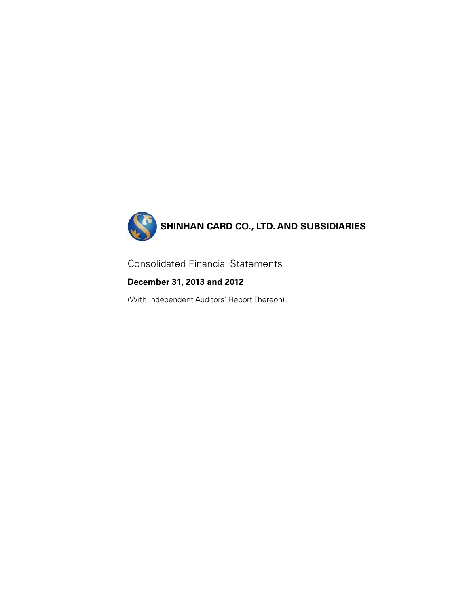

Consolidated Financial Statements

**December 31, 2013 and 2012** 

(With Independent Auditors' Report Thereon)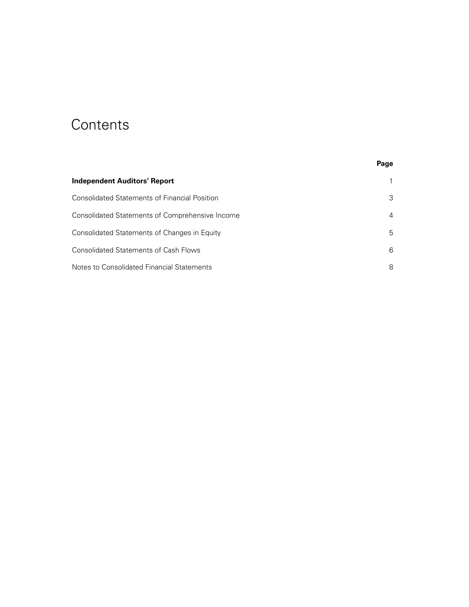# **Contents**

|                                                      | Page |
|------------------------------------------------------|------|
| Independent Auditors' Report                         |      |
| <b>Consolidated Statements of Financial Position</b> | 3    |
| Consolidated Statements of Comprehensive Income      | 4    |
| Consolidated Statements of Changes in Equity         | 5    |
| <b>Consolidated Statements of Cash Flows</b>         | 6    |
| Notes to Consolidated Financial Statements           | 8    |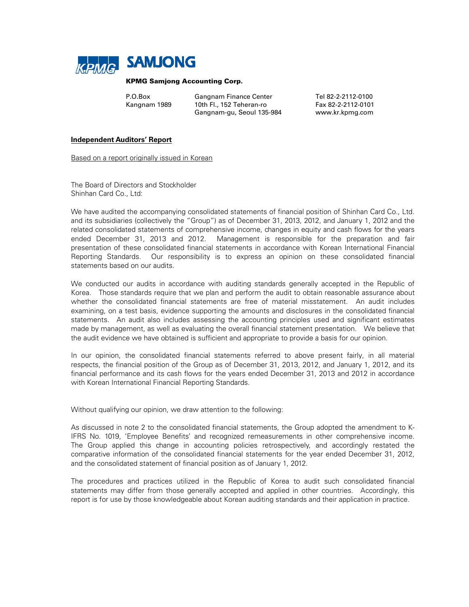

#### KPMG Samjong Accounting Corp.

| P.O.Box      | <b>Gangnam Finance Center</b> | Tel 82-2-2112-0100 |
|--------------|-------------------------------|--------------------|
| Kangnam 1989 | 10th Fl., 152 Teheran-ro      | Fax 82-2-2112-0101 |
|              | Gangnam-gu, Seoul 135-984     | www.kr.kpmg.com    |

#### **Independent Auditors' Report**

Based on a report originally issued in Korean

The Board of Directors and Stockholder Shinhan Card Co., Ltd:

We have audited the accompanying consolidated statements of financial position of Shinhan Card Co., Ltd. and its subsidiaries (collectively the "Group") as of December 31, 2013, 2012, and January 1, 2012 and the related consolidated statements of comprehensive income, changes in equity and cash flows for the years ended December 31, 2013 and 2012. Management is responsible for the preparation and fair presentation of these consolidated financial statements in accordance with Korean International Financial Reporting Standards. Our responsibility is to express an opinion on these consolidated financial statements based on our audits.

We conducted our audits in accordance with auditing standards generally accepted in the Republic of Korea. Those standards require that we plan and perform the audit to obtain reasonable assurance about whether the consolidated financial statements are free of material misstatement. An audit includes examining, on a test basis, evidence supporting the amounts and disclosures in the consolidated financial statements. An audit also includes assessing the accounting principles used and significant estimates made by management, as well as evaluating the overall financial statement presentation. We believe that the audit evidence we have obtained is sufficient and appropriate to provide a basis for our opinion.

In our opinion, the consolidated financial statements referred to above present fairly, in all material respects, the financial position of the Group as of December 31, 2013, 2012, and January 1, 2012, and its financial performance and its cash flows for the years ended December 31, 2013 and 2012 in accordance with Korean International Financial Reporting Standards.

Without qualifying our opinion, we draw attention to the following:

As discussed in note 2 to the consolidated financial statements, the Group adopted the amendment to K-IFRS No. 1019, 'Employee Benefits' and recognized remeasurements in other comprehensive income. The Group applied this change in accounting policies retrospectively, and accordingly restated the comparative information of the consolidated financial statements for the year ended December 31, 2012, and the consolidated statement of financial position as of January 1, 2012.

The procedures and practices utilized in the Republic of Korea to audit such consolidated financial statements may differ from those generally accepted and applied in other countries. Accordingly, this report is for use by those knowledgeable about Korean auditing standards and their application in practice.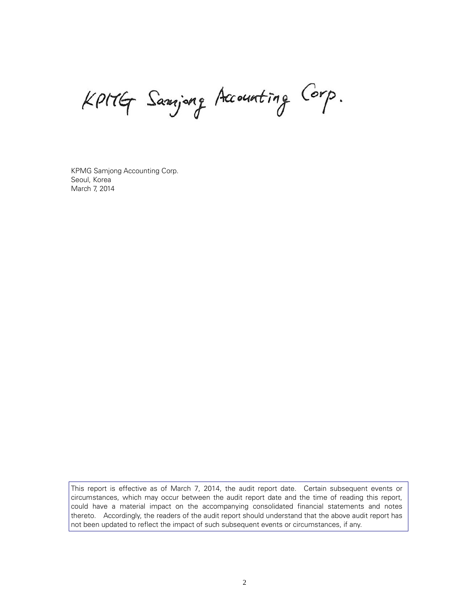Kpitly Samjong Accounting Corp.

KPMG Samjong Accounting Corp. Seoul, Korea March 7, 2014

This report is effective as of March 7, 2014, the audit report date. Certain subsequent events or circumstances, which may occur between the audit report date and the time of reading this report, could have a material impact on the accompanying consolidated financial statements and notes thereto. Accordingly, the readers of the audit report should understand that the above audit report has not been updated to reflect the impact of such subsequent events or circumstances, if any.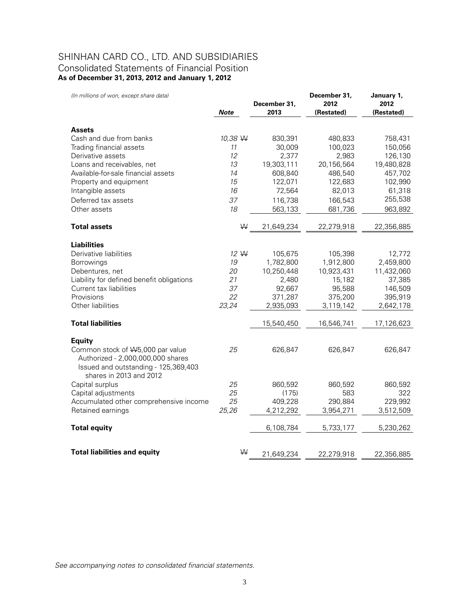# SHINHAN CARD CO., LTD. AND SUBSIDIARIES Consolidated Statements of Financial Position **As of December 31, 2013, 2012 and January 1, 2012**

*(In millions of won, except share data)*

| (In millions of won, except share data)                                                                                                   |             |              | December 31, | January 1, |
|-------------------------------------------------------------------------------------------------------------------------------------------|-------------|--------------|--------------|------------|
|                                                                                                                                           |             | December 31, | 2012         | 2012       |
|                                                                                                                                           | <b>Note</b> | 2013         | (Restated)   | (Restated) |
| <b>Assets</b>                                                                                                                             |             |              |              |            |
| Cash and due from banks                                                                                                                   | 10,38 W     | 830,391      | 480,833      | 758,431    |
| Trading financial assets                                                                                                                  | 11          | 30,009       | 100,023      | 150,056    |
| Derivative assets                                                                                                                         | 12          | 2,377        | 2,983        | 126,130    |
| Loans and receivables, net                                                                                                                | 13          | 19,303,111   | 20,156,564   | 19,480,828 |
| Available-for-sale financial assets                                                                                                       | 14          | 608,840      | 486,540      | 457,702    |
| Property and equipment                                                                                                                    | 15          | 122,071      | 122,683      | 102,990    |
| Intangible assets                                                                                                                         | 16          | 72,564       | 82,013       | 61,318     |
| Deferred tax assets                                                                                                                       | 37          | 116,738      | 166,543      | 255,538    |
| Other assets                                                                                                                              | 18          | 563,133      | 681,736      | 963,892    |
| <b>Total assets</b>                                                                                                                       | W           | 21,649,234   | 22,279,918   | 22,356,885 |
| <b>Liabilities</b>                                                                                                                        |             |              |              |            |
| Derivative liabilities                                                                                                                    | 12 W        | 105,675      | 105,398      | 12,772     |
| <b>Borrowings</b>                                                                                                                         | 19          | 1,782,800    | 1,912,800    | 2,459,800  |
| Debentures, net                                                                                                                           | 20          | 10,250,448   | 10,923,431   | 11,432,060 |
| Liability for defined benefit obligations                                                                                                 | 21          | 2,480        | 15,182       | 37,385     |
| Current tax liabilities                                                                                                                   | 37          | 92,667       | 95,588       | 146,509    |
| Provisions                                                                                                                                | 22          | 371,287      | 375,200      | 395,919    |
| Other liabilities                                                                                                                         | 23,24       | 2,935,093    | 3,119,142    | 2,642,178  |
| <b>Total liabilities</b>                                                                                                                  |             | 15,540,450   | 16,546,741   | 17,126,623 |
| <b>Equity</b>                                                                                                                             |             |              |              |            |
| Common stock of \\5,000 par value<br>Authorized - 2,000,000,000 shares<br>Issued and outstanding - 125,369,403<br>shares in 2013 and 2012 | 25          | 626,847      | 626,847      | 626,847    |
| Capital surplus                                                                                                                           | 25          | 860,592      | 860,592      | 860,592    |
| Capital adjustments                                                                                                                       | 25          | (175)        | 583          | 322        |
| Accumulated other comprehensive income                                                                                                    | 25          | 409,228      | 290,884      | 229,992    |
| Retained earnings                                                                                                                         | 25,26       | 4,212,292    | 3,954,271    | 3,512,509  |
| <b>Total equity</b>                                                                                                                       |             | 6,108,784    | 5,733,177    | 5,230,262  |
| <b>Total liabilities and equity</b>                                                                                                       | W           | 21,649,234   | 22,279,918   | 22,356,885 |

*See accompanying notes to consolidated financial statements.*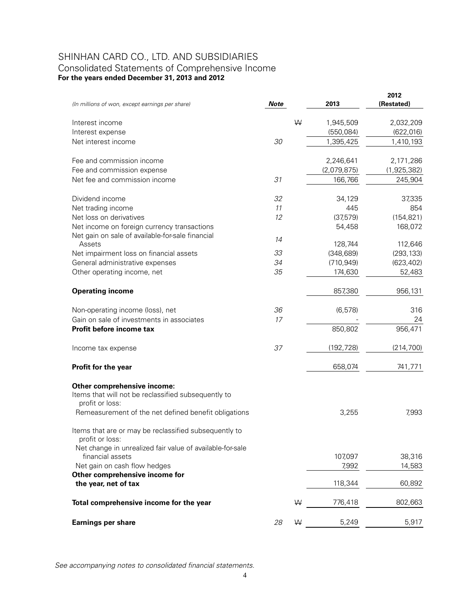# SHINHAN CARD CO., LTD. AND SUBSIDIARIES Consolidated Statements of Comprehensive Income **For the years ended December 31, 2013 and 2012**

| <b>Note</b><br>(In millions of won, except earnings per share)                      | 2013        | 2012<br>(Restated) |
|-------------------------------------------------------------------------------------|-------------|--------------------|
|                                                                                     |             |                    |
| W<br>Interest income                                                                | 1,945,509   | 2,032,209          |
| Interest expense                                                                    | (550,084)   | (622, 016)         |
| Net interest income<br>30                                                           | 1,395,425   | 1,410,193          |
|                                                                                     |             |                    |
| Fee and commission income                                                           | 2,246,641   | 2,171,286          |
| Fee and commission expense                                                          | (2,079,875) | (1,925,382)        |
| 31<br>Net fee and commission income                                                 | 166,766     | 245,904            |
| 32<br>Dividend income                                                               | 34,129      | 37,335             |
| Net trading income<br>11                                                            | 445         | 854                |
| Net loss on derivatives<br>12                                                       | (37,579)    | (154, 821)         |
| Net income on foreign currency transactions                                         | 54,458      | 168,072            |
| Net gain on sale of available-for-sale financial                                    |             |                    |
| 14<br>Assets                                                                        | 128,744     | 112,646            |
| 33<br>Net impairment loss on financial assets                                       | (348, 689)  | (293, 133)         |
| 34<br>General administrative expenses                                               | (710, 949)  | (623, 402)         |
| 35<br>Other operating income, net                                                   | 174,630     | 52,483             |
| <b>Operating income</b>                                                             | 857,380     | 956,131            |
| 36                                                                                  | (6, 578)    | 316                |
| Non-operating income (loss), net<br>Gain on sale of investments in associates<br>17 |             | 24                 |
| Profit before income tax                                                            | 850,802     | 956,471            |
|                                                                                     |             |                    |
| 37<br>Income tax expense                                                            | (192, 728)  | (214, 700)         |
| Profit for the year                                                                 | 658,074     | 741,771            |
| Other comprehensive income:                                                         |             |                    |
| Items that will not be reclassified subsequently to<br>profit or loss:              |             |                    |
| Remeasurement of the net defined benefit obligations                                | 3,255       | 7,993              |
| Items that are or may be reclassified subsequently to                               |             |                    |
| profit or loss:                                                                     |             |                    |
| Net change in unrealized fair value of available-for-sale                           |             |                    |
| financial assets                                                                    | 107,097     | 38,316             |
| Net gain on cash flow hedges                                                        | 7,992       | 14,583             |
| Other comprehensive income for<br>the year, net of tax                              | 118,344     | 60,892             |
|                                                                                     |             |                    |
| Total comprehensive income for the year<br>W                                        | 776,418     | 802,663            |
| <b>Earnings per share</b><br>28<br>W                                                | 5,249       | 5,917              |

*See accompanying notes to consolidated financial statements.*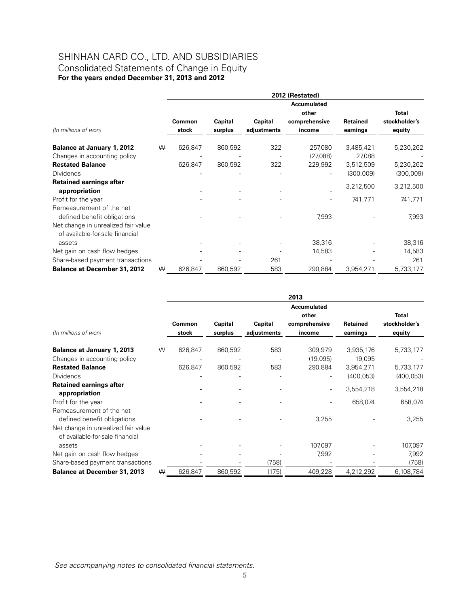# SHINHAN CARD CO., LTD. AND SUBSIDIARIES Consolidated Statements of Change in Equity **For the years ended December 31, 2013 and 2012**

|                                                                        |   | 2012 (Restated) |         |             |                    |                 |               |  |
|------------------------------------------------------------------------|---|-----------------|---------|-------------|--------------------|-----------------|---------------|--|
|                                                                        |   |                 |         |             | <b>Accumulated</b> |                 |               |  |
|                                                                        |   |                 |         |             | other              |                 | <b>Total</b>  |  |
|                                                                        |   | Common          | Capital | Capital     | comprehensive      | <b>Retained</b> | stockholder's |  |
| (In millions of won)                                                   |   | stock           | surplus | adjustments | income             | earnings        | equity        |  |
| <b>Balance at January 1, 2012</b>                                      | W | 626,847         | 860,592 | 322         | 257,080            | 3,485,421       | 5,230,262     |  |
| Changes in accounting policy                                           |   |                 |         |             | (27,088)           | 27,088          |               |  |
| <b>Restated Balance</b>                                                |   | 626,847         | 860,592 | 322         | 229,992            | 3,512,509       | 5,230,262     |  |
| <b>Dividends</b>                                                       |   |                 |         |             |                    | (300,009)       | (300,009)     |  |
| <b>Retained earnings after</b>                                         |   |                 |         |             |                    |                 |               |  |
| appropriation                                                          |   |                 |         |             |                    | 3,212,500       | 3,212,500     |  |
| Profit for the year                                                    |   |                 |         |             |                    | 741,771         | 741,771       |  |
| Remeasurement of the net                                               |   |                 |         |             |                    |                 |               |  |
| defined benefit obligations                                            |   |                 |         |             | 7,993              |                 | 7,993         |  |
| Net change in unrealized fair value<br>of available-for-sale financial |   |                 |         |             |                    |                 |               |  |
| assets                                                                 |   |                 |         |             | 38,316             |                 | 38,316        |  |
| Net gain on cash flow hedges                                           |   |                 |         |             | 14,583             |                 | 14,583        |  |
| Share-based payment transactions                                       |   |                 |         | 261         |                    |                 | 261           |  |
| <b>Balance at December 31, 2012</b>                                    | W | 626,847         | 860,592 | 583         | 290,884            | 3,954,271       | 5,733,177     |  |

|                                                                        |   |         |         |             | 2013                                         |                 |                               |
|------------------------------------------------------------------------|---|---------|---------|-------------|----------------------------------------------|-----------------|-------------------------------|
|                                                                        |   | Common  | Capital | Capital     | <b>Accumulated</b><br>other<br>comprehensive | <b>Retained</b> | <b>Total</b><br>stockholder's |
| (In millions of won)                                                   |   | stock   | surplus | adjustments | income                                       | earnings        | equity                        |
| <b>Balance at January 1, 2013</b>                                      | W | 626,847 | 860,592 | 583         | 309,979                                      | 3,935,176       | 5,733,177                     |
| Changes in accounting policy                                           |   |         |         |             | (19,095)                                     | 19,095          |                               |
| <b>Restated Balance</b>                                                |   | 626,847 | 860,592 | 583         | 290,884                                      | 3,954,271       | 5,733,177                     |
| Dividends                                                              |   |         |         |             |                                              | (400, 053)      | (400, 053)                    |
| <b>Retained earnings after</b><br>appropriation                        |   |         |         |             |                                              | 3,554,218       | 3,554,218                     |
| Profit for the year                                                    |   |         |         |             |                                              | 658,074         | 658,074                       |
| Remeasurement of the net<br>defined benefit obligations                |   |         |         |             | 3,255                                        |                 | 3,255                         |
| Net change in unrealized fair value<br>of available-for-sale financial |   |         |         |             |                                              |                 |                               |
| assets                                                                 |   |         |         |             | 107,097                                      |                 | 107,097                       |
| Net gain on cash flow hedges                                           |   |         |         |             | 7,992                                        |                 | 7,992                         |
| Share-based payment transactions                                       |   |         |         | (758)       |                                              |                 | (758)                         |
| <b>Balance at December 31, 2013</b>                                    | W | 626,847 | 860,592 | (175)       | 409,228                                      | 4,212,292       | 6,108,784                     |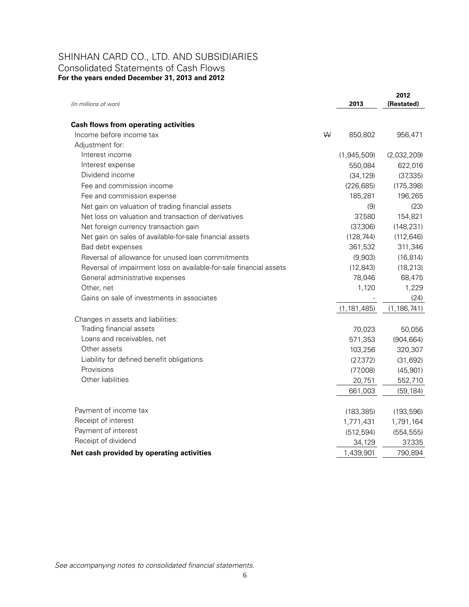# SHINHAN CARD CO., LTD. AND SUBSIDIARIES Consolidated Statements of Cash Flows **For the years ended December 31, 2013 and 2012**

| (In millions of won)                                               |   | 2013          | 2012<br>(Restated) |
|--------------------------------------------------------------------|---|---------------|--------------------|
|                                                                    |   |               |                    |
| <b>Cash flows from operating activities</b>                        |   |               |                    |
| Income before income tax                                           | W | 850,802       | 956,471            |
| Adjustment for:                                                    |   |               |                    |
| Interest income                                                    |   | (1,945,509)   | (2,032,209)        |
| Interest expense                                                   |   | 550,084       | 622,016            |
| Dividend income                                                    |   | (34, 129)     | (37, 335)          |
| Fee and commission income                                          |   | (226, 685)    | (175, 398)         |
| Fee and commission expense                                         |   | 185,281       | 196,265            |
| Net gain on valuation of trading financial assets                  |   | (9)           | (23)               |
| Net loss on valuation and transaction of derivatives               |   | 37,580        | 154,821            |
| Net foreign currency transaction gain                              |   | (37,306)      | (148, 231)         |
| Net gain on sales of available-for-sale financial assets           |   | (128, 744)    | (112, 646)         |
| Bad debt expenses                                                  |   | 361,532       | 311,346            |
| Reversal of allowance for unused loan commitments                  |   | (9,903)       | (16, 814)          |
| Reversal of impairment loss on available-for-sale financial assets |   | (12, 843)     | (18, 213)          |
| General administrative expenses                                    |   | 78,046        | 68,475             |
| Other, net                                                         |   | 1,120         | 1,229              |
| Gains on sale of investments in associates                         |   |               | (24)               |
|                                                                    |   | (1, 181, 485) | (1, 186, 741)      |
| Changes in assets and liabilities:                                 |   |               |                    |
| Trading financial assets                                           |   | 70,023        | 50,056             |
| Loans and receivables, net                                         |   | 571,353       | (904, 664)         |
| Other assets                                                       |   | 103,256       | 320,307            |
| Liability for defined benefit obligations                          |   | (27, 372)     | (31, 692)          |
| Provisions                                                         |   | (77,008)      | (45, 901)          |
| Other liabilities                                                  |   | 20,751        | 552,710            |
|                                                                    |   | 661,003       | (59, 184)          |
| Payment of income tax                                              |   | (183, 385)    | (193, 596)         |
| Receipt of interest                                                |   | 1,771,431     | 1,791,164          |
| Payment of interest                                                |   | (512, 594)    | (554, 555)         |
| Receipt of dividend                                                |   | 34,129        | 37,335             |
| Net cash provided by operating activities                          |   | 1,439,901     | 790,894            |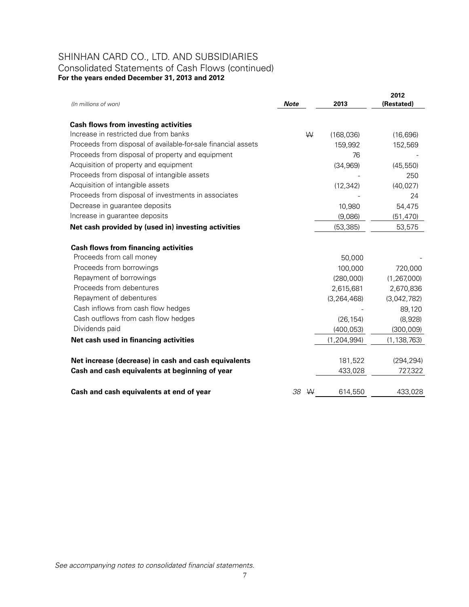# SHINHAN CARD CO., LTD. AND SUBSIDIARIES Consolidated Statements of Cash Flows (continued)

**For the years ended December 31, 2013 and 2012**

| (In millions of won)                                          | <b>Note</b> |   | 2013          | 2012<br>(Restated) |
|---------------------------------------------------------------|-------------|---|---------------|--------------------|
|                                                               |             |   |               |                    |
| <b>Cash flows from investing activities</b>                   |             |   |               |                    |
| Increase in restricted due from banks                         |             | W | (168, 036)    | (16, 696)          |
| Proceeds from disposal of available-for-sale financial assets |             |   | 159,992       | 152,569            |
| Proceeds from disposal of property and equipment              |             |   | 76            |                    |
| Acquisition of property and equipment                         |             |   | (34, 969)     | (45, 550)          |
| Proceeds from disposal of intangible assets                   |             |   |               | 250                |
| Acquisition of intangible assets                              |             |   | (12, 342)     | (40, 027)          |
| Proceeds from disposal of investments in associates           |             |   |               | 24                 |
| Decrease in guarantee deposits                                |             |   | 10,980        | 54,475             |
| Increase in guarantee deposits                                |             |   | (9,086)       | (51, 470)          |
| Net cash provided by (used in) investing activities           |             |   | (53, 385)     | 53,575             |
| <b>Cash flows from financing activities</b>                   |             |   |               |                    |
| Proceeds from call money                                      |             |   | 50,000        |                    |
| Proceeds from borrowings                                      |             |   | 100,000       | 720,000            |
| Repayment of borrowings                                       |             |   | (280,000)     | (1, 267, 000)      |
| Proceeds from debentures                                      |             |   | 2,615,681     | 2,670,836          |
| Repayment of debentures                                       |             |   | (3, 264, 468) | (3,042,782)        |
| Cash inflows from cash flow hedges                            |             |   |               | 89,120             |
| Cash outflows from cash flow hedges                           |             |   | (26, 154)     | (8,928)            |
| Dividends paid                                                |             |   | (400, 053)    | (300,009)          |
| Net cash used in financing activities                         |             |   | (1, 204, 994) | (1, 138, 763)      |
| Net increase (decrease) in cash and cash equivalents          |             |   | 181,522       | (294, 294)         |
| Cash and cash equivalents at beginning of year                |             |   | 433,028       | 727,322            |
|                                                               |             |   |               |                    |
| Cash and cash equivalents at end of year                      | 38          | W | 614,550       | 433,028            |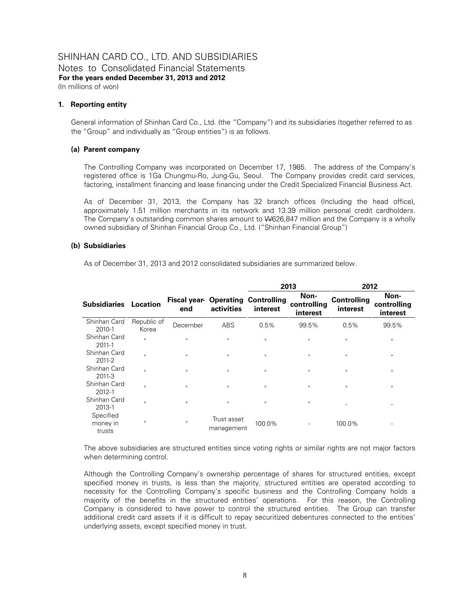Notes to Consolidated Financial Statements **For the years ended December 31, 2013 and 2012**  (In millions of won)

#### **1. Reporting entity**

General information of Shinhan Card Co., Ltd. (the "Company") and its subsidiaries (together referred to as the "Group" and individually as "Group entities") is as follows.

# **(a) Parent company**

The Controlling Company was incorporated on December 17, 1985. The address of the Company's registered office is 1Ga Chungmu-Ro, Jung-Gu, Seoul. The Company provides credit card services, factoring, installment financing and lease financing under the Credit Specialized Financial Business Act.

As of December 31, 2013, the Company has 32 branch offices (Including the head office), approximately 1.51 million merchants in its network and 13.39 million personal credit cardholders. The Company's outstanding common shares amount to W626,847 million and the Company is a wholly owned subsidiary of Shinhan Financial Group Co., Ltd. ("Shinhan Financial Group")

# **(b) Subsidiaries**

As of December 31, 2013 and 2012 consolidated subsidiaries are summarized below.

|                                 |                      |                                                  |                           | 2013         |                                 | 2012                           |                                 |
|---------------------------------|----------------------|--------------------------------------------------|---------------------------|--------------|---------------------------------|--------------------------------|---------------------------------|
| <b>Subsidiaries Location</b>    |                      | <b>Fiscal year- Operating Controlling</b><br>end | activities                | interest     | Non-<br>controlling<br>interest | <b>Controlling</b><br>interest | Non-<br>controlling<br>interest |
| Shinhan Card<br>2010-1          | Republic of<br>Korea | December                                         | <b>ABS</b>                | 0.5%         | 99.5%                           | 0.5%                           | 99.5%                           |
| Shinhan Card<br>2011-1          | $\mathbf{u}$         | $\mathbf{u}$                                     | $\mathbf{H}$              | $\mathbf{u}$ | $\mathbf{u}$                    | $\mathbf{u}$                   | $\mathbf{u}$                    |
| Shinhan Card<br>2011-2          | $\mathbf{u}$         | $\mathbf{H}$                                     | $\mathbf{u}$              | $\mathbf{u}$ | $\mathbf{u}$                    | $\mathbf{u}$                   | $\mathbf{u}$                    |
| Shinhan Card<br>2011-3          | $\mathbf{u}$         | $\mathbf{u}$                                     | $\mathsf{II}$             | $\mathbf H$  | $\mathbf{H}$                    | $\mathbf{u}$                   | $\mathbf{u}$                    |
| Shinhan Card<br>2012-1          | $\mathbf{u}$         | $\mathbf{u}$                                     | $\mathbf{H}$              | $\mathbf{u}$ | $\mathbf{u}$                    | $\mathbf{u}$                   | $\mathbf{u}$                    |
| Shinhan Card<br>2013-1          | $\mathbf{u}$         | $\mathbf{u}$                                     | $\mathbf{H}$              | $\mathbf{u}$ | $\mathbf{H}$                    |                                |                                 |
| Specified<br>money in<br>trusts | $\mathbf{u}$         | $\mathbf{u}$                                     | Trust asset<br>management | 100.0%       |                                 | 100.0%                         |                                 |

The above subsidiaries are structured entities since voting rights or similar rights are not major factors when determining control.

Although the Controlling Company's ownership percentage of shares for structured entities, except specified money in trusts, is less than the majority, structured entities are operated according to necessity for the Controlling Company's specific business and the Controlling Company holds a majority of the benefits in the structured entities' operations. For this reason, the Controlling Company is considered to have power to control the structured entities. The Group can transfer additional credit card assets if it is difficult to repay securitized debentures connected to the entities' underlying assets, except specified money in trust.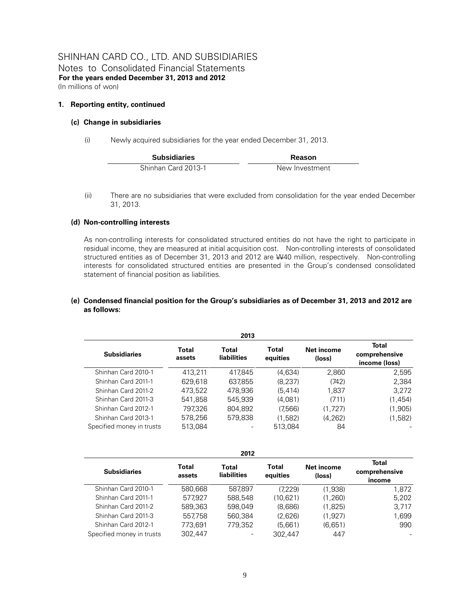Notes to Consolidated Financial Statements **For the years ended December 31, 2013 and 2012**  (In millions of won)

# **1. Reporting entity, continued**

# **(c) Change in subsidiaries**

(i) Newly acquired subsidiaries for the year ended December 31, 2013.

| <b>Subsidiaries</b> | Reason         |  |  |
|---------------------|----------------|--|--|
| Shinhan Card 2013-1 | New Investment |  |  |

(ii) There are no subsidiaries that were excluded from consolidation for the year ended December 31, 2013.

# **(d) Non-controlling interests**

As non-controlling interests for consolidated structured entities do not have the right to participate in residual income, they are measured at initial acquisition cost. Non-controlling interests of consolidated structured entities as of December 31, 2013 and 2012 are W40 million, respectively. Non-controlling interests for consolidated structured entities are presented in the Group's condensed consolidated statement of financial position as liabilities.

# **(e) Condensed financial position for the Group's subsidiaries as of December 31, 2013 and 2012 are as follows:**

| 2013                      |                        |                      |                   |                      |                                         |  |  |
|---------------------------|------------------------|----------------------|-------------------|----------------------|-----------------------------------------|--|--|
| <b>Subsidiaries</b>       | <b>Total</b><br>assets | Total<br>liabilities | Total<br>equities | Net income<br>(loss) | Total<br>comprehensive<br>income (loss) |  |  |
| Shinhan Card 2010-1       | 413.211                | 417.845              | (4,634)           | 2,860                | 2,595                                   |  |  |
| Shinhan Card 2011-1       | 629.618                | 637,855              | (8, 237)          | (742)                | 2,384                                   |  |  |
| Shinhan Card 2011-2       | 473.522                | 478.936              | (5.414)           | 1.837                | 3,272                                   |  |  |
| Shinhan Card 2011-3       | 541.858                | 545.939              | (4.081)           | (711)                | (1, 454)                                |  |  |
| Shinhan Card 2012-1       | 797.326                | 804.892              | (7,566)           | (1,727)              | (1,905)                                 |  |  |
| Shinhan Card 2013-1       | 578.256                | 579.838              | (1,582)           | (4.262)              | (1,582)                                 |  |  |
| Specified money in trusts | 513,084                |                      | 513,084           | 84                   |                                         |  |  |

| 2012                      |                 |                             |                   |                      |                                         |  |  |
|---------------------------|-----------------|-----------------------------|-------------------|----------------------|-----------------------------------------|--|--|
| <b>Subsidiaries</b>       | Total<br>assets | Total<br><b>liabilities</b> | Total<br>equities | Net income<br>(loss) | <b>Total</b><br>comprehensive<br>income |  |  |
| Shinhan Card 2010-1       | 580.668         | 587.897                     | (7.229)           | (1.938)              | 1,872                                   |  |  |
| Shinhan Card 2011-1       | 577.927         | 588.548                     | (10,621)          | (1.260)              | 5,202                                   |  |  |
| Shinhan Card 2011-2       | 589,363         | 598.049                     | (8,686)           | (1.825)              | 3,717                                   |  |  |
| Shinhan Card 2011-3       | 557.758         | 560.384                     | (2,626)           | (1.927)              | 1,699                                   |  |  |
| Shinhan Card 2012-1       | 773,691         | 779.352                     | (5,661)           | (6,651)              | 990                                     |  |  |
| Specified money in trusts | 302.447         | -                           | 302.447           | 447                  |                                         |  |  |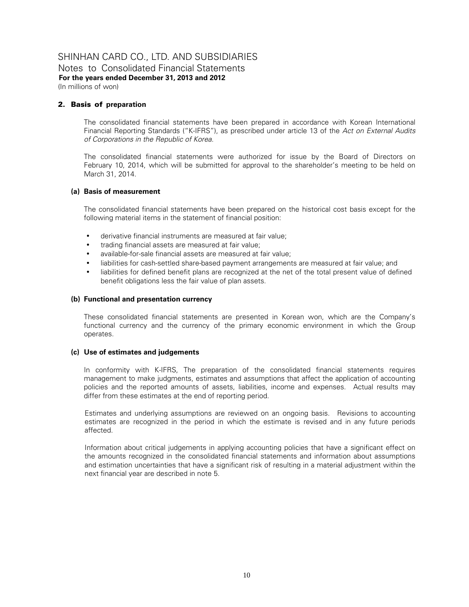Notes to Consolidated Financial Statements **For the years ended December 31, 2013 and 2012**  (In millions of won)

# 2. Basis of **preparation**

The consolidated financial statements have been prepared in accordance with Korean International Financial Reporting Standards ("K-IFRS"), as prescribed under article 13 of the *Act on External Audits of Corporations in the Republic of Korea*.

The consolidated financial statements were authorized for issue by the Board of Directors on February 10, 2014, which will be submitted for approval to the shareholder's meeting to be held on March 31, 2014.

# **(a) Basis of measurement**

The consolidated financial statements have been prepared on the historical cost basis except for the following material items in the statement of financial position:

- derivative financial instruments are measured at fair value;
- trading financial assets are measured at fair value;
- available-for-sale financial assets are measured at fair value;
- liabilities for cash-settled share-based payment arrangements are measured at fair value; and
- liabilities for defined benefit plans are recognized at the net of the total present value of defined benefit obligations less the fair value of plan assets.

# **(b) Functional and presentation currency**

These consolidated financial statements are presented in Korean won, which are the Company's functional currency and the currency of the primary economic environment in which the Group operates.

#### **(c) Use of estimates and judgements**

In conformity with K-IFRS, The preparation of the consolidated financial statements requires management to make judgments, estimates and assumptions that affect the application of accounting policies and the reported amounts of assets, liabilities, income and expenses. Actual results may differ from these estimates at the end of reporting period.

Estimates and underlying assumptions are reviewed on an ongoing basis. Revisions to accounting estimates are recognized in the period in which the estimate is revised and in any future periods affected.

Information about critical judgements in applying accounting policies that have a significant effect on the amounts recognized in the consolidated financial statements and information about assumptions and estimation uncertainties that have a significant risk of resulting in a material adjustment within the next financial year are described in note 5.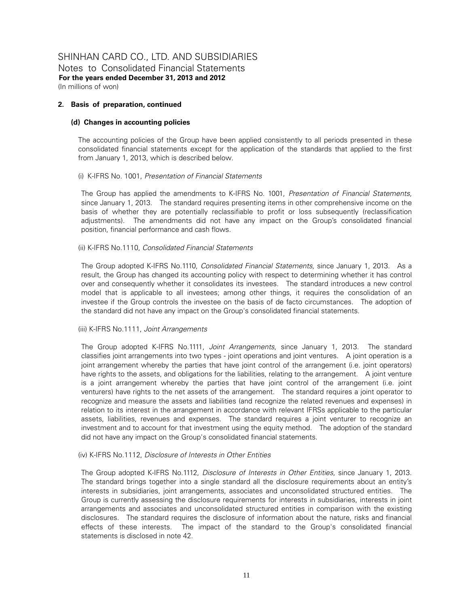Notes to Consolidated Financial Statements **For the years ended December 31, 2013 and 2012**  (In millions of won)

# **2. Basis of preparation, continued**

# **(d) Changes in accounting policies**

The accounting policies of the Group have been applied consistently to all periods presented in these consolidated financial statements except for the application of the standards that applied to the first from January 1, 2013, which is described below.

# (i) K-IFRS No. 1001, *Presentation of Financial Statements*

The Group has applied the amendments to K-IFRS No. 1001, *Presentation of Financial Statements,* since January 1, 2013. The standard requires presenting items in other comprehensive income on the basis of whether they are potentially reclassifiable to profit or loss subsequently (reclassification adjustments). The amendments did not have any impact on the Group's consolidated financial position, financial performance and cash flows.

# (ii) K-IFRS No.1110, *Consolidated Financial Statements*

The Group adopted K-IFRS No.1110, *Consolidated Financial Statements,* since January 1, 2013. As a result, the Group has changed its accounting policy with respect to determining whether it has control over and consequently whether it consolidates its investees. The standard introduces a new control model that is applicable to all investees; among other things, it requires the consolidation of an investee if the Group controls the investee on the basis of de facto circumstances. The adoption of the standard did not have any impact on the Group's consolidated financial statements.

#### (iii) K-IFRS No.1111, *Joint Arrangements*

The Group adopted K-IFRS No.1111, *Joint Arrangements,* since January 1, 2013. The standard classifies joint arrangements into two types - joint operations and joint ventures. A joint operation is a joint arrangement whereby the parties that have joint control of the arrangement (i.e. joint operators) have rights to the assets, and obligations for the liabilities, relating to the arrangement. A joint venture is a joint arrangement whereby the parties that have joint control of the arrangement (i.e. joint venturers) have rights to the net assets of the arrangement. The standard requires a joint operator to recognize and measure the assets and liabilities (and recognize the related revenues and expenses) in relation to its interest in the arrangement in accordance with relevant IFRSs applicable to the particular assets, liabilities, revenues and expenses. The standard requires a joint venturer to recognize an investment and to account for that investment using the equity method. The adoption of the standard did not have any impact on the Group's consolidated financial statements.

#### (iv) K-IFRS No.1112, *Disclosure of Interests in Other Entities*

The Group adopted K-IFRS No.1112, *Disclosure of Interests in Other Entities,* since January 1, 2013. The standard brings together into a single standard all the disclosure requirements about an entity's interests in subsidiaries, joint arrangements, associates and unconsolidated structured entities. The Group is currently assessing the disclosure requirements for interests in subsidiaries, interests in joint arrangements and associates and unconsolidated structured entities in comparison with the existing disclosures. The standard requires the disclosure of information about the nature, risks and financial effects of these interests. The impact of the standard to the Group's consolidated financial statements is disclosed in note 42.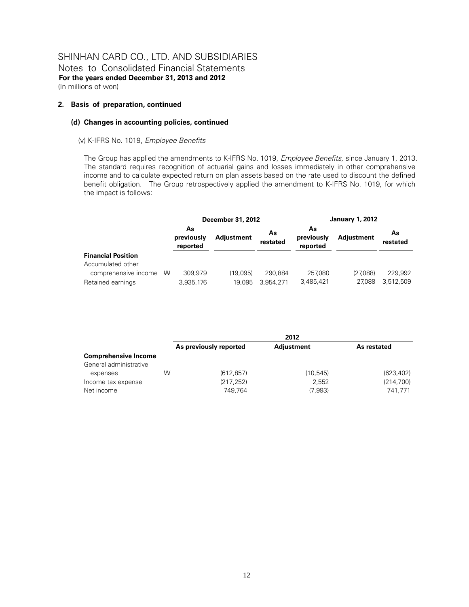#### **2. Basis of preparation, continued**

# **(d) Changes in accounting policies, continued**

#### (v) K-IFRS No. 1019, *Employee Benefits*

The Group has applied the amendments to K-IFRS No. 1019, *Employee Benefits,* since January 1, 2013. The standard requires recognition of actuarial gains and losses immediately in other comprehensive income and to calculate expected return on plan assets based on the rate used to discount the defined benefit obligation. The Group retrospectively applied the amendment to K-IFRS No. 1019, for which the impact is follows:

|                           | <b>December 31, 2012</b>     |                   |                | <b>January 1, 2012</b>       |                   |                |
|---------------------------|------------------------------|-------------------|----------------|------------------------------|-------------------|----------------|
|                           | As<br>previously<br>reported | <b>Adjustment</b> | As<br>restated | As<br>previously<br>reported | <b>Adjustment</b> | As<br>restated |
| <b>Financial Position</b> |                              |                   |                |                              |                   |                |
| Accumulated other         |                              |                   |                |                              |                   |                |
| comprehensive income $W$  | 309.979                      | (19.095)          | 290.884        | 257,080                      | (27.088)          | 229.992        |
| Retained earnings         | 3,935,176                    | 19,095            | 3.954.271      | 3,485,421                    | 27.088            | 3,512,509      |

|                                                       |   | 2012                   |                  |                      |  |
|-------------------------------------------------------|---|------------------------|------------------|----------------------|--|
|                                                       |   | As previously reported | Adjustment       | As restated          |  |
| <b>Comprehensive Income</b><br>General administrative |   |                        |                  |                      |  |
| expenses                                              | ₩ | (612, 857)             | (10, 545)        | (623, 402)           |  |
| Income tax expense<br>Net income                      |   | (217, 252)<br>749.764  | 2,552<br>(7,993) | (214,700)<br>741.771 |  |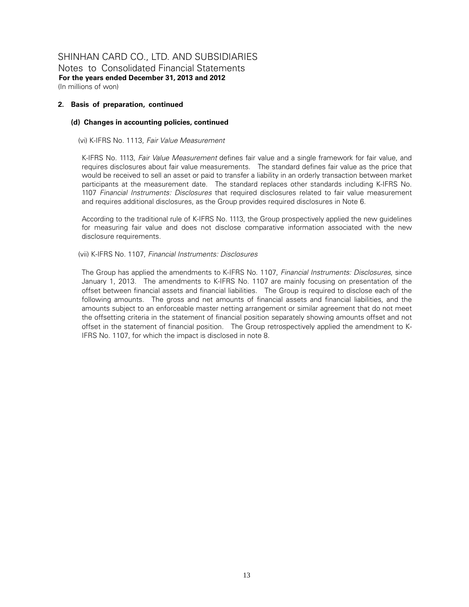Notes to Consolidated Financial Statements **For the years ended December 31, 2013 and 2012**  (In millions of won)

#### **2. Basis of preparation, continued**

#### **(d) Changes in accounting policies, continued**

(vi) K-IFRS No. 1113, *Fair Value Measurement*

K-IFRS No. 1113, *Fair Value Measurement* defines fair value and a single framework for fair value, and requires disclosures about fair value measurements. The standard defines fair value as the price that would be received to sell an asset or paid to transfer a liability in an orderly transaction between market participants at the measurement date. The standard replaces other standards including K-IFRS No. 1107 *Financial Instruments: Disclosures* that required disclosures related to fair value measurement and requires additional disclosures, as the Group provides required disclosures in Note 6.

According to the traditional rule of K-IFRS No. 1113, the Group prospectively applied the new guidelines for measuring fair value and does not disclose comparative information associated with the new disclosure requirements.

(vii) K-IFRS No. 1107, *Financial Instruments: Disclosures* 

The Group has applied the amendments to K-IFRS No. 1107, *Financial Instruments: Disclosures*, since January 1, 2013. The amendments to K-IFRS No. 1107 are mainly focusing on presentation of the offset between financial assets and financial liabilities. The Group is required to disclose each of the following amounts. The gross and net amounts of financial assets and financial liabilities, and the amounts subject to an enforceable master netting arrangement or similar agreement that do not meet the offsetting criteria in the statement of financial position separately showing amounts offset and not offset in the statement of financial position. The Group retrospectively applied the amendment to K-IFRS No. 1107, for which the impact is disclosed in note 8.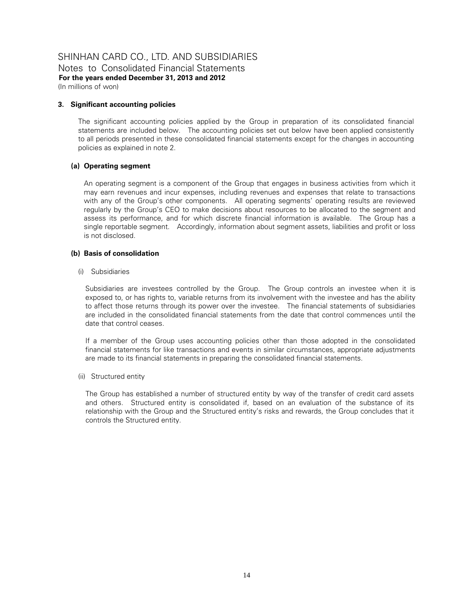Notes to Consolidated Financial Statements **For the years ended December 31, 2013 and 2012**  (In millions of won)

# **3. Significant accounting policies**

The significant accounting policies applied by the Group in preparation of its consolidated financial statements are included below. The accounting policies set out below have been applied consistently to all periods presented in these consolidated financial statements except for the changes in accounting policies as explained in note 2.

# **(a) Operating segment**

An operating segment is a component of the Group that engages in business activities from which it may earn revenues and incur expenses, including revenues and expenses that relate to transactions with any of the Group's other components. All operating segments' operating results are reviewed regularly by the Group's CEO to make decisions about resources to be allocated to the segment and assess its performance, and for which discrete financial information is available. The Group has a single reportable segment. Accordingly, information about segment assets, liabilities and profit or loss is not disclosed.

# **(b) Basis of consolidation**

(i) Subsidiaries

Subsidiaries are investees controlled by the Group. The Group controls an investee when it is exposed to, or has rights to, variable returns from its involvement with the investee and has the ability to affect those returns through its power over the investee. The financial statements of subsidiaries are included in the consolidated financial statements from the date that control commences until the date that control ceases.

If a member of the Group uses accounting policies other than those adopted in the consolidated financial statements for like transactions and events in similar circumstances, appropriate adjustments are made to its financial statements in preparing the consolidated financial statements.

#### (ii) Structured entity

The Group has established a number of structured entity by way of the transfer of credit card assets and others. Structured entity is consolidated if, based on an evaluation of the substance of its relationship with the Group and the Structured entity's risks and rewards, the Group concludes that it controls the Structured entity.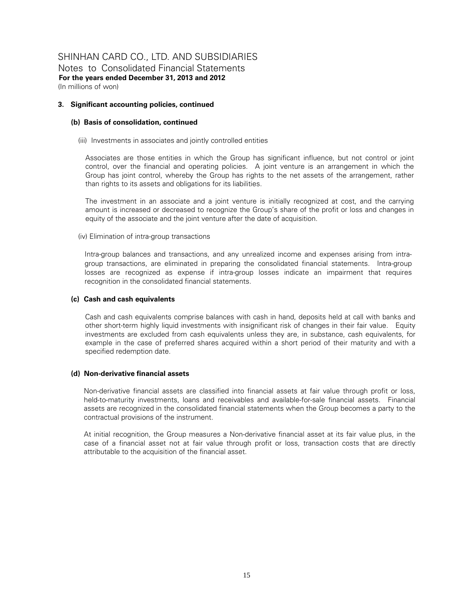Notes to Consolidated Financial Statements **For the years ended December 31, 2013 and 2012**  (In millions of won)

#### **3. Significant accounting policies, continued**

# **(b) Basis of consolidation, continued**

(iii) Investments in associates and jointly controlled entities

Associates are those entities in which the Group has significant influence, but not control or joint control, over the financial and operating policies. A joint venture is an arrangement in which the Group has joint control, whereby the Group has rights to the net assets of the arrangement, rather than rights to its assets and obligations for its liabilities.

The investment in an associate and a joint venture is initially recognized at cost, and the carrying amount is increased or decreased to recognize the Group's share of the profit or loss and changes in equity of the associate and the joint venture after the date of acquisition.

# (iv) Elimination of intra-group transactions

Intra-group balances and transactions, and any unrealized income and expenses arising from intragroup transactions, are eliminated in preparing the consolidated financial statements. Intra-group losses are recognized as expense if intra-group losses indicate an impairment that requires recognition in the consolidated financial statements.

# **(c) Cash and cash equivalents**

Cash and cash equivalents comprise balances with cash in hand, deposits held at call with banks and other short-term highly liquid investments with insignificant risk of changes in their fair value. Equity investments are excluded from cash equivalents unless they are, in substance, cash equivalents, for example in the case of preferred shares acquired within a short period of their maturity and with a specified redemption date.

#### **(d) Non-derivative financial assets**

Non-derivative financial assets are classified into financial assets at fair value through profit or loss, held-to-maturity investments, loans and receivables and available-for-sale financial assets. Financial assets are recognized in the consolidated financial statements when the Group becomes a party to the contractual provisions of the instrument.

At initial recognition, the Group measures a Non-derivative financial asset at its fair value plus, in the case of a financial asset not at fair value through profit or loss, transaction costs that are directly attributable to the acquisition of the financial asset.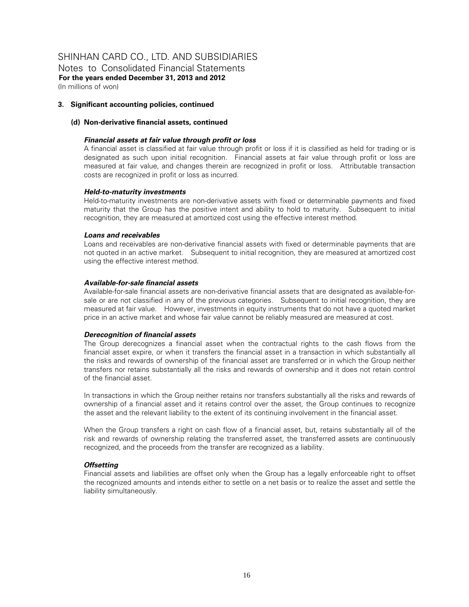Notes to Consolidated Financial Statements **For the years ended December 31, 2013 and 2012**  (In millions of won)

#### **3. Significant accounting policies, continued**

# **(d) Non-derivative financial assets, continued**

#### *Financial assets at fair value through profit or loss*

A financial asset is classified at fair value through profit or loss if it is classified as held for trading or is designated as such upon initial recognition. Financial assets at fair value through profit or loss are measured at fair value, and changes therein are recognized in profit or loss. Attributable transaction costs are recognized in profit or loss as incurred.

#### *Held-to-maturity investments*

Held-to-maturity investments are non-derivative assets with fixed or determinable payments and fixed maturity that the Group has the positive intent and ability to hold to maturity. Subsequent to initial recognition, they are measured at amortized cost using the effective interest method.

# *Loans and receivables*

Loans and receivables are non-derivative financial assets with fixed or determinable payments that are not quoted in an active market. Subsequent to initial recognition, they are measured at amortized cost using the effective interest method.

# *Available-for-sale financial assets*

Available-for-sale financial assets are non-derivative financial assets that are designated as available-forsale or are not classified in any of the previous categories. Subsequent to initial recognition, they are measured at fair value. However, investments in equity instruments that do not have a quoted market price in an active market and whose fair value cannot be reliably measured are measured at cost.

#### *Derecognition of financial assets*

The Group derecognizes a financial asset when the contractual rights to the cash flows from the financial asset expire, or when it transfers the financial asset in a transaction in which substantially all the risks and rewards of ownership of the financial asset are transferred or in which the Group neither transfers nor retains substantially all the risks and rewards of ownership and it does not retain control of the financial asset.

In transactions in which the Group neither retains nor transfers substantially all the risks and rewards of ownership of a financial asset and it retains control over the asset, the Group continues to recognize the asset and the relevant liability to the extent of its continuing involvement in the financial asset.

When the Group transfers a right on cash flow of a financial asset, but, retains substantially all of the risk and rewards of ownership relating the transferred asset, the transferred assets are continuously recognized, and the proceeds from the transfer are recognized as a liability.

#### *Offsetting*

Financial assets and liabilities are offset only when the Group has a legally enforceable right to offset the recognized amounts and intends either to settle on a net basis or to realize the asset and settle the liability simultaneously.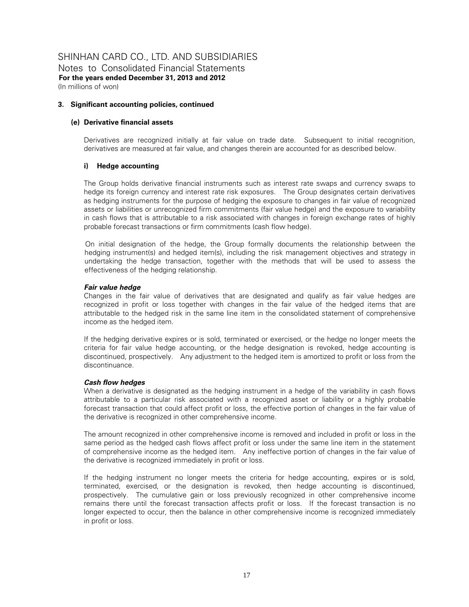Notes to Consolidated Financial Statements **For the years ended December 31, 2013 and 2012**  (In millions of won)

#### **3. Significant accounting policies, continued**

# **(e) Derivative financial assets**

Derivatives are recognized initially at fair value on trade date. Subsequent to initial recognition, derivatives are measured at fair value, and changes therein are accounted for as described below.

# **i) Hedge accounting**

The Group holds derivative financial instruments such as interest rate swaps and currency swaps to hedge its foreign currency and interest rate risk exposures. The Group designates certain derivatives as hedging instruments for the purpose of hedging the exposure to changes in fair value of recognized assets or liabilities or unrecognized firm commitments (fair value hedge) and the exposure to variability in cash flows that is attributable to a risk associated with changes in foreign exchange rates of highly probable forecast transactions or firm commitments (cash flow hedge).

On initial designation of the hedge, the Group formally documents the relationship between the hedging instrument(s) and hedged item(s), including the risk management objectives and strategy in undertaking the hedge transaction, together with the methods that will be used to assess the effectiveness of the hedging relationship.

# *Fair value hedge*

Changes in the fair value of derivatives that are designated and qualify as fair value hedges are recognized in profit or loss together with changes in the fair value of the hedged items that are attributable to the hedged risk in the same line item in the consolidated statement of comprehensive income as the hedged item.

If the hedging derivative expires or is sold, terminated or exercised, or the hedge no longer meets the criteria for fair value hedge accounting, or the hedge designation is revoked, hedge accounting is discontinued, prospectively. Any adjustment to the hedged item is amortized to profit or loss from the discontinuance.

#### *Cash flow hedges*

When a derivative is designated as the hedging instrument in a hedge of the variability in cash flows attributable to a particular risk associated with a recognized asset or liability or a highly probable forecast transaction that could affect profit or loss, the effective portion of changes in the fair value of the derivative is recognized in other comprehensive income.

The amount recognized in other comprehensive income is removed and included in profit or loss in the same period as the hedged cash flows affect profit or loss under the same line item in the statement of comprehensive income as the hedged item. Any ineffective portion of changes in the fair value of the derivative is recognized immediately in profit or loss.

If the hedging instrument no longer meets the criteria for hedge accounting, expires or is sold, terminated, exercised, or the designation is revoked, then hedge accounting is discontinued, prospectively. The cumulative gain or loss previously recognized in other comprehensive income remains there until the forecast transaction affects profit or loss. If the forecast transaction is no longer expected to occur, then the balance in other comprehensive income is recognized immediately in profit or loss.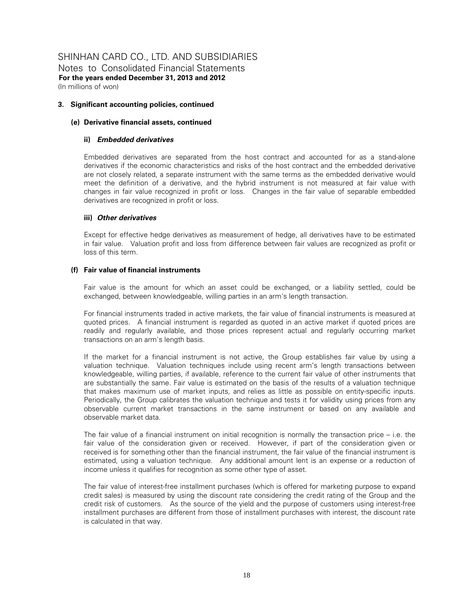Notes to Consolidated Financial Statements **For the years ended December 31, 2013 and 2012**  (In millions of won)

#### **3. Significant accounting policies, continued**

# **(e) Derivative financial assets, continued**

#### **ii)** *Embedded derivatives*

Embedded derivatives are separated from the host contract and accounted for as a stand-alone derivatives if the economic characteristics and risks of the host contract and the embedded derivative are not closely related, a separate instrument with the same terms as the embedded derivative would meet the definition of a derivative, and the hybrid instrument is not measured at fair value with changes in fair value recognized in profit or loss. Changes in the fair value of separable embedded derivatives are recognized in profit or loss.

# **iii)** *Other derivatives*

Except for effective hedge derivatives as measurement of hedge, all derivatives have to be estimated in fair value. Valuation profit and loss from difference between fair values are recognized as profit or loss of this term.

# **(f) Fair value of financial instruments**

Fair value is the amount for which an asset could be exchanged, or a liability settled, could be exchanged, between knowledgeable, willing parties in an arm's length transaction.

For financial instruments traded in active markets, the fair value of financial instruments is measured at quoted prices. A financial instrument is regarded as quoted in an active market if quoted prices are readily and regularly available, and those prices represent actual and regularly occurring market transactions on an arm's length basis.

If the market for a financial instrument is not active, the Group establishes fair value by using a valuation technique. Valuation techniques include using recent arm's length transactions between knowledgeable, willing parties, if available, reference to the current fair value of other instruments that are substantially the same. Fair value is estimated on the basis of the results of a valuation technique that makes maximum use of market inputs, and relies as little as possible on entity-specific inputs. Periodically, the Group calibrates the valuation technique and tests it for validity using prices from any observable current market transactions in the same instrument or based on any available and observable market data.

The fair value of a financial instrument on initial recognition is normally the transaction price  $-$  i.e. the fair value of the consideration given or received. However, if part of the consideration given or received is for something other than the financial instrument, the fair value of the financial instrument is estimated, using a valuation technique. Any additional amount lent is an expense or a reduction of income unless it qualifies for recognition as some other type of asset.

The fair value of interest-free installment purchases (which is offered for marketing purpose to expand credit sales) is measured by using the discount rate considering the credit rating of the Group and the credit risk of customers. As the source of the yield and the purpose of customers using interest-free installment purchases are different from those of installment purchases with interest, the discount rate is calculated in that way.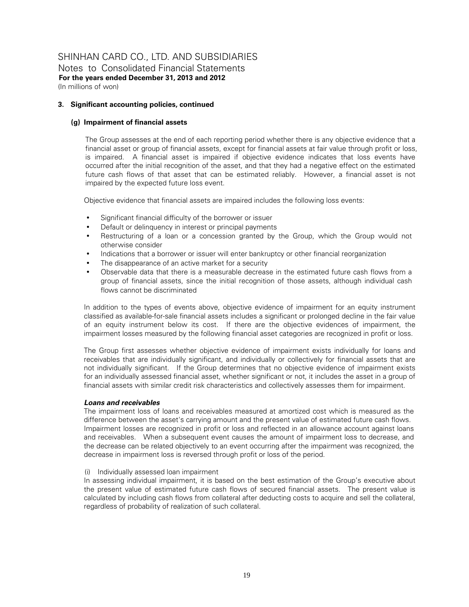Notes to Consolidated Financial Statements **For the years ended December 31, 2013 and 2012**  (In millions of won)

# **3. Significant accounting policies, continued**

# **(g) Impairment of financial assets**

The Group assesses at the end of each reporting period whether there is any objective evidence that a financial asset or group of financial assets, except for financial assets at fair value through profit or loss, is impaired. A financial asset is impaired if objective evidence indicates that loss events have occurred after the initial recognition of the asset, and that they had a negative effect on the estimated future cash flows of that asset that can be estimated reliably. However, a financial asset is not impaired by the expected future loss event.

Objective evidence that financial assets are impaired includes the following loss events:

- Significant financial difficulty of the borrower or issuer
- Default or delinquency in interest or principal payments
- Restructuring of a loan or a concession granted by the Group, which the Group would not otherwise consider
- Indications that a borrower or issuer will enter bankruptcy or other financial reorganization
- The disappearance of an active market for a security
- Observable data that there is a measurable decrease in the estimated future cash flows from a group of financial assets, since the initial recognition of those assets, although individual cash flows cannot be discriminated

In addition to the types of events above, objective evidence of impairment for an equity instrument classified as available-for-sale financial assets includes a significant or prolonged decline in the fair value of an equity instrument below its cost. If there are the objective evidences of impairment, the impairment losses measured by the following financial asset categories are recognized in profit or loss.

The Group first assesses whether objective evidence of impairment exists individually for loans and receivables that are individually significant, and individually or collectively for financial assets that are not individually significant. If the Group determines that no objective evidence of impairment exists for an individually assessed financial asset, whether significant or not, it includes the asset in a group of financial assets with similar credit risk characteristics and collectively assesses them for impairment.

# *Loans and receivables*

The impairment loss of loans and receivables measured at amortized cost which is measured as the difference between the asset's carrying amount and the present value of estimated future cash flows. Impairment losses are recognized in profit or loss and reflected in an allowance account against loans and receivables. When a subsequent event causes the amount of impairment loss to decrease, and the decrease can be related objectively to an event occurring after the impairment was recognized, the decrease in impairment loss is reversed through profit or loss of the period.

#### (i) Individually assessed loan impairment

In assessing individual impairment, it is based on the best estimation of the Group's executive about the present value of estimated future cash flows of secured financial assets. The present value is calculated by including cash flows from collateral after deducting costs to acquire and sell the collateral, regardless of probability of realization of such collateral.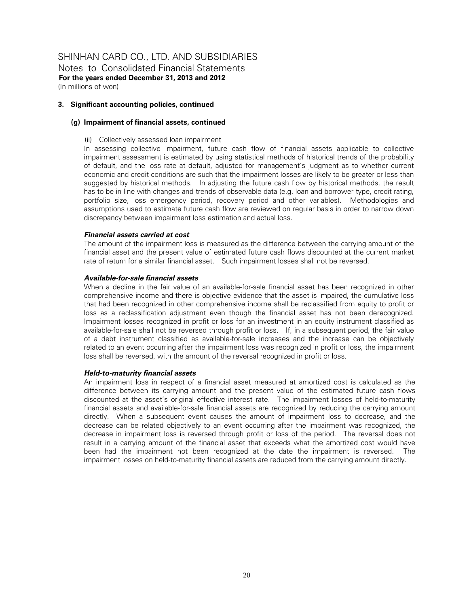Notes to Consolidated Financial Statements **For the years ended December 31, 2013 and 2012**  (In millions of won)

#### **3. Significant accounting policies, continued**

# **(g) Impairment of financial assets, continued**

(ii) Collectively assessed loan impairment

In assessing collective impairment, future cash flow of financial assets applicable to collective impairment assessment is estimated by using statistical methods of historical trends of the probability of default, and the loss rate at default, adjusted for management's judgment as to whether current economic and credit conditions are such that the impairment losses are likely to be greater or less than suggested by historical methods. In adjusting the future cash flow by historical methods, the result has to be in line with changes and trends of observable data (e.g. loan and borrower type, credit rating, portfolio size, loss emergency period, recovery period and other variables). Methodologies and assumptions used to estimate future cash flow are reviewed on regular basis in order to narrow down discrepancy between impairment loss estimation and actual loss.

# *Financial assets carried at cost*

The amount of the impairment loss is measured as the difference between the carrying amount of the financial asset and the present value of estimated future cash flows discounted at the current market rate of return for a similar financial asset. Such impairment losses shall not be reversed.

# *Available-for-sale financial assets*

When a decline in the fair value of an available-for-sale financial asset has been recognized in other comprehensive income and there is objective evidence that the asset is impaired, the cumulative loss that had been recognized in other comprehensive income shall be reclassified from equity to profit or loss as a reclassification adjustment even though the financial asset has not been derecognized. Impairment losses recognized in profit or loss for an investment in an equity instrument classified as available-for-sale shall not be reversed through profit or loss. If, in a subsequent period, the fair value of a debt instrument classified as available-for-sale increases and the increase can be objectively related to an event occurring after the impairment loss was recognized in profit or loss, the impairment loss shall be reversed, with the amount of the reversal recognized in profit or loss.

#### *Held-to-maturity financial assets*

An impairment loss in respect of a financial asset measured at amortized cost is calculated as the difference between its carrying amount and the present value of the estimated future cash flows discounted at the asset's original effective interest rate. The impairment losses of held-to-maturity financial assets and available-for-sale financial assets are recognized by reducing the carrying amount directly. When a subsequent event causes the amount of impairment loss to decrease, and the decrease can be related objectively to an event occurring after the impairment was recognized, the decrease in impairment loss is reversed through profit or loss of the period. The reversal does not result in a carrying amount of the financial asset that exceeds what the amortized cost would have been had the impairment not been recognized at the date the impairment is reversed. The impairment losses on held-to-maturity financial assets are reduced from the carrying amount directly.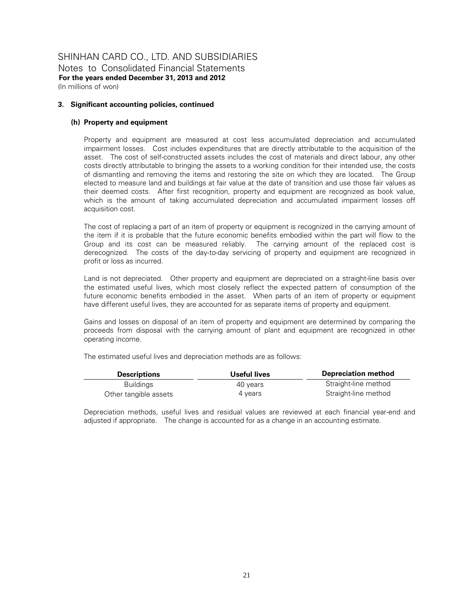#### **3. Significant accounting policies, continued**

#### **(h) Property and equipment**

Property and equipment are measured at cost less accumulated depreciation and accumulated impairment losses. Cost includes expenditures that are directly attributable to the acquisition of the asset. The cost of self-constructed assets includes the cost of materials and direct labour, any other costs directly attributable to bringing the assets to a working condition for their intended use, the costs of dismantling and removing the items and restoring the site on which they are located. The Group elected to measure land and buildings at fair value at the date of transition and use those fair values as their deemed costs. After first recognition, property and equipment are recognized as book value, which is the amount of taking accumulated depreciation and accumulated impairment losses off acquisition cost.

The cost of replacing a part of an item of property or equipment is recognized in the carrying amount of the item if it is probable that the future economic benefits embodied within the part will flow to the Group and its cost can be measured reliably. The carrying amount of the replaced cost is derecognized. The costs of the day-to-day servicing of property and equipment are recognized in profit or loss as incurred.

Land is not depreciated. Other property and equipment are depreciated on a straight-line basis over the estimated useful lives, which most closely reflect the expected pattern of consumption of the future economic benefits embodied in the asset. When parts of an item of property or equipment have different useful lives, they are accounted for as separate items of property and equipment.

Gains and losses on disposal of an item of property and equipment are determined by comparing the proceeds from disposal with the carrying amount of plant and equipment are recognized in other operating income.

The estimated useful lives and depreciation methods are as follows:

| <b>Descriptions</b>   | Useful lives | <b>Depreciation method</b> |
|-----------------------|--------------|----------------------------|
| Buildings             | 40 vears     | Straight-line method       |
| Other tangible assets | 4 vears      | Straight-line method       |

Depreciation methods, useful lives and residual values are reviewed at each financial year-end and adjusted if appropriate. The change is accounted for as a change in an accounting estimate.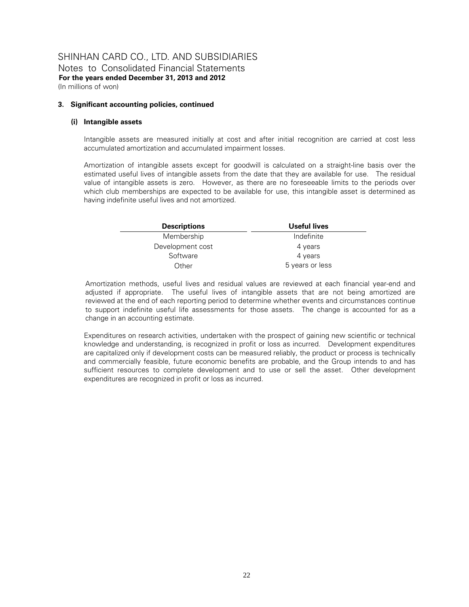(In millions of won)

#### **3. Significant accounting policies, continued**

# **(i) Intangible assets**

Intangible assets are measured initially at cost and after initial recognition are carried at cost less accumulated amortization and accumulated impairment losses.

Amortization of intangible assets except for goodwill is calculated on a straight-line basis over the estimated useful lives of intangible assets from the date that they are available for use. The residual value of intangible assets is zero. However, as there are no foreseeable limits to the periods over which club memberships are expected to be available for use, this intangible asset is determined as having indefinite useful lives and not amortized.

| <b>Descriptions</b> | Useful lives    |  |
|---------------------|-----------------|--|
| Membership          | Indefinite      |  |
| Development cost    | 4 years         |  |
| Software            | 4 years         |  |
| Other               | 5 years or less |  |

Amortization methods, useful lives and residual values are reviewed at each financial year-end and adjusted if appropriate. The useful lives of intangible assets that are not being amortized are reviewed at the end of each reporting period to determine whether events and circumstances continue to support indefinite useful life assessments for those assets. The change is accounted for as a change in an accounting estimate.

Expenditures on research activities, undertaken with the prospect of gaining new scientific or technical knowledge and understanding, is recognized in profit or loss as incurred. Development expenditures are capitalized only if development costs can be measured reliably, the product or process is technically and commercially feasible, future economic benefits are probable, and the Group intends to and has sufficient resources to complete development and to use or sell the asset. Other development expenditures are recognized in profit or loss as incurred.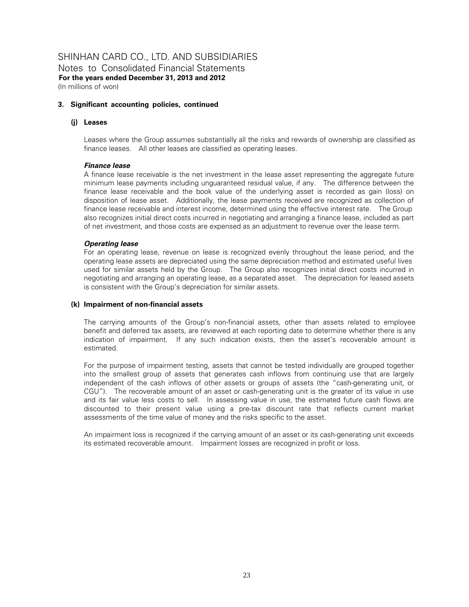#### **3. Significant accounting policies, continued**

#### **(j) Leases**

Leases where the Group assumes substantially all the risks and rewards of ownership are classified as finance leases. All other leases are classified as operating leases.

#### *Finance lease*

A finance lease receivable is the net investment in the lease asset representing the aggregate future minimum lease payments including unguaranteed residual value, if any. The difference between the finance lease receivable and the book value of the underlying asset is recorded as gain (loss) on disposition of lease asset. Additionally, the lease payments received are recognized as collection of finance lease receivable and interest income, determined using the effective interest rate. The Group also recognizes initial direct costs incurred in negotiating and arranging a finance lease, included as part of net investment, and those costs are expensed as an adjustment to revenue over the lease term.

#### *Operating lease*

For an operating lease, revenue on lease is recognized evenly throughout the lease period, and the operating lease assets are depreciated using the same depreciation method and estimated useful lives used for similar assets held by the Group. The Group also recognizes initial direct costs incurred in negotiating and arranging an operating lease, as a separated asset. The depreciation for leased assets is consistent with the Group's depreciation for similar assets.

#### **(k) Impairment of non-financial assets**

The carrying amounts of the Group's non-financial assets, other than assets related to employee benefit and deferred tax assets, are reviewed at each reporting date to determine whether there is any indication of impairment. If any such indication exists, then the asset's recoverable amount is estimated.

For the purpose of impairment testing, assets that cannot be tested individually are grouped together into the smallest group of assets that generates cash inflows from continuing use that are largely independent of the cash inflows of other assets or groups of assets (the "cash-generating unit, or CGU"). The recoverable amount of an asset or cash-generating unit is the greater of its value in use and its fair value less costs to sell. In assessing value in use, the estimated future cash flows are discounted to their present value using a pre-tax discount rate that reflects current market assessments of the time value of money and the risks specific to the asset.

An impairment loss is recognized if the carrying amount of an asset or its cash-generating unit exceeds its estimated recoverable amount. Impairment losses are recognized in profit or loss.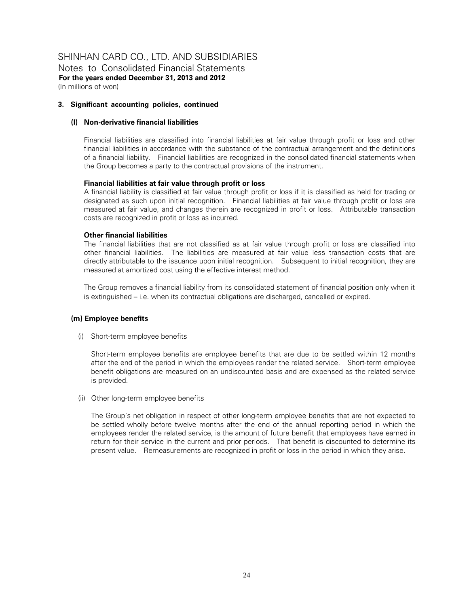Notes to Consolidated Financial Statements **For the years ended December 31, 2013 and 2012**  (In millions of won)

# **3. Significant accounting policies, continued**

# **(l) Non-derivative financial liabilities**

Financial liabilities are classified into financial liabilities at fair value through profit or loss and other financial liabilities in accordance with the substance of the contractual arrangement and the definitions of a financial liability. Financial liabilities are recognized in the consolidated financial statements when the Group becomes a party to the contractual provisions of the instrument.

# **Financial liabilities at fair value through profit or loss**

A financial liability is classified at fair value through profit or loss if it is classified as held for trading or designated as such upon initial recognition. Financial liabilities at fair value through profit or loss are measured at fair value, and changes therein are recognized in profit or loss. Attributable transaction costs are recognized in profit or loss as incurred.

# **Other financial liabilities**

The financial liabilities that are not classified as at fair value through profit or loss are classified into other financial liabilities. The liabilities are measured at fair value less transaction costs that are directly attributable to the issuance upon initial recognition. Subsequent to initial recognition, they are measured at amortized cost using the effective interest method.

The Group removes a financial liability from its consolidated statement of financial position only when it is extinguished – i.e. when its contractual obligations are discharged, cancelled or expired.

#### **(m) Employee benefits**

(i) Short-term employee benefits

Short-term employee benefits are employee benefits that are due to be settled within 12 months after the end of the period in which the employees render the related service. Short-term employee benefit obligations are measured on an undiscounted basis and are expensed as the related service is provided.

(ii) Other long-term employee benefits

The Group's net obligation in respect of other long-term employee benefits that are not expected to be settled wholly before twelve months after the end of the annual reporting period in which the employees render the related service, is the amount of future benefit that employees have earned in return for their service in the current and prior periods. That benefit is discounted to determine its present value. Remeasurements are recognized in profit or loss in the period in which they arise.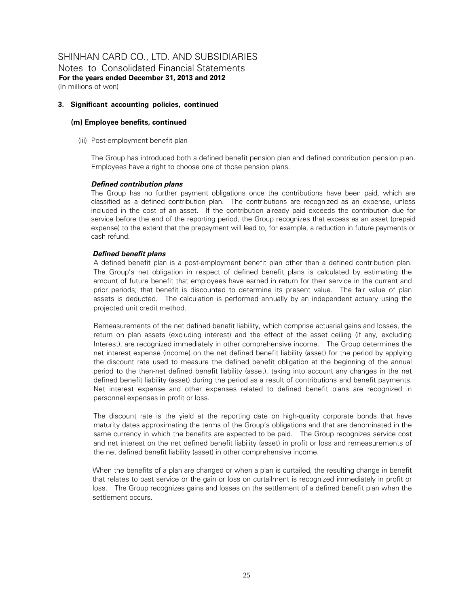Notes to Consolidated Financial Statements **For the years ended December 31, 2013 and 2012**  (In millions of won)

# **3. Significant accounting policies, continued**

# **(m) Employee benefits, continued**

(iii) Post-employment benefit plan

The Group has introduced both a defined benefit pension plan and defined contribution pension plan. Employees have a right to choose one of those pension plans.

# *Defined contribution plans*

The Group has no further payment obligations once the contributions have been paid, which are classified as a defined contribution plan. The contributions are recognized as an expense, unless included in the cost of an asset. If the contribution already paid exceeds the contribution due for service before the end of the reporting period, the Group recognizes that excess as an asset (prepaid expense) to the extent that the prepayment will lead to, for example, a reduction in future payments or cash refund.

# *Defined benefit plans*

A defined benefit plan is a post-employment benefit plan other than a defined contribution plan. The Group's net obligation in respect of defined benefit plans is calculated by estimating the amount of future benefit that employees have earned in return for their service in the current and prior periods; that benefit is discounted to determine its present value. The fair value of plan assets is deducted. The calculation is performed annually by an independent actuary using the projected unit credit method.

Remeasurements of the net defined benefit liability, which comprise actuarial gains and losses, the return on plan assets (excluding interest) and the effect of the asset ceiling (if any, excluding Interest), are recognized immediately in other comprehensive income. The Group determines the net interest expense (income) on the net defined benefit liability (asset) for the period by applying the discount rate used to measure the defined benefit obligation at the beginning of the annual period to the then-net defined benefit liability (asset), taking into account any changes in the net defined benefit liability (asset) during the period as a result of contributions and benefit payments. Net interest expense and other expenses related to defined benefit plans are recognized in personnel expenses in profit or loss.

The discount rate is the yield at the reporting date on high-quality corporate bonds that have maturity dates approximating the terms of the Group's obligations and that are denominated in the same currency in which the benefits are expected to be paid. The Group recognizes service cost and net interest on the net defined benefit liability (asset) in profit or loss and remeasurements of the net defined benefit liability (asset) in other comprehensive income.

When the benefits of a plan are changed or when a plan is curtailed, the resulting change in benefit that relates to past service or the gain or loss on curtailment is recognized immediately in profit or loss. The Group recognizes gains and losses on the settlement of a defined benefit plan when the settlement occurs.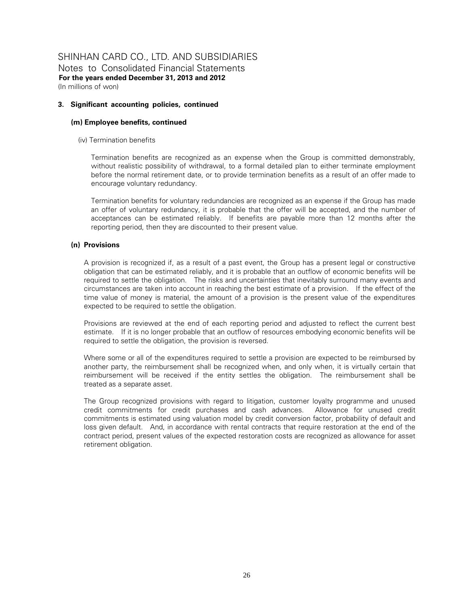Notes to Consolidated Financial Statements **For the years ended December 31, 2013 and 2012**  (In millions of won)

#### **3. Significant accounting policies, continued**

# **(m) Employee benefits, continued**

(iv) Termination benefits

Termination benefits are recognized as an expense when the Group is committed demonstrably, without realistic possibility of withdrawal, to a formal detailed plan to either terminate employment before the normal retirement date, or to provide termination benefits as a result of an offer made to encourage voluntary redundancy.

Termination benefits for voluntary redundancies are recognized as an expense if the Group has made an offer of voluntary redundancy, it is probable that the offer will be accepted, and the number of acceptances can be estimated reliably. If benefits are payable more than 12 months after the reporting period, then they are discounted to their present value.

# **(n) Provisions**

A provision is recognized if, as a result of a past event, the Group has a present legal or constructive obligation that can be estimated reliably, and it is probable that an outflow of economic benefits will be required to settle the obligation. The risks and uncertainties that inevitably surround many events and circumstances are taken into account in reaching the best estimate of a provision. If the effect of the time value of money is material, the amount of a provision is the present value of the expenditures expected to be required to settle the obligation.

Provisions are reviewed at the end of each reporting period and adjusted to reflect the current best estimate. If it is no longer probable that an outflow of resources embodying economic benefits will be required to settle the obligation, the provision is reversed.

Where some or all of the expenditures required to settle a provision are expected to be reimbursed by another party, the reimbursement shall be recognized when, and only when, it is virtually certain that reimbursement will be received if the entity settles the obligation. The reimbursement shall be treated as a separate asset.

The Group recognized provisions with regard to litigation, customer loyalty programme and unused credit commitments for credit purchases and cash advances. Allowance for unused credit commitments is estimated using valuation model by credit conversion factor, probability of default and loss given default. And, in accordance with rental contracts that require restoration at the end of the contract period, present values of the expected restoration costs are recognized as allowance for asset retirement obligation.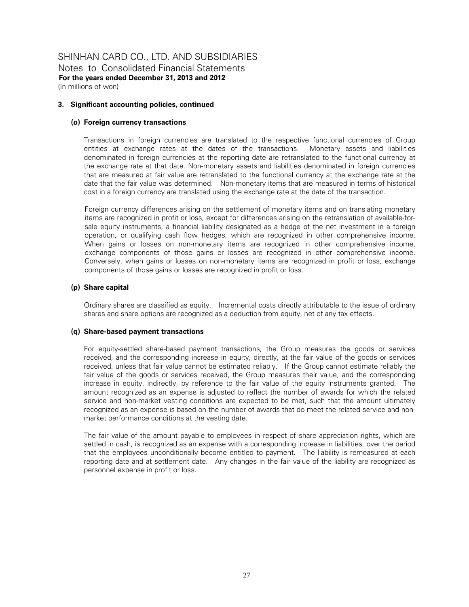#### **3. Significant accounting policies, continued**

#### **(o) Foreign currency transactions**

Transactions in foreign currencies are translated to the respective functional currencies of Group entities at exchange rates at the dates of the transactions. Monetary assets and liabilities denominated in foreign currencies at the reporting date are retranslated to the functional currency at the exchange rate at that date. Non-monetary assets and liabilities denominated in foreign currencies that are measured at fair value are retranslated to the functional currency at the exchange rate at the date that the fair value was determined. Non-monetary items that are measured in terms of historical cost in a foreign currency are translated using the exchange rate at the date of the transaction.

Foreign currency differences arising on the settlement of monetary items and on translating monetary items are recognized in profit or loss, except for differences arising on the retranslation of available-forsale equity instruments, a financial liability designated as a hedge of the net investment in a foreign operation, or qualifying cash flow hedges, which are recognized in other comprehensive income. When gains or losses on non-monetary items are recognized in other comprehensive income, exchange components of those gains or losses are recognized in other comprehensive income. Conversely, when gains or losses on non-monetary items are recognized in profit or loss, exchange components of those gains or losses are recognized in profit or loss.

#### **(p) Share capital**

Ordinary shares are classified as equity. Incremental costs directly attributable to the issue of ordinary shares and share options are recognized as a deduction from equity, net of any tax effects.

#### **(q) Share-based payment transactions**

For equity-settled share-based payment transactions, the Group measures the goods or services received, and the corresponding increase in equity, directly, at the fair value of the goods or services received, unless that fair value cannot be estimated reliably. If the Group cannot estimate reliably the fair value of the goods or services received, the Group measures their value, and the corresponding increase in equity, indirectly, by reference to the fair value of the equity instruments granted. The amount recognized as an expense is adjusted to reflect the number of awards for which the related service and non-market vesting conditions are expected to be met, such that the amount ultimately recognized as an expense is based on the number of awards that do meet the related service and nonmarket performance conditions at the vesting date.

The fair value of the amount payable to employees in respect of share appreciation rights, which are settled in cash, is recognized as an expense with a corresponding increase in liabilities, over the period that the employees unconditionally become entitled to payment. The liability is remeasured at each reporting date and at settlement date. Any changes in the fair value of the liability are recognized as personnel expense in profit or loss.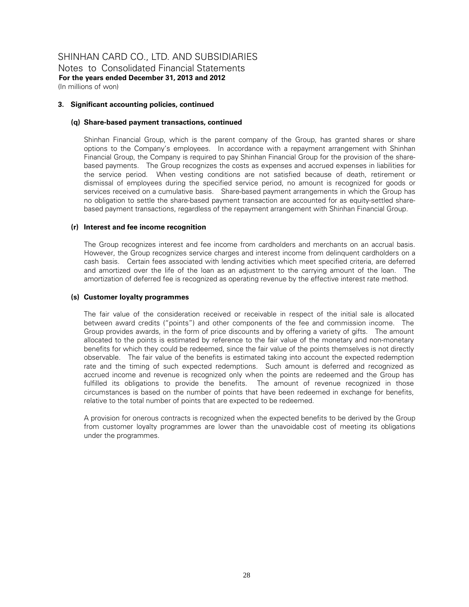#### **3. Significant accounting policies, continued**

#### **(q) Share-based payment transactions, continued**

Shinhan Financial Group, which is the parent company of the Group, has granted shares or share options to the Company's employees. In accordance with a repayment arrangement with Shinhan Financial Group, the Company is required to pay Shinhan Financial Group for the provision of the sharebased payments. The Group recognizes the costs as expenses and accrued expenses in liabilities for the service period. When vesting conditions are not satisfied because of death, retirement or dismissal of employees during the specified service period, no amount is recognized for goods or services received on a cumulative basis. Share-based payment arrangements in which the Group has no obligation to settle the share-based payment transaction are accounted for as equity-settled sharebased payment transactions, regardless of the repayment arrangement with Shinhan Financial Group.

#### **(r) Interest and fee income recognition**

The Group recognizes interest and fee income from cardholders and merchants on an accrual basis. However, the Group recognizes service charges and interest income from delinquent cardholders on a cash basis. Certain fees associated with lending activities which meet specified criteria, are deferred and amortized over the life of the loan as an adjustment to the carrying amount of the loan. The amortization of deferred fee is recognized as operating revenue by the effective interest rate method.

#### **(s) Customer loyalty programmes**

The fair value of the consideration received or receivable in respect of the initial sale is allocated between award credits ("points") and other components of the fee and commission income. The Group provides awards, in the form of price discounts and by offering a variety of gifts. The amount allocated to the points is estimated by reference to the fair value of the monetary and non-monetary benefits for which they could be redeemed, since the fair value of the points themselves is not directly observable. The fair value of the benefits is estimated taking into account the expected redemption rate and the timing of such expected redemptions. Such amount is deferred and recognized as accrued income and revenue is recognized only when the points are redeemed and the Group has fulfilled its obligations to provide the benefits. The amount of revenue recognized in those circumstances is based on the number of points that have been redeemed in exchange for benefits, relative to the total number of points that are expected to be redeemed.

A provision for onerous contracts is recognized when the expected benefits to be derived by the Group from customer loyalty programmes are lower than the unavoidable cost of meeting its obligations under the programmes.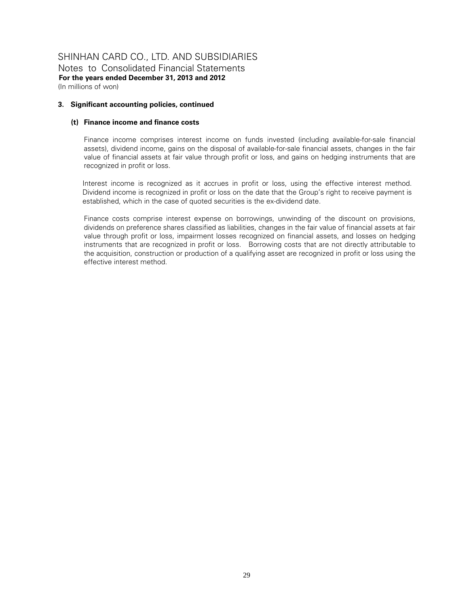# SHINHAN CARD CO., LTD. AND SUBSIDIARIES Notes to Consolidated Financial Statements

**For the years ended December 31, 2013 and 2012**  (In millions of won)

#### **3. Significant accounting policies, continued**

# **(t) Finance income and finance costs**

Finance income comprises interest income on funds invested (including available-for-sale financial assets), dividend income, gains on the disposal of available-for-sale financial assets, changes in the fair value of financial assets at fair value through profit or loss, and gains on hedging instruments that are recognized in profit or loss.

Interest income is recognized as it accrues in profit or loss, using the effective interest method. Dividend income is recognized in profit or loss on the date that the Group's right to receive payment is established, which in the case of quoted securities is the ex-dividend date.

Finance costs comprise interest expense on borrowings, unwinding of the discount on provisions, dividends on preference shares classified as liabilities, changes in the fair value of financial assets at fair value through profit or loss, impairment losses recognized on financial assets, and losses on hedging instruments that are recognized in profit or loss. Borrowing costs that are not directly attributable to the acquisition, construction or production of a qualifying asset are recognized in profit or loss using the effective interest method.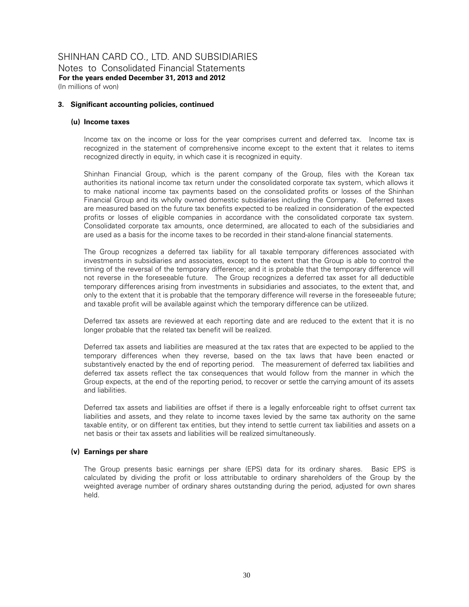#### **3. Significant accounting policies, continued**

#### **(u) Income taxes**

Income tax on the income or loss for the year comprises current and deferred tax. Income tax is recognized in the statement of comprehensive income except to the extent that it relates to items recognized directly in equity, in which case it is recognized in equity.

Shinhan Financial Group, which is the parent company of the Group, files with the Korean tax authorities its national income tax return under the consolidated corporate tax system, which allows it to make national income tax payments based on the consolidated profits or losses of the Shinhan Financial Group and its wholly owned domestic subsidiaries including the Company. Deferred taxes are measured based on the future tax benefits expected to be realized in consideration of the expected profits or losses of eligible companies in accordance with the consolidated corporate tax system. Consolidated corporate tax amounts, once determined, are allocated to each of the subsidiaries and are used as a basis for the income taxes to be recorded in their stand-alone financial statements.

The Group recognizes a deferred tax liability for all taxable temporary differences associated with investments in subsidiaries and associates, except to the extent that the Group is able to control the timing of the reversal of the temporary difference; and it is probable that the temporary difference will not reverse in the foreseeable future. The Group recognizes a deferred tax asset for all deductible temporary differences arising from investments in subsidiaries and associates, to the extent that, and only to the extent that it is probable that the temporary difference will reverse in the foreseeable future; and taxable profit will be available against which the temporary difference can be utilized.

Deferred tax assets are reviewed at each reporting date and are reduced to the extent that it is no longer probable that the related tax benefit will be realized.

Deferred tax assets and liabilities are measured at the tax rates that are expected to be applied to the temporary differences when they reverse, based on the tax laws that have been enacted or substantively enacted by the end of reporting period. The measurement of deferred tax liabilities and deferred tax assets reflect the tax consequences that would follow from the manner in which the Group expects, at the end of the reporting period, to recover or settle the carrying amount of its assets and liabilities.

Deferred tax assets and liabilities are offset if there is a legally enforceable right to offset current tax liabilities and assets, and they relate to income taxes levied by the same tax authority on the same taxable entity, or on different tax entities, but they intend to settle current tax liabilities and assets on a net basis or their tax assets and liabilities will be realized simultaneously.

#### **(v) Earnings per share**

The Group presents basic earnings per share (EPS) data for its ordinary shares. Basic EPS is calculated by dividing the profit or loss attributable to ordinary shareholders of the Group by the weighted average number of ordinary shares outstanding during the period, adjusted for own shares held.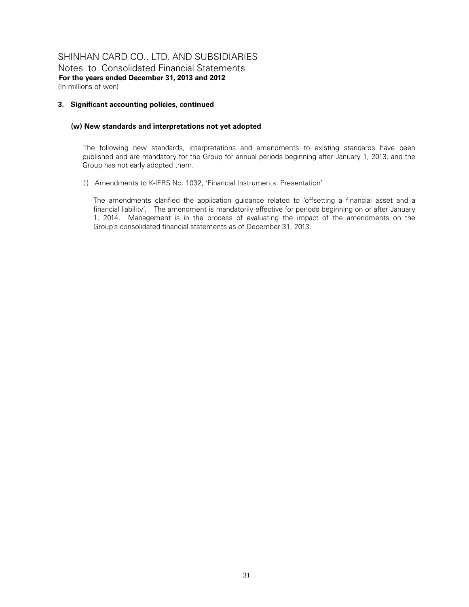#### **3. Significant accounting policies, continued**

#### **(w) New standards and interpretations not yet adopted**

The following new standards, interpretations and amendments to existing standards have been published and are mandatory for the Group for annual periods beginning after January 1, 2013, and the Group has not early adopted them.

(i) Amendments to K-IFRS No. 1032, 'Financial Instruments: Presentation'

The amendments clarified the application guidance related to 'offsetting a financial asset and a financial liability'. The amendment is mandatorily effective for periods beginning on or after January 1, 2014. Management is in the process of evaluating the impact of the amendments on the Group's consolidated financial statements as of December 31, 2013.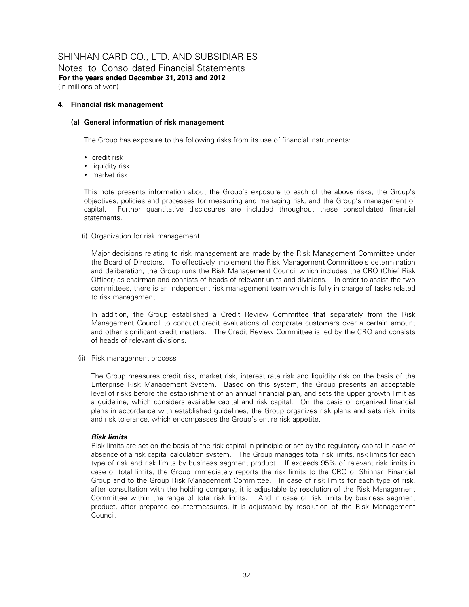# SHINHAN CARD CO., LTD. AND SUBSIDIARIES Notes to Consolidated Financial Statements

**For the years ended December 31, 2013 and 2012**  (In millions of won)

# **4. Financial risk management**

# **(a) General information of risk management**

The Group has exposure to the following risks from its use of financial instruments:

- credit risk
- liquidity risk
- market risk

This note presents information about the Group's exposure to each of the above risks, the Group's objectives, policies and processes for measuring and managing risk, and the Group's management of capital. Further quantitative disclosures are included throughout these consolidated financial statements.

(i) Organization for risk management

Major decisions relating to risk management are made by the Risk Management Committee under the Board of Directors. To effectively implement the Risk Management Committee's determination and deliberation, the Group runs the Risk Management Council which includes the CRO (Chief Risk Officer) as chairman and consists of heads of relevant units and divisions. In order to assist the two committees, there is an independent risk management team which is fully in charge of tasks related to risk management.

In addition, the Group established a Credit Review Committee that separately from the Risk Management Council to conduct credit evaluations of corporate customers over a certain amount and other significant credit matters. The Credit Review Committee is led by the CRO and consists of heads of relevant divisions.

(ii) Risk management process

The Group measures credit risk, market risk, interest rate risk and liquidity risk on the basis of the Enterprise Risk Management System. Based on this system, the Group presents an acceptable level of risks before the establishment of an annual financial plan, and sets the upper growth limit as a guideline, which considers available capital and risk capital. On the basis of organized financial plans in accordance with established guidelines, the Group organizes risk plans and sets risk limits and risk tolerance, which encompasses the Group's entire risk appetite.

# *Risk limits*

Risk limits are set on the basis of the risk capital in principle or set by the regulatory capital in case of absence of a risk capital calculation system. The Group manages total risk limits, risk limits for each type of risk and risk limits by business segment product. If exceeds 95% of relevant risk limits in case of total limits, the Group immediately reports the risk limits to the CRO of Shinhan Financial Group and to the Group Risk Management Committee. In case of risk limits for each type of risk, after consultation with the holding company, it is adjustable by resolution of the Risk Management Committee within the range of total risk limits. And in case of risk limits by business segment product, after prepared countermeasures, it is adjustable by resolution of the Risk Management Council.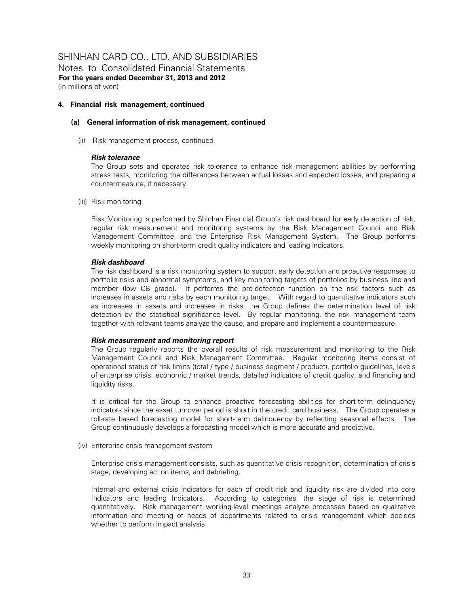#### **4. Financial risk management, continued**

#### **(a) General information of risk management, continued**

(ii) Risk management process, continued

#### *Risk tolerance*

The Group sets and operates risk tolerance to enhance risk management abilities by performing stress tests, monitoring the differences between actual losses and expected losses, and preparing a countermeasure, if necessary.

(iii) Risk monitoring

Risk Monitoring is performed by Shinhan Financial Group's risk dashboard for early detection of risk, regular risk measurement and monitoring systems by the Risk Management Council and Risk Management Committee, and the Enterprise Risk Management System. The Group performs weekly monitoring on short-term credit quality indicators and leading indicators.

#### *Risk dashboard*

The risk dashboard is a risk monitoring system to support early detection and proactive responses to portfolio risks and abnormal symptoms, and key monitoring targets of portfolios by business line and member (low CB grade). It performs the pre-detection function on the risk factors such as increases in assets and risks by each monitoring target. With regard to quantitative indicators such as increases in assets and increases in risks, the Group defines the determination level of risk detection by the statistical significance level. By regular monitoring, the risk management team together with relevant teams analyze the cause, and prepare and implement a countermeasure.

#### *Risk measurement and monitoring report*

The Group regularly reports the overall results of risk measurement and monitoring to the Risk Management Council and Risk Management Committee. Regular monitoring items consist of operational status of risk limits (total / type / business segment / product), portfolio guidelines, levels of enterprise crisis, economic / market trends, detailed indicators of credit quality, and financing and liquidity risks.

It is critical for the Group to enhance proactive forecasting abilities for short-term delinquency indicators since the asset turnover period is short in the credit card business. The Group operates a roll-rate based forecasting model for short-term delinquency by reflecting seasonal effects. The Group continuously develops a forecasting model which is more accurate and predictive.

(iv) Enterprise crisis management system

Enterprise crisis management consists, such as quantitative crisis recognition, determination of crisis stage, developing action items, and debriefing.

Internal and external crisis indicators for each of credit risk and liquidity risk are divided into core Indicators and leading Indicators. According to categories, the stage of risk is determined quantitatively. Risk management working-level meetings analyze processes based on qualitative information and meeting of heads of departments related to crisis management which decides whether to perform impact analysis.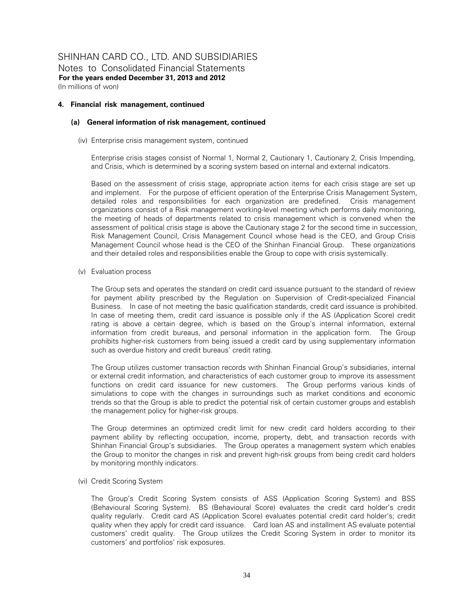#### **4. Financial risk management, continued**

#### **(a) General information of risk management, continued**

(iv) Enterprise crisis management system, continued

Enterprise crisis stages consist of Normal 1, Normal 2, Cautionary 1, Cautionary 2, Crisis Impending, and Crisis, which is determined by a scoring system based on internal and external indicators.

Based on the assessment of crisis stage, appropriate action items for each crisis stage are set up and implement. For the purpose of efficient operation of the Enterprise Crisis Management System, detailed roles and responsibilities for each organization are predefined. Crisis management organizations consist of a Risk management working-level meeting which performs daily monitoring, the meeting of heads of departments related to crisis management which is convened when the assessment of political crisis stage is above the Cautionary stage 2 for the second time in succession, Risk Management Council, Crisis Management Council whose head is the CEO, and Group Crisis Management Council whose head is the CEO of the Shinhan Financial Group. These organizations and their detailed roles and responsibilities enable the Group to cope with crisis systemically.

(v) Evaluation process

The Group sets and operates the standard on credit card issuance pursuant to the standard of review for payment ability prescribed by the Regulation on Supervision of Credit-specialized Financial Business. In case of not meeting the basic qualification standards, credit card issuance is prohibited. In case of meeting them, credit card issuance is possible only if the AS (Application Score) credit rating is above a certain degree, which is based on the Group's internal information, external information from credit bureaus, and personal information in the application form. The Group prohibits higher-risk customers from being issued a credit card by using supplementary information such as overdue history and credit bureaus' credit rating.

The Group utilizes customer transaction records with Shinhan Financial Group's subsidiaries, internal or external credit information, and characteristics of each customer group to improve its assessment functions on credit card issuance for new customers. The Group performs various kinds of simulations to cope with the changes in surroundings such as market conditions and economic trends so that the Group is able to predict the potential risk of certain customer groups and establish the management policy for higher-risk groups.

The Group determines an optimized credit limit for new credit card holders according to their payment ability by reflecting occupation, income, property, debt, and transaction records with Shinhan Financial Group's subsidiaries. The Group operates a management system which enables the Group to monitor the changes in risk and prevent high-risk groups from being credit card holders by monitoring monthly indicators.

(vi) Credit Scoring System

The Group's Credit Scoring System consists of ASS (Application Scoring System) and BSS (Behavioural Scoring System). BS (Behavioural Score) evaluates the credit card holder's credit quality regularly. Credit card AS (Application Score) evaluates potential credit card holder's; credit quality when they apply for credit card issuance. Card loan AS and installment AS evaluate potential customers' credit quality. The Group utilizes the Credit Scoring System in order to monitor its customers' and portfolios' risk exposures.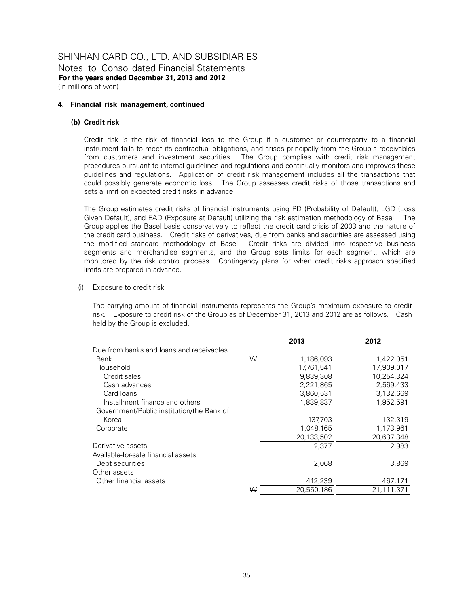#### **4. Financial risk management, continued**

#### **(b) Credit risk**

Credit risk is the risk of financial loss to the Group if a customer or counterparty to a financial instrument fails to meet its contractual obligations, and arises principally from the Group's receivables from customers and investment securities. The Group complies with credit risk management procedures pursuant to internal guidelines and regulations and continually monitors and improves these guidelines and regulations. Application of credit risk management includes all the transactions that could possibly generate economic loss. The Group assesses credit risks of those transactions and sets a limit on expected credit risks in advance.

The Group estimates credit risks of financial instruments using PD (Probability of Default), LGD (Loss Given Default), and EAD (Exposure at Default) utilizing the risk estimation methodology of Basel. The Group applies the Basel basis conservatively to reflect the credit card crisis of 2003 and the nature of the credit card business. Credit risks of derivatives, due from banks and securities are assessed using the modified standard methodology of Basel. Credit risks are divided into respective business segments and merchandise segments, and the Group sets limits for each segment, which are monitored by the risk control process. Contingency plans for when credit risks approach specified limits are prepared in advance.

#### (i) Exposure to credit risk

The carrying amount of financial instruments represents the Group's maximum exposure to credit risk. Exposure to credit risk of the Group as of December 31, 2013 and 2012 are as follows. Cash held by the Group is excluded.

|                                           |   | 2013       | 2012       |
|-------------------------------------------|---|------------|------------|
| Due from banks and loans and receivables  |   |            |            |
| Bank                                      | W | 1,186,093  | 1,422,051  |
| Household                                 |   | 17.761.541 | 17.909.017 |
| Credit sales                              |   | 9,839,308  | 10,254,324 |
| Cash advances                             |   | 2,221,865  | 2,569,433  |
| Card Ioans                                |   | 3,860,531  | 3,132,669  |
| Installment finance and others            |   | 1,839,837  | 1,952,591  |
| Government/Public institution/the Bank of |   |            |            |
| Korea                                     |   | 137,703    | 132,319    |
| Corporate                                 |   | 1,048,165  | 1,173,961  |
|                                           |   | 20,133,502 | 20,637,348 |
| Derivative assets                         |   | 2,377      | 2,983      |
| Available-for-sale financial assets       |   |            |            |
| Debt securities                           |   | 2.068      | 3,869      |
| Other assets                              |   |            |            |
| Other financial assets                    |   | 412,239    | 467,171    |
|                                           | ₩ | 20,550,186 | 21,111,371 |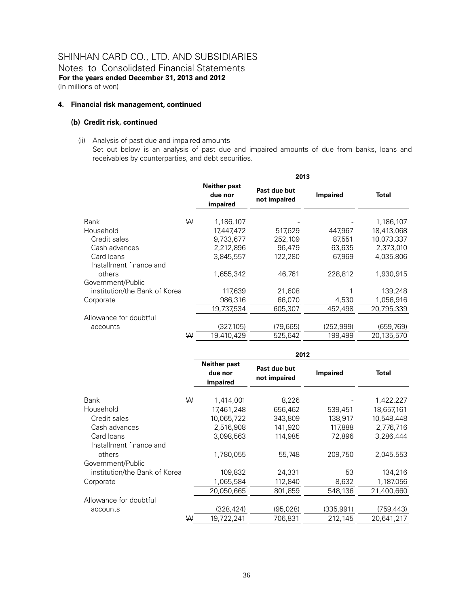Notes to Consolidated Financial Statements **For the years ended December 31, 2013 and 2012**  (In millions of won)

#### **4. Financial risk management, continued**

#### **(b) Credit risk, continued**

(ii) Analysis of past due and impaired amounts

Set out below is an analysis of past due and impaired amounts of due from banks, loans and receivables by counterparties, and debt securities.

|                                       |                                            | 2013                         |                 |            |
|---------------------------------------|--------------------------------------------|------------------------------|-----------------|------------|
|                                       | <b>Neither past</b><br>due nor<br>impaired | Past due but<br>not impaired | <b>Impaired</b> | Total      |
| W<br>Bank                             | 1,186,107                                  |                              |                 | 1,186,107  |
| Household                             | 17,447,472                                 | 517,629                      | 447,967         | 18,413,068 |
| Credit sales                          | 9,733,677                                  | 252,109                      | 87,551          | 10,073,337 |
| Cash advances                         | 2,212,896                                  | 96,479                       | 63,635          | 2,373,010  |
| Card loans<br>Installment finance and | 3,845,557                                  | 122,280                      | 67,969          | 4,035,806  |
| others                                | 1,655,342                                  | 46.761                       | 228,812         | 1.930.915  |
| Government/Public                     |                                            |                              |                 |            |
| institution/the Bank of Korea         | 117,639                                    | 21,608                       |                 | 139,248    |
| Corporate                             | 986,316                                    | 66,070                       | 4,530           | 1,056,916  |
|                                       | 19,737,534                                 | 605,307                      | 452,498         | 20,795,339 |
| Allowance for doubtful                |                                            |                              |                 |            |
| accounts                              | (327, 105)                                 | (79, 665)                    | (252,999)       | (659,769)  |
| ₩                                     | 19.410.429                                 | 525,642                      | 199,499         | 20,135,570 |

|                               |   | 2012                                       |                              |                 |              |  |  |
|-------------------------------|---|--------------------------------------------|------------------------------|-----------------|--------------|--|--|
|                               |   | <b>Neither past</b><br>due nor<br>impaired | Past due but<br>not impaired | <b>Impaired</b> | <b>Total</b> |  |  |
| Bank                          | W | 1,414,001                                  | 8,226                        |                 | 1,422,227    |  |  |
| Household                     |   | 17,461,248                                 | 656,462                      | 539,451         | 18,657,161   |  |  |
| Credit sales                  |   | 10,065,722                                 | 343,809                      | 138,917         | 10,548,448   |  |  |
| Cash advances                 |   | 2,516,908                                  | 141,920                      | 117,888         | 2,776,716    |  |  |
| Card Ioans                    |   | 3,098,563                                  | 114.985                      | 72,896          | 3.286.444    |  |  |
| Installment finance and       |   |                                            |                              |                 |              |  |  |
| others                        |   | 1,780,055                                  | 55,748                       | 209,750         | 2,045,553    |  |  |
| Government/Public             |   |                                            |                              |                 |              |  |  |
| institution/the Bank of Korea |   | 109,832                                    | 24,331                       | 53              | 134,216      |  |  |
| Corporate                     |   | 1,065,584                                  | 112,840                      | 8,632           | 1,187,056    |  |  |
|                               |   | 20,050,665                                 | 801,859                      | 548,136         | 21,400,660   |  |  |
| Allowance for doubtful        |   |                                            |                              |                 |              |  |  |
| accounts                      |   | (328, 424)                                 | (95,028)                     | (335,991)       | (759,443)    |  |  |
|                               | ₩ | 19,722,241                                 | 706,831                      | 212,145         | 20,641,217   |  |  |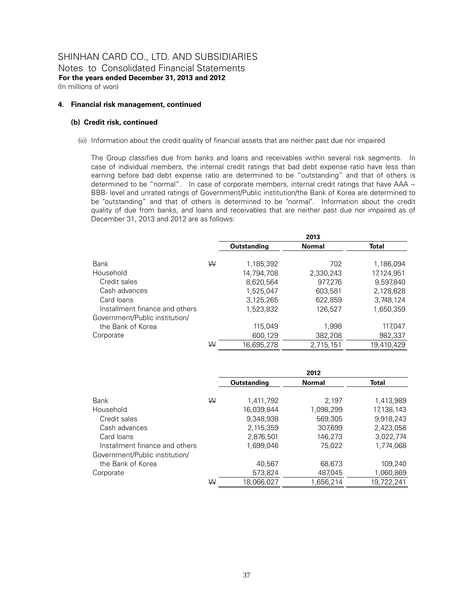Notes to Consolidated Financial Statements **For the years ended December 31, 2013 and 2012**  (In millions of won)

#### **4. Financial risk management, continued**

#### **(b) Credit risk, continued**

(iii) Information about the credit quality of financial assets that are neither past due nor impaired

The Group classifies due from banks and loans and receivables within several risk segments. In case of individual members, the internal credit ratings that bad debt expense ratio have less than earning before bad debt expense ratio are determined to be "outstanding" and that of others is determined to be "normal". In case of corporate members, internal credit ratings that have AAA  $\sim$ BBB- level and unrated ratings of Government/Public institution/the Bank of Korea are determined to be "outstanding" and that of others is determined to be "normal". Information about the credit quality of due from banks, and loans and receivables that are neither past due nor impaired as of December 31, 2013 and 2012 are as follows:

|                                |   |             | 2013          |              |
|--------------------------------|---|-------------|---------------|--------------|
|                                |   | Outstanding | <b>Normal</b> | <b>Total</b> |
| Bank                           | W | 1,185,392   | 702           | 1.186.094    |
| Household                      |   | 14,794,708  | 2,330,243     | 17,124,951   |
| Credit sales                   |   | 8,620,564   | 977,276       | 9,597,840    |
| Cash advances                  |   | 1,525,047   | 603,581       | 2,128,628    |
| Card Ioans                     |   | 3,125,265   | 622,859       | 3,748,124    |
| Installment finance and others |   | 1,523,832   | 126,527       | 1,650,359    |
| Government/Public institution/ |   |             |               |              |
| the Bank of Korea              |   | 115.049     | 1,998         | 117.047      |
| Corporate                      |   | 600,129     | 382,208       | 982,337      |
|                                | W | 16,695,278  | 2,715,151     | 19,410,429   |

|                                |   |             | 2012          |              |
|--------------------------------|---|-------------|---------------|--------------|
|                                |   | Outstanding | <b>Normal</b> | <b>Total</b> |
| Bank                           | W | 1,411,792   | 2,197         | 1,413,989    |
| Household                      |   | 16,039,844  | 1,098,299     | 17, 138, 143 |
| Credit sales                   |   | 9,348,938   | 569,305       | 9,918,243    |
| Cash advances                  |   | 2,115,359   | 307,699       | 2,423,058    |
| Card Ioans                     |   | 2,876,501   | 146,273       | 3,022,774    |
| Installment finance and others |   | 1,699,046   | 75,022        | 1,774,068    |
| Government/Public institution/ |   |             |               |              |
| the Bank of Korea              |   | 40.567      | 68,673        | 109,240      |
| Corporate                      |   | 573,824     | 487,045       | 1,060,869    |
|                                | W | 18.066.027  | 1.656.214     | 19.722.241   |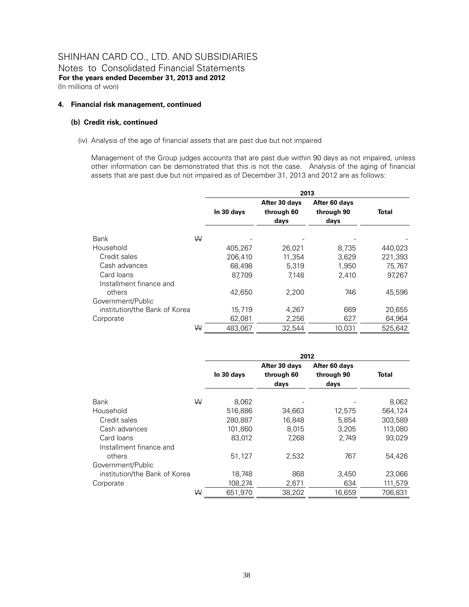#### **4. Financial risk management, continued**

#### **(b) Credit risk, continued**

#### (iv) Analysis of the age of financial assets that are past due but not impaired

Management of the Group judges accounts that are past due within 90 days as not impaired, unless other information can be demonstrated that this is not the case. Analysis of the aging of financial assets that are past due but not impaired as of December 31, 2013 and 2012 are as follows:

|                                       | 2013       |                                     |                                     |         |  |  |  |
|---------------------------------------|------------|-------------------------------------|-------------------------------------|---------|--|--|--|
|                                       | In 30 days | After 30 days<br>through 60<br>days | After 60 days<br>through 90<br>days | Total   |  |  |  |
| W<br><b>Bank</b>                      |            |                                     |                                     |         |  |  |  |
| Household                             | 405,267    | 26,021                              | 8,735                               | 440,023 |  |  |  |
| Credit sales                          | 206,410    | 11,354                              | 3,629                               | 221,393 |  |  |  |
| Cash advances                         | 68.498     | 5.319                               | 1.950                               | 75,767  |  |  |  |
| Card Ioans<br>Installment finance and | 87.709     | 7.148                               | 2.410                               | 97.267  |  |  |  |
| others                                | 42.650     | 2,200                               | 746                                 | 45,596  |  |  |  |
| Government/Public                     |            |                                     |                                     |         |  |  |  |
| institution/the Bank of Korea         | 15,719     | 4.267                               | 669                                 | 20,655  |  |  |  |
| Corporate                             | 62,081     | 2,256                               | 627                                 | 64,964  |  |  |  |
| W                                     | 483,067    | 32,544                              | 10,031                              | 525,642 |  |  |  |

|                                       |            | 2012                                |                                     |         |  |  |  |
|---------------------------------------|------------|-------------------------------------|-------------------------------------|---------|--|--|--|
|                                       | In 30 days | After 30 days<br>through 60<br>days | After 60 days<br>through 90<br>days | Total   |  |  |  |
| W<br>Bank                             | 8,062      |                                     |                                     | 8,062   |  |  |  |
| Household                             | 516,886    | 34,663                              | 12,575                              | 564,124 |  |  |  |
| Credit sales                          | 280,887    | 16,848                              | 5,854                               | 303,589 |  |  |  |
| Cash advances                         | 101.860    | 8.015                               | 3,205                               | 113,080 |  |  |  |
| Card Ioans<br>Installment finance and | 83,012     | 7.268                               | 2,749                               | 93.029  |  |  |  |
| others                                | 51,127     | 2,532                               | 767                                 | 54,426  |  |  |  |
| Government/Public                     |            |                                     |                                     |         |  |  |  |
| institution/the Bank of Korea         | 18,748     | 868                                 | 3,450                               | 23,066  |  |  |  |
| Corporate                             | 108,274    | 2,671                               | 634                                 | 111,579 |  |  |  |
| W                                     | 651.970    | 38.202                              | 16.659                              | 706.831 |  |  |  |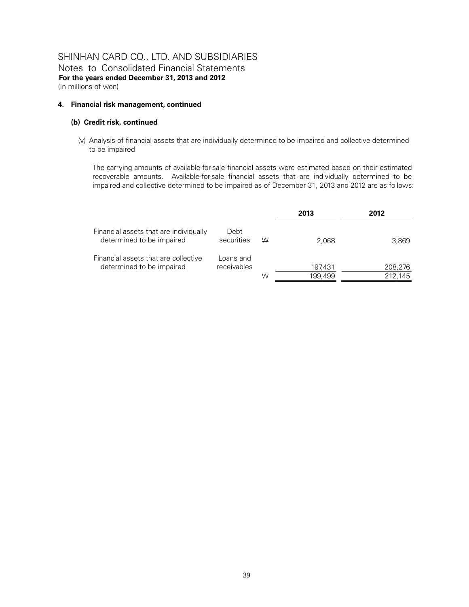#### **4. Financial risk management, continued**

#### **(b) Credit risk, continued**

(v) Analysis of financial assets that are individually determined to be impaired and collective determined to be impaired

The carrying amounts of available-for-sale financial assets were estimated based on their estimated recoverable amounts. Available-for-sale financial assets that are individually determined to be impaired and collective determined to be impaired as of December 31, 2013 and 2012 are as follows:

|                                                                     |                          |   | 2013               | 2012               |
|---------------------------------------------------------------------|--------------------------|---|--------------------|--------------------|
| Financial assets that are individually<br>determined to be impaired | Debt<br>securities       | W | 2.068              | 3,869              |
| Financial assets that are collective<br>determined to be impaired   | Loans and<br>receivables | ₩ | 197,431<br>199,499 | 208,276<br>212,145 |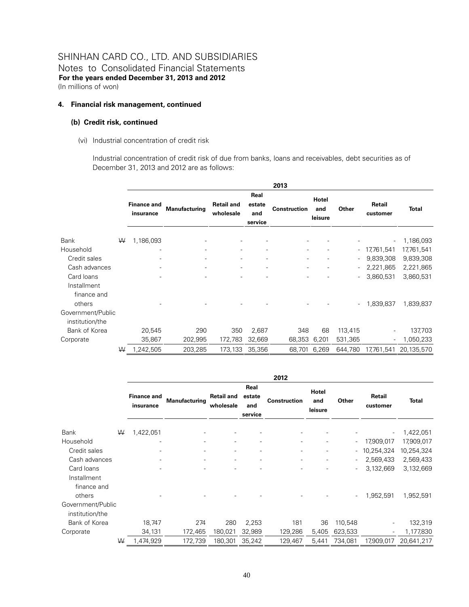#### **4. Financial risk management, continued**

#### **(b) Credit risk, continued**

(vi) Industrial concentration of credit risk

Industrial concentration of credit risk of due from banks, loans and receivables, debt securities as of December 31, 2013 and 2012 are as follows:

|                                      |   |                                 |               |                                |                                  | 2013                     |                         |         |                    |              |
|--------------------------------------|---|---------------------------------|---------------|--------------------------------|----------------------------------|--------------------------|-------------------------|---------|--------------------|--------------|
|                                      |   | <b>Finance and</b><br>insurance | Manufacturing | <b>Retail and</b><br>wholesale | Real<br>estate<br>and<br>service | <b>Construction</b>      | Hotel<br>and<br>leisure | Other   | Retail<br>customer | <b>Total</b> |
| Bank                                 | W | 1,186,093                       |               |                                |                                  |                          |                         |         |                    | 1,186,093    |
| Household                            |   |                                 |               | ۰                              | ۰                                | $\overline{a}$           |                         |         | $-17,761,541$      | 17,761,541   |
| Credit sales                         |   |                                 |               | Ξ.                             | ۰                                | $\overline{a}$           |                         |         | 9,839,308          | 9,839,308    |
| Cash advances                        |   |                                 | ٠             | $\overline{\phantom{a}}$       | $\overline{\phantom{a}}$         | $\overline{\phantom{a}}$ |                         |         | 2,221,865          | 2,221,865    |
| Card loans<br>Installment            |   |                                 |               |                                |                                  | ٠                        |                         |         | 3,860,531          | 3,860,531    |
| finance and<br>others                |   |                                 |               |                                |                                  |                          |                         |         | 1,839,837          | 1,839,837    |
| Government/Public<br>institution/the |   |                                 |               |                                |                                  |                          |                         |         |                    |              |
| Bank of Korea                        |   | 20,545                          | 290           | 350                            | 2,687                            | 348                      | 68                      | 113,415 |                    | 137,703      |
| Corporate                            |   | 35,867                          | 202,995       | 172,783                        | 32,669                           | 68,353                   | 6,201                   | 531,365 | -                  | 1,050,233    |
|                                      | W | 1,242,505                       | 203,285       | 173,133                        | 35,356                           | 68,701                   | 6,269                   | 644,780 | 17,761,541         | 20,135,570   |

|                                          |   |                                 |                      |                                |                                  | 2012                |                         |                          |                          |              |
|------------------------------------------|---|---------------------------------|----------------------|--------------------------------|----------------------------------|---------------------|-------------------------|--------------------------|--------------------------|--------------|
|                                          |   | <b>Finance and</b><br>insurance | <b>Manufacturing</b> | <b>Retail and</b><br>wholesale | Real<br>estate<br>and<br>service | <b>Construction</b> | Hotel<br>and<br>leisure | Other                    | Retail<br>customer       | <b>Total</b> |
| Bank                                     | ₩ | 1,422,051                       |                      |                                |                                  |                     |                         |                          | $\overline{\phantom{a}}$ | 1,422,051    |
| Household                                |   |                                 |                      |                                |                                  | ٠                   | ۰                       | $\overline{\phantom{a}}$ | 17,909,017               | 17,909,017   |
| Credit sales                             |   |                                 |                      | ٠                              |                                  | ٠                   | -                       | $\overline{\phantom{a}}$ | 10,254,324               | 10,254,324   |
| Cash advances                            |   |                                 |                      | -                              |                                  | ٠                   | -                       | $\overline{\phantom{a}}$ | 2,569,433                | 2,569,433    |
| Card loans<br>Installment<br>finance and |   |                                 |                      |                                |                                  |                     |                         | $\overline{\phantom{a}}$ | 3,132,669                | 3,132,669    |
| others                                   |   |                                 |                      |                                |                                  |                     |                         | $\overline{\phantom{a}}$ | 1,952,591                | 1,952,591    |
| Government/Public<br>institution/the     |   |                                 |                      |                                |                                  |                     |                         |                          |                          |              |
| Bank of Korea                            |   | 18,747                          | 274                  | 280                            | 2,253                            | 181                 | 36                      | 110,548                  |                          | 132,319      |
| Corporate                                |   | 34,131                          | 172,465              | 180,021                        | 32,989                           | 129,286             | 5,405                   | 623,533                  | ٠.                       | 1,177,830    |
|                                          | W | 1,474,929                       | 172,739              | 180,301                        | 35,242                           | 129,467             | 5,441                   | 734,081                  | 17,909,017               | 20,641,217   |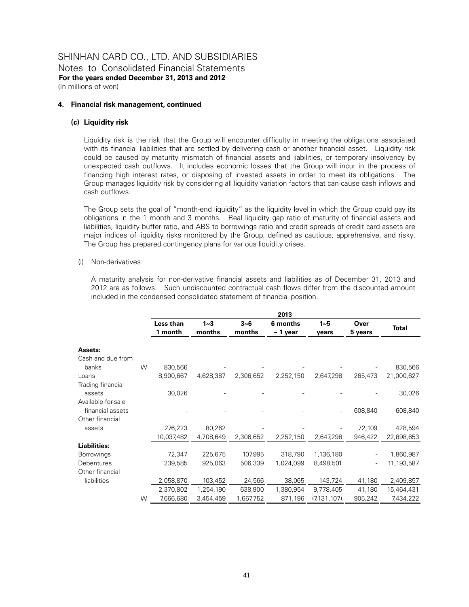#### **4. Financial risk management, continued**

#### **(c) Liquidity risk**

Liquidity risk is the risk that the Group will encounter difficulty in meeting the obligations associated with its financial liabilities that are settled by delivering cash or another financial asset. Liquidity risk could be caused by maturity mismatch of financial assets and liabilities, or temporary insolvency by unexpected cash outflows. It includes economic losses that the Group will incur in the process of financing high interest rates, or disposing of invested assets in order to meet its obligations. The Group manages liquidity risk by considering all liquidity variation factors that can cause cash inflows and cash outflows.

The Group sets the goal of "month-end liquidity" as the liquidity level in which the Group could pay its obligations in the 1 month and 3 months. Real liquidity gap ratio of maturity of financial assets and liabilities, liquidity buffer ratio, and ABS to borrowings ratio and credit spreads of credit card assets are major indices of liquidity risks monitored by the Group, defined as cautious, apprehensive, and risky. The Group has prepared contingency plans for various liquidity crises.

#### (i) Non-derivatives

A maturity analysis for non-derivative financial assets and liabilities as of December 31, 2013 and 2012 are as follows. Such undiscounted contractual cash flows differ from the discounted amount included in the condensed consolidated statement of financial position.

|                     |   |                      |                   |                   | 2013                      |                  |                 |              |
|---------------------|---|----------------------|-------------------|-------------------|---------------------------|------------------|-----------------|--------------|
|                     |   | Less than<br>1 month | $1 - 3$<br>months | $3 - 6$<br>months | 6 months<br>$\sim$ 1 year | $1 - 5$<br>years | Over<br>5 years | <b>Total</b> |
| Assets:             |   |                      |                   |                   |                           |                  |                 |              |
| Cash and due from   |   |                      |                   |                   |                           |                  |                 |              |
| banks               | ₩ | 830,566              |                   |                   |                           |                  |                 | 830,566      |
| Loans               |   | 8,900,667            | 4,628,387         | 2,306,652         | 2,252,150                 | 2,647,298        | 265,473         | 21,000,627   |
| Trading financial   |   |                      |                   |                   |                           |                  |                 |              |
| assets              |   | 30,026               |                   |                   |                           |                  |                 | 30,026       |
| Available-for-sale  |   |                      |                   |                   |                           |                  |                 |              |
| financial assets    |   |                      |                   |                   |                           |                  | 608,840         | 608,840      |
| Other financial     |   |                      |                   |                   |                           |                  |                 |              |
| assets              |   | 276,223              | 80,262            |                   |                           |                  | 72,109          | 428,594      |
|                     |   | 10,037,482           | 4,708,649         | 2,306,652         | 2,252,150                 | 2,647,298        | 946,422         | 22,898,653   |
| <b>Liabilities:</b> |   |                      |                   |                   |                           |                  |                 |              |
| <b>Borrowings</b>   |   | 72,347               | 225,675           | 107,995           | 318,790                   | 1,136,180        |                 | 1,860,987    |
| Debentures          |   | 239,585              | 925,063           | 506,339           | 1,024,099                 | 8,498,501        |                 | 11,193,587   |
| Other financial     |   |                      |                   |                   |                           |                  |                 |              |
| liabilities         |   | 2,058,870            | 103,452           | 24,566            | 38,065                    | 143,724          | 41,180          | 2,409,857    |
|                     |   | 2,370,802            | 1,254,190         | 638,900           | 1,380,954                 | 9,778,405        | 41,180          | 15,464,431   |
|                     | W | 7,666,680            | 3,454,459         | 1,667,752         | 871,196                   | (7, 131, 107)    | 905,242         | 7,434,222    |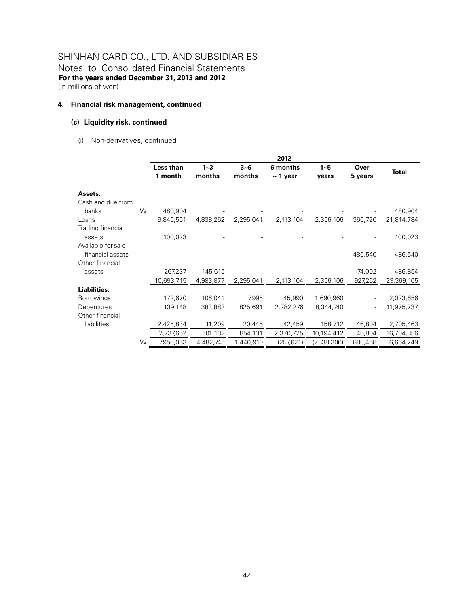Notes to Consolidated Financial Statements **For the years ended December 31, 2013 and 2012**  (In millions of won)

#### **4. Financial risk management, continued**

#### **(c) Liquidity risk, continued**

(i) Non-derivatives, continued

|                     |   |            |           |           | 2012          |             |         |              |
|---------------------|---|------------|-----------|-----------|---------------|-------------|---------|--------------|
|                     |   | Less than  | $1 - 3$   | $3 - 6$   | 6 months      | $1 - 5$     | Over    |              |
|                     |   | 1 month    | months    | months    | $\sim$ 1 year | years       | 5 years | <b>Total</b> |
| Assets:             |   |            |           |           |               |             |         |              |
| Cash and due from   |   |            |           |           |               |             |         |              |
| banks               | ₩ | 480,904    |           |           |               |             |         | 480,904      |
| Loans               |   | 9,845,551  | 4,838,262 | 2,295,041 | 2,113,104     | 2,356,106   | 366,720 | 21,814,784   |
| Trading financial   |   |            |           |           |               |             |         |              |
| assets              |   | 100,023    |           |           |               |             |         | 100,023      |
| Available-for-sale  |   |            |           |           |               |             |         |              |
| financial assets    |   |            |           |           |               |             | 486,540 | 486,540      |
| Other financial     |   |            |           |           |               |             |         |              |
| assets              |   | 267,237    | 145,615   |           |               |             | 74,002  | 486,854      |
|                     |   | 10,693,715 | 4,983,877 | 2,295,041 | 2,113,104     | 2,356,106   | 927,262 | 23,369,105   |
| <b>Liabilities:</b> |   |            |           |           |               |             |         |              |
| <b>Borrowings</b>   |   | 172,670    | 106,041   | 7,995     | 45,990        | 1,690,960   |         | 2,023,656    |
| Debentures          |   | 139,148    | 383,882   | 825,691   | 2,282,276     | 8,344,740   |         | 11,975,737   |
| Other financial     |   |            |           |           |               |             |         |              |
| liabilities         |   | 2,425,834  | 11,209    | 20,445    | 42,459        | 158,712     | 46,804  | 2,705,463    |
|                     |   | 2,737,652  | 501,132   | 854,131   | 2,370,725     | 10,194,412  | 46,804  | 16,704,856   |
|                     | W | 7,956,063  | 4,482,745 | 1,440,910 | (257, 621)    | (7,838,306) | 880,458 | 6,664,249    |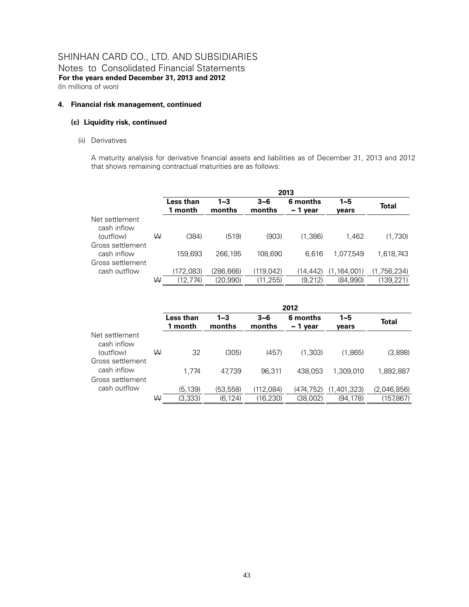#### **4. Financial risk management, continued**

#### **(c) Liquidity risk, continued**

(ii) Derivatives

A maturity analysis for derivative financial assets and liabilities as of December 31, 2013 and 2012 that shows remaining contractual maturities are as follows:

|                               |   | 2013                 |                   |                   |                           |                  |             |  |  |
|-------------------------------|---|----------------------|-------------------|-------------------|---------------------------|------------------|-------------|--|--|
|                               |   | Less than<br>1 month | $1 - 3$<br>months | $3 - 6$<br>months | 6 months<br>$\sim$ 1 year | $1 - 5$<br>vears | Total       |  |  |
| Net settlement<br>cash inflow |   |                      |                   |                   |                           |                  |             |  |  |
| (outflow)                     | W | (384)                | (519)             | (903)             | (1,386)                   | 1.462            | (1,730)     |  |  |
| Gross settlement              |   |                      |                   |                   |                           |                  |             |  |  |
| cash inflow                   |   | 159.693              | 266,195           | 108,690           | 6.616                     | 1.077.549        | 1,618,743   |  |  |
| Gross settlement              |   |                      |                   |                   |                           |                  |             |  |  |
| cash outflow                  |   | (172,083)            | (286,666)         | (119, 042)        | (14, 442)                 | (1,164,001)      | (1,756,234) |  |  |
|                               | ₩ | (12, 774)            | (20,990)          | (11, 255)         | (9,212)                   | (84,990)         | (139, 221)  |  |  |

|                                 |   | 2012                 |                   |                   |                           |                  |             |  |  |
|---------------------------------|---|----------------------|-------------------|-------------------|---------------------------|------------------|-------------|--|--|
|                                 |   | Less than<br>1 month | $1 - 3$<br>months | $3 - 6$<br>months | 6 months<br>$\sim$ 1 year | $1 - 5$<br>vears | Total       |  |  |
| Net settlement<br>cash inflow   |   |                      |                   |                   |                           |                  |             |  |  |
| (outflow)<br>Gross settlement   | W | 32                   | (305)             | (457)             | (1.303)                   | (1,865)          | (3,898)     |  |  |
| cash inflow<br>Gross settlement |   | 1.774                | 47.739            | 96.311            | 438,053                   | 1.309.010        | 1,892,887   |  |  |
| cash outflow                    |   | (5,139)              | (53,558)          | (112,084)         | (474, 752)                | (1,401,323)      | (2,046,856) |  |  |
|                                 | W | (3,333)              | (6,124)           | (16, 230)         | (38.002)                  | (94.178)         | (157,867)   |  |  |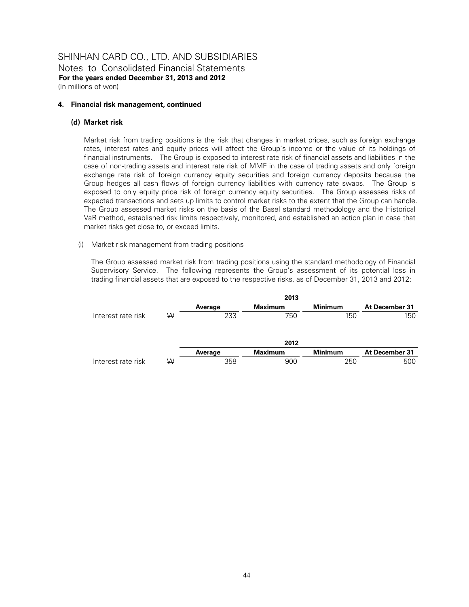#### **4. Financial risk management, continued**

#### **(d) Market risk**

Market risk from trading positions is the risk that changes in market prices, such as foreign exchange rates, interest rates and equity prices will affect the Group's income or the value of its holdings of financial instruments. The Group is exposed to interest rate risk of financial assets and liabilities in the case of non-trading assets and interest rate risk of MMF in the case of trading assets and only foreign exchange rate risk of foreign currency equity securities and foreign currency deposits because the Group hedges all cash flows of foreign currency liabilities with currency rate swaps. The Group is exposed to only equity price risk of foreign currency equity securities. The Group assesses risks of expected transactions and sets up limits to control market risks to the extent that the Group can handle. The Group assessed market risks on the basis of the Basel standard methodology and the Historical VaR method, established risk limits respectively, monitored, and established an action plan in case that market risks get close to, or exceed limits.

#### (i) Market risk management from trading positions

The Group assessed market risk from trading positions using the standard methodology of Financial Supervisory Service. The following represents the Group's assessment of its potential loss in trading financial assets that are exposed to the respective risks, as of December 31, 2013 and 2012:

|                    |   |         | 2013           |                |                |
|--------------------|---|---------|----------------|----------------|----------------|
|                    |   | Average | <b>Maximum</b> | <b>Minimum</b> | At December 31 |
| Interest rate risk | ₩ | 233     | 750            | 150            | 150            |
|                    |   |         | 2012           |                |                |
|                    |   | Average | <b>Maximum</b> | <b>Minimum</b> | At December 31 |
| Interest rate risk | W | 358     | 900            | 250            | 500            |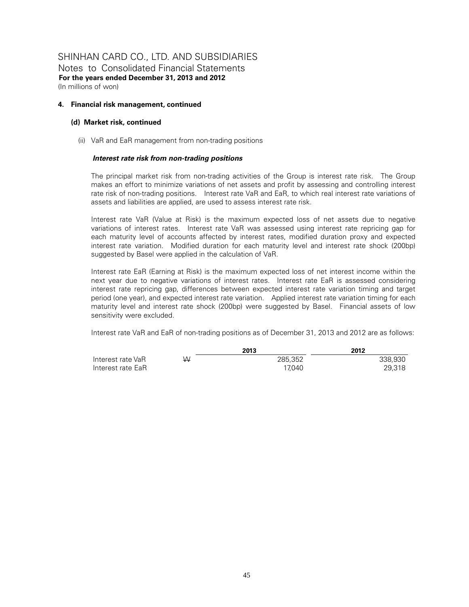Notes to Consolidated Financial Statements **For the years ended December 31, 2013 and 2012**  (In millions of won)

#### **4. Financial risk management, continued**

#### **(d) Market risk, continued**

(ii) VaR and EaR management from non-trading positions

#### *Interest rate risk from non-trading positions*

The principal market risk from non-trading activities of the Group is interest rate risk. The Group makes an effort to minimize variations of net assets and profit by assessing and controlling interest rate risk of non-trading positions. Interest rate VaR and EaR, to which real interest rate variations of assets and liabilities are applied, are used to assess interest rate risk.

Interest rate VaR (Value at Risk) is the maximum expected loss of net assets due to negative variations of interest rates. Interest rate VaR was assessed using interest rate repricing gap for each maturity level of accounts affected by interest rates, modified duration proxy and expected interest rate variation. Modified duration for each maturity level and interest rate shock (200bp) suggested by Basel were applied in the calculation of VaR.

Interest rate EaR (Earning at Risk) is the maximum expected loss of net interest income within the next year due to negative variations of interest rates. Interest rate EaR is assessed considering interest rate repricing gap, differences between expected interest rate variation timing and target period (one year), and expected interest rate variation. Applied interest rate variation timing for each maturity level and interest rate shock (200bp) were suggested by Basel. Financial assets of low sensitivity were excluded.

Interest rate VaR and EaR of non-trading positions as of December 31, 2013 and 2012 are as follows:

|                   |   | 2013    | 2012    |
|-------------------|---|---------|---------|
| Interest rate VaR | W | 285.352 | 338.930 |
| Interest rate EaR |   | 17.040  | 29.318  |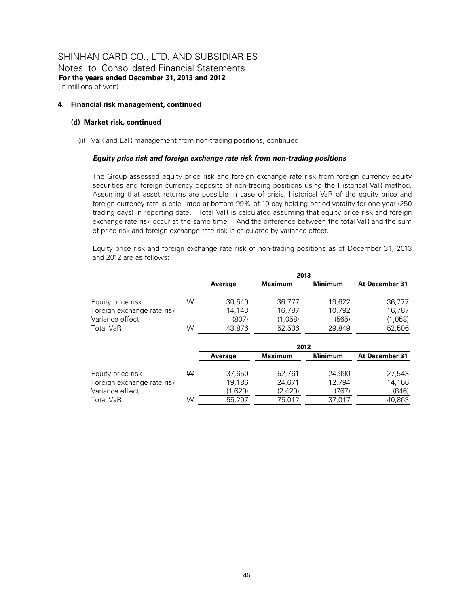Notes to Consolidated Financial Statements **For the years ended December 31, 2013 and 2012**  (In millions of won)

#### **4. Financial risk management, continued**

#### **(d) Market risk, continued**

(ii) VaR and EaR management from non-trading positions, continued

#### *Equity price risk and foreign exchange rate risk from non-trading positions*

The Group assessed equity price risk and foreign exchange rate risk from foreign currency equity securities and foreign currency deposits of non-trading positions using the Historical VaR method. Assuming that asset returns are possible in case of crisis, historical VaR of the equity price and foreign currency rate is calculated at bottom 99% of 10 day holding period votality for one year (250 trading days) in reporting date. Total VaR is calculated assuming that equity price risk and foreign exchange rate risk occur at the same time. And the difference between the total VaR and the sum of price risk and foreign exchange rate risk is calculated by variance effect.

Equity price risk and foreign exchange rate risk of non-trading positions as of December 31, 2013 and 2012 are as follows:

|                            |   | 2013    |                |                |                |  |  |
|----------------------------|---|---------|----------------|----------------|----------------|--|--|
|                            |   | Average | <b>Maximum</b> | <b>Minimum</b> | At December 31 |  |  |
| Equity price risk          | W | 30,540  | 36,777         | 19,622         | 36,777         |  |  |
| Foreign exchange rate risk |   | 14.143  | 16,787         | 10.792         | 16.787         |  |  |
| Variance effect            |   | (807)   | (1,058)        | (565)          | (1,058)        |  |  |
| <b>Total VaR</b>           | W | 43,876  | 52,506         | 29,849         | 52,506         |  |  |
|                            |   |         | 2012           |                |                |  |  |
|                            |   | Average | Maximum        | <b>Minimum</b> | At December 31 |  |  |
| Equity price risk          | W | 37,650  | 52,761         | 24.990         | 27,543         |  |  |
| Foreign exchange rate risk |   | 19.186  | 24,671         | 12.794         | 14,166         |  |  |
| Variance effect            |   | (1,629) | (2,420)        | (767)          | (846)          |  |  |
| <b>Total VaR</b>           | W | 55,207  | 75.012         | 37.017         | 40.863         |  |  |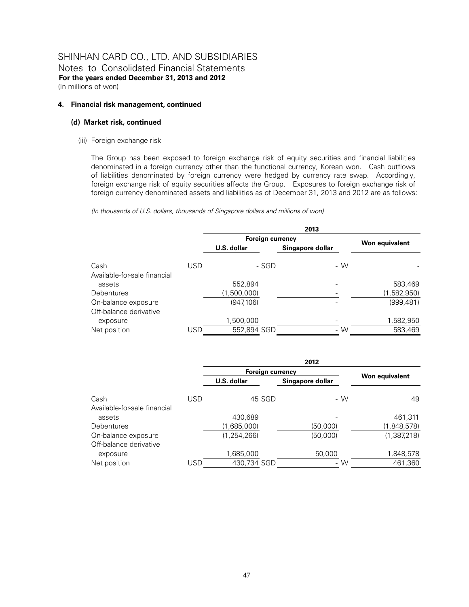### SHINHAN CARD CO., LTD. AND SUBSIDIARIES Notes to Consolidated Financial Statements

**For the years ended December 31, 2013 and 2012**  (In millions of won)

#### **4. Financial risk management, continued**

#### **(d) Market risk, continued**

(iii) Foreign exchange risk

The Group has been exposed to foreign exchange risk of equity securities and financial liabilities denominated in a foreign currency other than the functional currency, Korean won. Cash outflows of liabilities denominated by foreign currency were hedged by currency rate swap. Accordingly, foreign exchange risk of equity securities affects the Group. Exposures to foreign exchange risk of foreign currency denominated assets and liabilities as of December 31, 2013 and 2012 are as follows:

*(In thousands of U.S. dollars, thousands of Singapore dollars and millions of won)* 

|                              |     | 2013                    |                  |                |  |  |  |
|------------------------------|-----|-------------------------|------------------|----------------|--|--|--|
|                              |     | <b>Foreign currency</b> |                  |                |  |  |  |
|                              |     | U.S. dollar             | Singapore dollar | Won equivalent |  |  |  |
| Cash                         | USD | - SGD                   | - $W$            |                |  |  |  |
| Available-for-sale financial |     |                         |                  |                |  |  |  |
| assets                       |     | 552,894                 |                  | 583,469        |  |  |  |
| <b>Debentures</b>            |     | (1,500,000)             |                  | (1,582,950)    |  |  |  |
| On-balance exposure          |     | (947, 106)              |                  | (999, 481)     |  |  |  |
| Off-balance derivative       |     |                         |                  |                |  |  |  |
| exposure                     |     | 1,500,000               |                  | 1,582,950      |  |  |  |
| Net position                 | USD | 552,894 SGD             | - $W$            | 583,469        |  |  |  |

|                              |            | 2012             |                  |                |  |  |  |
|------------------------------|------------|------------------|------------------|----------------|--|--|--|
|                              |            | Foreign currency |                  |                |  |  |  |
|                              |            | U.S. dollar      | Singapore dollar | Won equivalent |  |  |  |
| Cash                         | <b>USD</b> | 45 SGD           | - W              | 49             |  |  |  |
| Available-for-sale financial |            |                  |                  |                |  |  |  |
| assets                       |            | 430,689          |                  | 461,311        |  |  |  |
| Debentures                   |            | (1,685,000)      | (50,000)         | (1,848,578)    |  |  |  |
| On-balance exposure          |            | (1, 254, 266)    | (50,000)         | (1,387,218)    |  |  |  |
| Off-balance derivative       |            |                  |                  |                |  |  |  |
| exposure                     |            | 1,685,000        | 50,000           | 1,848,578      |  |  |  |
| Net position                 | <b>USD</b> | 430,734 SGD      | $-$ W            | 461,360        |  |  |  |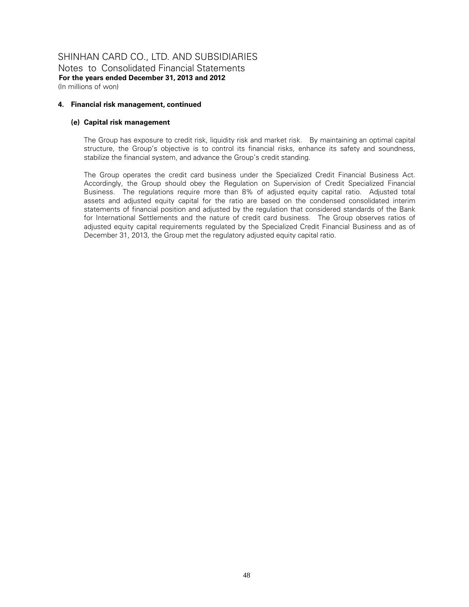### SHINHAN CARD CO., LTD. AND SUBSIDIARIES Notes to Consolidated Financial Statements

**For the years ended December 31, 2013 and 2012**  (In millions of won)

#### **4. Financial risk management, continued**

#### **(e) Capital risk management**

The Group has exposure to credit risk, liquidity risk and market risk. By maintaining an optimal capital structure, the Group's objective is to control its financial risks, enhance its safety and soundness, stabilize the financial system, and advance the Group's credit standing.

The Group operates the credit card business under the Specialized Credit Financial Business Act. Accordingly, the Group should obey the Regulation on Supervision of Credit Specialized Financial Business. The regulations require more than 8% of adjusted equity capital ratio. Adjusted total assets and adjusted equity capital for the ratio are based on the condensed consolidated interim statements of financial position and adjusted by the regulation that considered standards of the Bank for International Settlements and the nature of credit card business. The Group observes ratios of adjusted equity capital requirements regulated by the Specialized Credit Financial Business and as of December 31, 2013, the Group met the regulatory adjusted equity capital ratio.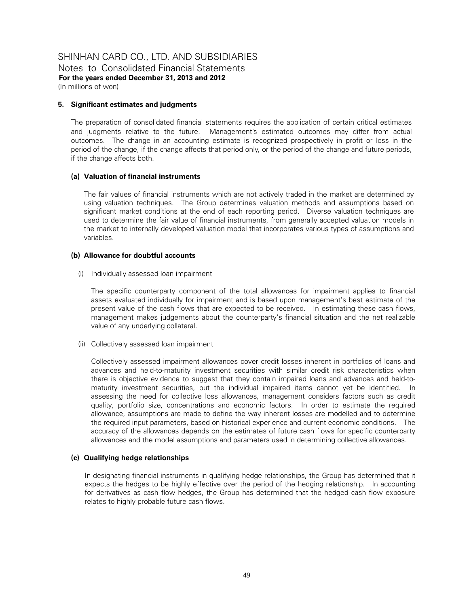Notes to Consolidated Financial Statements **For the years ended December 31, 2013 and 2012**  (In millions of won)

#### **5. Significant estimates and judgments**

The preparation of consolidated financial statements requires the application of certain critical estimates and judgments relative to the future. Management's estimated outcomes may differ from actual outcomes. The change in an accounting estimate is recognized prospectively in profit or loss in the period of the change, if the change affects that period only, or the period of the change and future periods, if the change affects both.

#### **(a) Valuation of financial instruments**

The fair values of financial instruments which are not actively traded in the market are determined by using valuation techniques. The Group determines valuation methods and assumptions based on significant market conditions at the end of each reporting period. Diverse valuation techniques are used to determine the fair value of financial instruments, from generally accepted valuation models in the market to internally developed valuation model that incorporates various types of assumptions and variables.

#### **(b) Allowance for doubtful accounts**

(i) Individually assessed loan impairment

The specific counterparty component of the total allowances for impairment applies to financial assets evaluated individually for impairment and is based upon management's best estimate of the present value of the cash flows that are expected to be received. In estimating these cash flows, management makes judgements about the counterparty's financial situation and the net realizable value of any underlying collateral.

(ii) Collectively assessed loan impairment

Collectively assessed impairment allowances cover credit losses inherent in portfolios of loans and advances and held-to-maturity investment securities with similar credit risk characteristics when there is objective evidence to suggest that they contain impaired loans and advances and held-tomaturity investment securities, but the individual impaired items cannot yet be identified. In assessing the need for collective loss allowances, management considers factors such as credit quality, portfolio size, concentrations and economic factors. In order to estimate the required allowance, assumptions are made to define the way inherent losses are modelled and to determine the required input parameters, based on historical experience and current economic conditions. The accuracy of the allowances depends on the estimates of future cash flows for specific counterparty allowances and the model assumptions and parameters used in determining collective allowances.

#### **(c) Qualifying hedge relationships**

In designating financial instruments in qualifying hedge relationships, the Group has determined that it expects the hedges to be highly effective over the period of the hedging relationship. In accounting for derivatives as cash flow hedges, the Group has determined that the hedged cash flow exposure relates to highly probable future cash flows.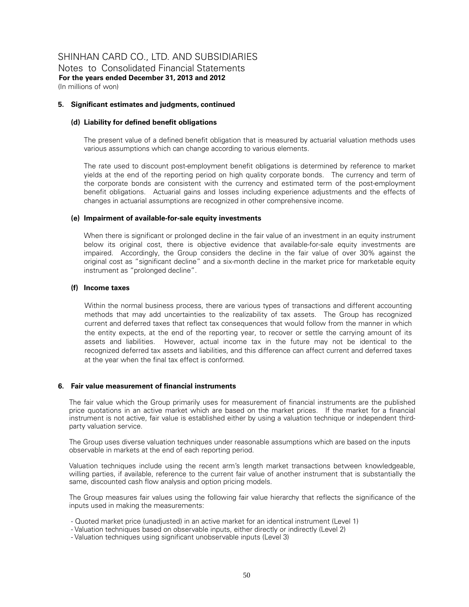Notes to Consolidated Financial Statements **For the years ended December 31, 2013 and 2012**  (In millions of won)

#### **5. Significant estimates and judgments, continued**

#### **(d) Liability for defined benefit obligations**

The present value of a defined benefit obligation that is measured by actuarial valuation methods uses various assumptions which can change according to various elements.

The rate used to discount post-employment benefit obligations is determined by reference to market yields at the end of the reporting period on high quality corporate bonds. The currency and term of the corporate bonds are consistent with the currency and estimated term of the post-employment benefit obligations. Actuarial gains and losses including experience adjustments and the effects of changes in actuarial assumptions are recognized in other comprehensive income.

#### **(e) Impairment of available-for-sale equity investments**

When there is significant or prolonged decline in the fair value of an investment in an equity instrument below its original cost, there is objective evidence that available-for-sale equity investments are impaired. Accordingly, the Group considers the decline in the fair value of over 30% against the original cost as "significant decline" and a six-month decline in the market price for marketable equity instrument as "prolonged decline".

#### **(f) Income taxes**

Within the normal business process, there are various types of transactions and different accounting methods that may add uncertainties to the realizability of tax assets. The Group has recognized current and deferred taxes that reflect tax consequences that would follow from the manner in which the entity expects, at the end of the reporting year, to recover or settle the carrying amount of its assets and liabilities. However, actual income tax in the future may not be identical to the recognized deferred tax assets and liabilities, and this difference can affect current and deferred taxes at the year when the final tax effect is conformed.

#### **6. Fair value measurement of financial instruments**

The fair value which the Group primarily uses for measurement of financial instruments are the published price quotations in an active market which are based on the market prices. If the market for a financial instrument is not active, fair value is established either by using a valuation technique or independent thirdparty valuation service.

The Group uses diverse valuation techniques under reasonable assumptions which are based on the inputs observable in markets at the end of each reporting period.

Valuation techniques include using the recent arm's length market transactions between knowledgeable, willing parties, if available, reference to the current fair value of another instrument that is substantially the same, discounted cash flow analysis and option pricing models.

The Group measures fair values using the following fair value hierarchy that reflects the significance of the inputs used in making the measurements:

- Quoted market price (unadjusted) in an active market for an identical instrument (Level 1)
- Valuation techniques based on observable inputs, either directly or indirectly (Level 2)
- Valuation techniques using significant unobservable inputs (Level 3)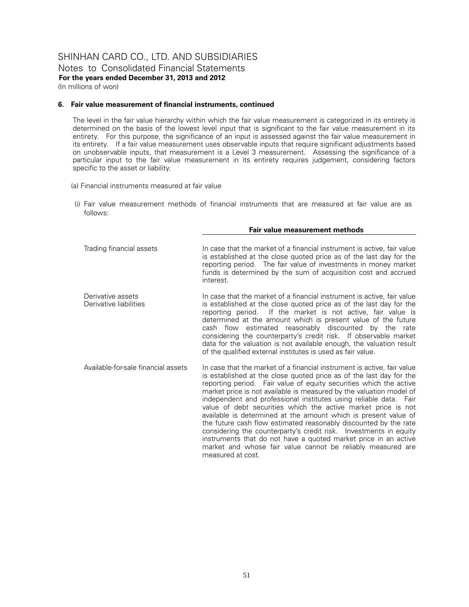Notes to Consolidated Financial Statements **For the years ended December 31, 2013 and 2012**  (In millions of won)

#### **6. Fair value measurement of financial instruments, continued**

 The level in the fair value hierarchy within which the fair value measurement is categorized in its entirety is determined on the basis of the lowest level input that is significant to the fair value measurement in its entirety. For this purpose, the significance of an input is assessed against the fair value measurement in its entirety. If a fair value measurement uses observable inputs that require significant adjustments based on unobservable inputs, that measurement is a Level 3 measurement. Assessing the significance of a particular input to the fair value measurement in its entirety requires judgement, considering factors specific to the asset or liability.

- (a) Financial instruments measured at fair value
- (i) Fair value measurement methods of financial instruments that are measured at fair value are as follows:

|                                             | Fair value measurement methods                                                                                                                                                                                                                                                                                                                                                                                                                                                                                                                                                                                                                                                                                                                                                                       |
|---------------------------------------------|------------------------------------------------------------------------------------------------------------------------------------------------------------------------------------------------------------------------------------------------------------------------------------------------------------------------------------------------------------------------------------------------------------------------------------------------------------------------------------------------------------------------------------------------------------------------------------------------------------------------------------------------------------------------------------------------------------------------------------------------------------------------------------------------------|
| Trading financial assets                    | In case that the market of a financial instrument is active, fair value<br>is established at the close quoted price as of the last day for the<br>reporting period. The fair value of investments in money market<br>funds is determined by the sum of acquisition cost and accrued<br>interest.                                                                                                                                                                                                                                                                                                                                                                                                                                                                                                     |
| Derivative assets<br>Derivative liabilities | In case that the market of a financial instrument is active, fair value<br>is established at the close quoted price as of the last day for the<br>reporting period. If the market is not active, fair value is<br>determined at the amount which is present value of the future<br>cash flow estimated reasonably discounted by the rate<br>considering the counterparty's credit risk. If observable market<br>data for the valuation is not available enough, the valuation result<br>of the qualified external institutes is used as fair value.                                                                                                                                                                                                                                                  |
| Available-for-sale financial assets         | In case that the market of a financial instrument is active, fair value<br>is established at the close quoted price as of the last day for the<br>reporting period. Fair value of equity securities which the active<br>market price is not available is measured by the valuation model of<br>independent and professional institutes using reliable data. Fair<br>value of debt securities which the active market price is not<br>available is determined at the amount which is present value of<br>the future cash flow estimated reasonably discounted by the rate<br>considering the counterparty's credit risk. Investments in equity<br>instruments that do not have a quoted market price in an active<br>market and whose fair value cannot be reliably measured are<br>measured at cost. |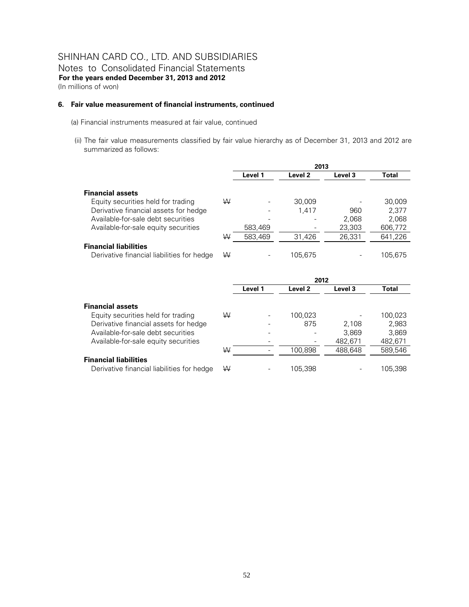#### **6. Fair value measurement of financial instruments, continued**

- (a) Financial instruments measured at fair value, continued
- (ii) The fair value measurements classified by fair value hierarchy as of December 31, 2013 and 2012 are summarized as follows:

|                                            |   | 2013    |         |         |         |
|--------------------------------------------|---|---------|---------|---------|---------|
|                                            |   | Level 1 | Level 2 | Level 3 | Total   |
| <b>Financial assets</b>                    |   |         |         |         |         |
| Equity securities held for trading         | W |         | 30,009  |         | 30,009  |
| Derivative financial assets for hedge      |   |         | 1.417   | 960     | 2.377   |
| Available-for-sale debt securities         |   |         |         | 2,068   | 2,068   |
| Available-for-sale equity securities       |   | 583,469 |         | 23,303  | 606,772 |
|                                            | W | 583,469 | 31.426  | 26.331  | 641,226 |
| <b>Financial liabilities</b>               |   |         |         |         |         |
| Derivative financial liabilities for hedge | W |         | 105.675 |         | 105.675 |

|                                            |   | 2012    |         |         |         |
|--------------------------------------------|---|---------|---------|---------|---------|
|                                            |   | Level 1 | Level 2 | Level 3 | Total   |
| <b>Financial assets</b>                    |   |         |         |         |         |
| Equity securities held for trading         | W |         | 100.023 |         | 100,023 |
| Derivative financial assets for hedge      |   |         | 875     | 2.108   | 2,983   |
| Available-for-sale debt securities         |   |         |         | 3,869   | 3,869   |
| Available-for-sale equity securities       |   |         |         | 482.671 | 482,671 |
|                                            | W |         | 100.898 | 488,648 | 589,546 |
| <b>Financial liabilities</b>               |   |         |         |         |         |
| Derivative financial liabilities for hedge | W |         | 105.398 |         | 105.398 |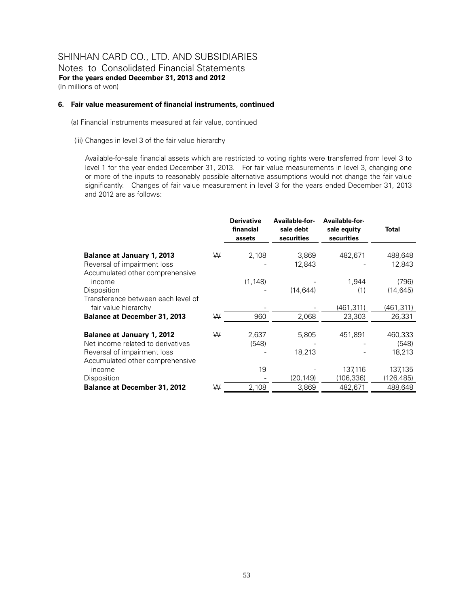#### **6. Fair value measurement of financial instruments, continued**

(a) Financial instruments measured at fair value, continued

(iii) Changes in level 3 of the fair value hierarchy

Available-for-sale financial assets which are restricted to voting rights were transferred from level 3 to level 1 for the year ended December 31, 2013. For fair value measurements in level 3, changing one or more of the inputs to reasonably possible alternative assumptions would not change the fair value significantly. Changes of fair value measurement in level 3 for the years ended December 31, 2013 and 2012 are as follows:

|                                     |   | <b>Derivative</b><br>financial<br>assets | Available-for-<br>sale debt<br>securities | Available-for-<br>sale equity<br>securities | Total      |
|-------------------------------------|---|------------------------------------------|-------------------------------------------|---------------------------------------------|------------|
|                                     |   |                                          |                                           |                                             |            |
| <b>Balance at January 1, 2013</b>   | ₩ | 2,108                                    | 3,869                                     | 482,671                                     | 488,648    |
| Reversal of impairment loss         |   |                                          | 12,843                                    |                                             | 12,843     |
| Accumulated other comprehensive     |   |                                          |                                           |                                             |            |
| income                              |   | (1, 148)                                 |                                           | 1,944                                       | (796)      |
| Disposition                         |   |                                          | (14, 644)                                 | (1)                                         | (14, 645)  |
| Transference between each level of  |   |                                          |                                           |                                             |            |
| fair value hierarchy                |   |                                          |                                           | (461,311)                                   | (461, 311) |
| <b>Balance at December 31, 2013</b> | W | 960                                      | 2,068                                     | 23,303                                      | 26,331     |
|                                     |   |                                          |                                           |                                             |            |
| <b>Balance at January 1, 2012</b>   | ₩ | 2,637                                    | 5,805                                     | 451,891                                     | 460,333    |
| Net income related to derivatives   |   | (548)                                    |                                           |                                             | (548)      |
| Reversal of impairment loss         |   |                                          | 18,213                                    |                                             | 18,213     |
| Accumulated other comprehensive     |   |                                          |                                           |                                             |            |
| income                              |   | 19                                       |                                           | 137,116                                     | 137,135    |
| Disposition                         |   |                                          | (20, 149)                                 | (106, 336)                                  | (126,485)  |
| <b>Balance at December 31, 2012</b> | ₩ | 2,108                                    | 3,869                                     | 482,671                                     | 488,648    |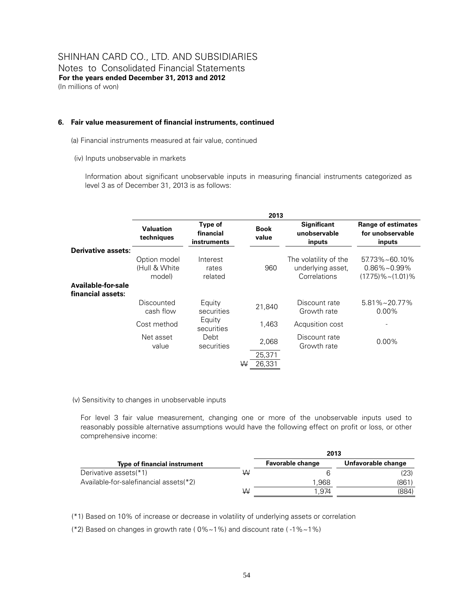#### **6. Fair value measurement of financial instruments, continued**

- (a) Financial instruments measured at fair value, continued
- (iv) Inputs unobservable in markets

Information about significant unobservable inputs in measuring financial instruments categorized as level 3 as of December 31, 2013 is as follows:

|                           | 2013                                    |                                     |                      |                                                            |                                                                             |  |  |  |  |
|---------------------------|-----------------------------------------|-------------------------------------|----------------------|------------------------------------------------------------|-----------------------------------------------------------------------------|--|--|--|--|
|                           | <b>Valuation</b><br>techniques          | Type of<br>financial<br>instruments | <b>Book</b><br>value | <b>Significant</b><br>unobservable<br>inputs               | Range of estimates<br>for unobservable<br>inputs                            |  |  |  |  |
| <b>Derivative assets:</b> |                                         |                                     |                      |                                                            |                                                                             |  |  |  |  |
|                           | Option model<br>(Hull & White<br>model) | Interest<br>rates<br>related        | 960                  | The volatility of the<br>underlying asset,<br>Correlations | $57.73\% \sim 60.10\%$<br>$0.86\% \sim 0.99\%$<br>$(17.75)\% \sim (1.01)\%$ |  |  |  |  |
| Available-for-sale        |                                         |                                     |                      |                                                            |                                                                             |  |  |  |  |
| financial assets:         |                                         |                                     |                      |                                                            |                                                                             |  |  |  |  |
|                           | Discounted<br>cash flow                 | Equity<br>securities                | 21,840               | Discount rate<br>Growth rate                               | $5.81\% \sim 20.77\%$<br>$0.00\%$                                           |  |  |  |  |
|                           | Cost method                             | Equity<br>securities                | 1,463                | Acqusition cost                                            |                                                                             |  |  |  |  |
|                           | Net asset<br>value                      | Debt<br>securities                  | 2,068                | Discount rate<br>Growth rate                               | $0.00\%$                                                                    |  |  |  |  |
|                           |                                         |                                     | 25,371               |                                                            |                                                                             |  |  |  |  |
|                           |                                         |                                     | 26.331<br>W          |                                                            |                                                                             |  |  |  |  |

#### (v) Sensitivity to changes in unobservable inputs

For level 3 fair value measurement, changing one or more of the unobservable inputs used to reasonably possible alternative assumptions would have the following effect on profit or loss, or other comprehensive income:

|                                        |   | 2013                    |                    |
|----------------------------------------|---|-------------------------|--------------------|
| Type of financial instrument           |   | <b>Favorable change</b> | Unfavorable change |
| Derivative assets(*1)                  | W |                         | (23)               |
| Available-for-salefinancial assets(*2) |   | 1.968                   | (861               |
|                                        | W | .974                    | (884)              |

(\*1) Based on 10% of increase or decrease in volatility of underlying assets or correlation

(\*2) Based on changes in growth rate ( 0%~1%) and discount rate ( -1%~1%)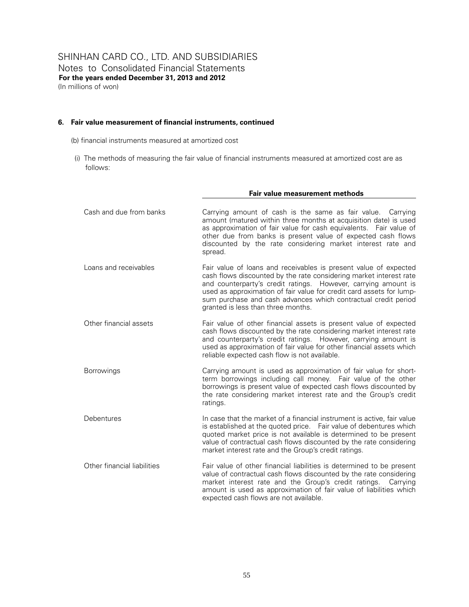#### **6. Fair value measurement of financial instruments, continued**

(b) financial instruments measured at amortized cost

(i) The methods of measuring the fair value of financial instruments measured at amortized cost are as follows:

|                             | Fair value measurement methods                                                                                                                                                                                                                                                                                                                                                           |
|-----------------------------|------------------------------------------------------------------------------------------------------------------------------------------------------------------------------------------------------------------------------------------------------------------------------------------------------------------------------------------------------------------------------------------|
| Cash and due from banks     | Carrying amount of cash is the same as fair value. Carrying<br>amount (matured within three months at acquisition date) is used<br>as approximation of fair value for cash equivalents. Fair value of<br>other due from banks is present value of expected cash flows<br>discounted by the rate considering market interest rate and<br>spread.                                          |
| Loans and receivables       | Fair value of loans and receivables is present value of expected<br>cash flows discounted by the rate considering market interest rate<br>and counterparty's credit ratings. However, carrying amount is<br>used as approximation of fair value for credit card assets for lump-<br>sum purchase and cash advances which contractual credit period<br>granted is less than three months. |
| Other financial assets      | Fair value of other financial assets is present value of expected<br>cash flows discounted by the rate considering market interest rate<br>and counterparty's credit ratings. However, carrying amount is<br>used as approximation of fair value for other financial assets which<br>reliable expected cash flow is not available.                                                       |
| <b>Borrowings</b>           | Carrying amount is used as approximation of fair value for short-<br>term borrowings including call money. Fair value of the other<br>borrowings is present value of expected cash flows discounted by<br>the rate considering market interest rate and the Group's credit<br>ratings.                                                                                                   |
| Debentures                  | In case that the market of a financial instrument is active, fair value<br>is established at the quoted price. Fair value of debentures which<br>quoted market price is not available is determined to be present<br>value of contractual cash flows discounted by the rate considering<br>market interest rate and the Group's credit ratings.                                          |
| Other financial liabilities | Fair value of other financial liabilities is determined to be present<br>value of contractual cash flows discounted by the rate considering<br>market interest rate and the Group's credit ratings.<br>Carrying<br>amount is used as approximation of fair value of liabilities which<br>expected cash flows are not available.                                                          |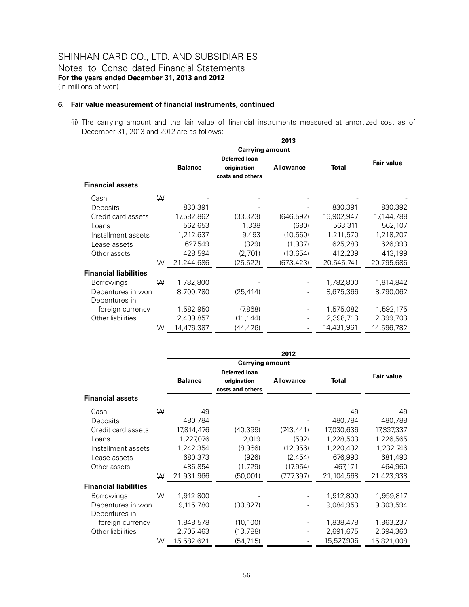#### **6. Fair value measurement of financial instruments, continued**

(ii) The carrying amount and the fair value of financial instruments measured at amortized cost as of December 31, 2013 and 2012 are as follows:

|                              |   |                |                  | 2013             |            |            |
|------------------------------|---|----------------|------------------|------------------|------------|------------|
|                              |   |                |                  |                  |            |            |
|                              |   |                | Deferred loan    |                  |            | Fair value |
|                              |   | <b>Balance</b> | origination      | <b>Allowance</b> | Total      |            |
|                              |   |                | costs and others |                  |            |            |
| <b>Financial assets</b>      |   |                |                  |                  |            |            |
| Cash                         | W |                |                  |                  |            |            |
| Deposits                     |   | 830,391        |                  |                  | 830,391    | 830,392    |
| Credit card assets           |   | 17,582,862     | (33, 323)        | (646, 592)       | 16,902,947 | 17,144,788 |
| Loans                        |   | 562,653        | 1,338            | (680)            | 563,311    | 562,107    |
| Installment assets           |   | 1,212,637      | 9,493            | (10, 560)        | 1,211,570  | 1,218,207  |
| Lease assets                 |   | 627,549        | (329)            | (1,937)          | 625,283    | 626,993    |
| Other assets                 |   | 428,594        | (2,701)          | (13, 654)        | 412,239    | 413,199    |
|                              | W | 21,244,686     | (25, 522)        | (673, 423)       | 20,545,741 | 20,795,686 |
| <b>Financial liabilities</b> |   |                |                  |                  |            |            |
| <b>Borrowings</b>            | ₩ | 1,782,800      |                  |                  | 1,782,800  | 1,814,842  |
| Debentures in won            |   | 8,700,780      | (25, 414)        |                  | 8,675,366  | 8,790,062  |
| Debentures in                |   |                |                  |                  |            |            |
| foreign currency             |   | 1,582,950      | (7,868)          |                  | 1,575,082  | 1,592,175  |
| Other liabilities            |   | 2,409,857      | (11,144)         |                  | 2,398,713  | 2,399,703  |
|                              | W | 14,476,387     | (44,426)         |                  | 14,431,961 | 14,596,782 |

|                              |   |                |                                                         | 2012             |            |            |
|------------------------------|---|----------------|---------------------------------------------------------|------------------|------------|------------|
|                              |   |                |                                                         |                  |            |            |
|                              |   | <b>Balance</b> | <b>Deferred loan</b><br>origination<br>costs and others | <b>Allowance</b> | Total      | Fair value |
| <b>Financial assets</b>      |   |                |                                                         |                  |            |            |
| Cash                         | W | 49             |                                                         |                  | 49         | 49         |
| Deposits                     |   | 480,784        |                                                         |                  | 480,784    | 480,788    |
| Credit card assets           |   | 17,814,476     | (40, 399)                                               | (743, 441)       | 17,030,636 | 17,337,337 |
| Loans                        |   | 1,227,076      | 2,019                                                   | (592)            | 1,228,503  | 1,226,565  |
| Installment assets           |   | 1,242,354      | (8,966)                                                 | (12, 956)        | 1,220,432  | 1,232,746  |
| Lease assets                 |   | 680,373        | (926)                                                   | (2,454)          | 676,993    | 681,493    |
| Other assets                 |   | 486,854        | (1,729)                                                 | (17,954)         | 467,171    | 464,960    |
|                              | W | 21,931,966     | (50,001)                                                | (777, 397)       | 21,104,568 | 21,423,938 |
| <b>Financial liabilities</b> |   |                |                                                         |                  |            |            |
| <b>Borrowings</b>            | W | 1,912,800      |                                                         |                  | 1,912,800  | 1,959,817  |
| Debentures in won            |   | 9,115,780      | (30,827)                                                |                  | 9,084,953  | 9,303,594  |
| Debentures in                |   |                |                                                         |                  |            |            |
| foreign currency             |   | 1,848,578      | (10, 100)                                               |                  | 1,838,478  | 1,863,237  |
| Other liabilities            |   | 2,705,463      | (13,788)                                                |                  | 2,691,675  | 2,694,360  |
|                              | W | 15,582,621     | (54,715)                                                |                  | 15,527,906 | 15,821,008 |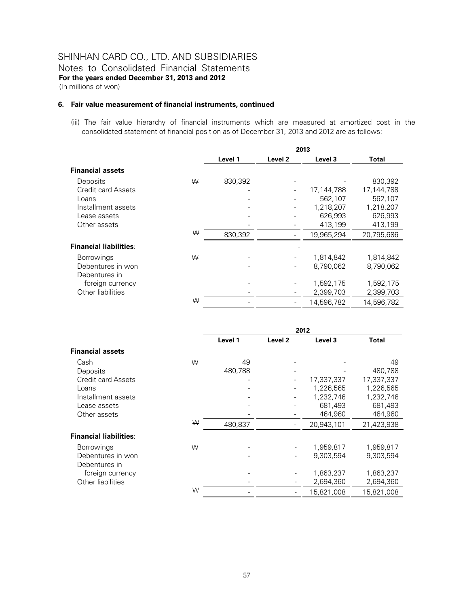#### **6. Fair value measurement of financial instruments, continued**

(iii) The fair value hierarchy of financial instruments which are measured at amortized cost in the consolidated statement of financial position as of December 31, 2013 and 2012 are as follows:

|                                    |   |         |         | 2013       |            |
|------------------------------------|---|---------|---------|------------|------------|
|                                    |   | Level 1 | Level 2 | Level 3    | Total      |
| <b>Financial assets</b>            |   |         |         |            |            |
| Deposits                           | ₩ | 830,392 |         |            | 830,392    |
| Credit card Assets                 |   |         |         | 17,144,788 | 17,144,788 |
| Loans                              |   |         |         | 562,107    | 562,107    |
| Installment assets                 |   |         |         | 1,218,207  | 1,218,207  |
| Lease assets                       |   |         |         | 626,993    | 626,993    |
| Other assets                       |   |         |         | 413,199    | 413,199    |
|                                    | ₩ | 830,392 |         | 19,965,294 | 20,795,686 |
| <b>Financial liabilities:</b>      |   |         |         |            |            |
| <b>Borrowings</b>                  | ₩ |         |         | 1,814,842  | 1,814,842  |
| Debentures in won<br>Debentures in |   |         |         | 8.790.062  | 8,790,062  |
| foreign currency                   |   |         |         | 1,592,175  | 1,592,175  |
| Other liabilities                  |   |         |         | 2,399,703  | 2,399,703  |
|                                    | W |         |         | 14,596,782 | 14,596,782 |

|                                    |   | 2012    |                          |            |            |
|------------------------------------|---|---------|--------------------------|------------|------------|
|                                    |   | Level 1 | Level <sub>2</sub>       | Level 3    | Total      |
| <b>Financial assets</b>            |   |         |                          |            |            |
| Cash                               | W | 49      |                          |            | 49         |
| Deposits                           |   | 480,788 |                          |            | 480,788    |
| Credit card Assets                 |   |         |                          | 17,337,337 | 17,337,337 |
| Loans                              |   |         | $\overline{\phantom{a}}$ | 1,226,565  | 1,226,565  |
| Installment assets                 |   |         |                          | 1,232,746  | 1,232,746  |
| Lease assets                       |   |         |                          | 681,493    | 681,493    |
| Other assets                       |   |         |                          | 464,960    | 464,960    |
|                                    | W | 480.837 |                          | 20,943,101 | 21,423,938 |
| <b>Financial liabilities:</b>      |   |         |                          |            |            |
| <b>Borrowings</b>                  | W |         |                          | 1,959,817  | 1,959,817  |
| Debentures in won<br>Debentures in |   |         |                          | 9,303,594  | 9,303,594  |
| foreign currency                   |   |         |                          | 1,863,237  | 1,863,237  |
| Other liabilities                  |   |         |                          | 2,694,360  | 2,694,360  |
|                                    | ₩ |         |                          | 15,821,008 | 15,821,008 |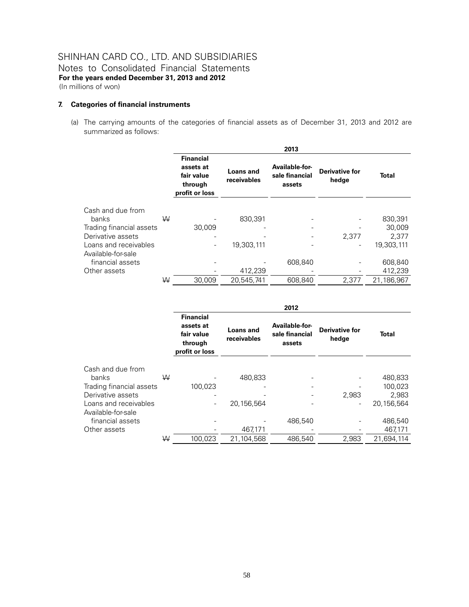#### **7. Categories of financial instruments**

(a) The carrying amounts of the categories of financial assets as of December 31, 2013 and 2012 are summarized as follows:

|                                             |   |                                                                          |                                 | 2013                                       |                                |              |
|---------------------------------------------|---|--------------------------------------------------------------------------|---------------------------------|--------------------------------------------|--------------------------------|--------------|
|                                             |   | <b>Financial</b><br>assets at<br>fair value<br>through<br>profit or loss | <b>Loans and</b><br>receivables | Available-for-<br>sale financial<br>assets | <b>Derivative for</b><br>hedge | <b>Total</b> |
| Cash and due from                           |   |                                                                          |                                 |                                            |                                |              |
| banks                                       | W |                                                                          | 830,391                         |                                            |                                | 830,391      |
| Trading financial assets                    |   | 30.009                                                                   |                                 |                                            |                                | 30,009       |
| Derivative assets                           |   |                                                                          |                                 |                                            | 2.377                          | 2.377        |
| Loans and receivables<br>Available-for-sale |   |                                                                          | 19,303,111                      |                                            |                                | 19,303,111   |
| financial assets                            |   |                                                                          |                                 | 608.840                                    |                                | 608,840      |
| Other assets                                |   |                                                                          | 412,239                         |                                            |                                | 412,239      |
|                                             | W | 30.009                                                                   | 20.545.741                      | 608.840                                    | 2.377                          | 21,186,967   |

|                          |   |                                                                          |                          | 2012                                                                         |       |              |
|--------------------------|---|--------------------------------------------------------------------------|--------------------------|------------------------------------------------------------------------------|-------|--------------|
|                          |   | <b>Financial</b><br>assets at<br>fair value<br>through<br>profit or loss | Loans and<br>receivables | Available-for-<br><b>Derivative for</b><br>sale financial<br>hedge<br>assets |       | <b>Total</b> |
| Cash and due from        |   |                                                                          |                          |                                                                              |       |              |
| banks                    | W |                                                                          | 480,833                  |                                                                              |       | 480,833      |
| Trading financial assets |   | 100.023                                                                  |                          |                                                                              |       | 100,023      |
| Derivative assets        |   |                                                                          |                          |                                                                              | 2,983 | 2,983        |
| Loans and receivables    |   | $\qquad \qquad \blacksquare$                                             | 20,156,564               |                                                                              |       | 20,156,564   |
| Available-for-sale       |   |                                                                          |                          |                                                                              |       |              |
| financial assets         |   |                                                                          |                          | 486.540                                                                      |       | 486,540      |
| Other assets             |   |                                                                          | 467,171                  |                                                                              |       | 467,171      |
|                          | W | 100.023                                                                  | 21.104.568               | 486,540                                                                      | 2,983 | 21,694,114   |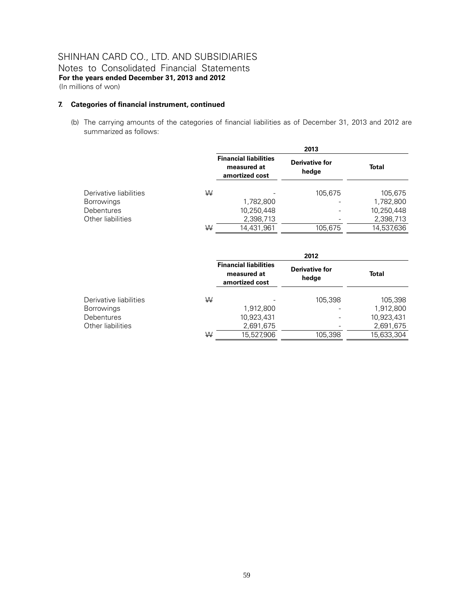(In millions of won)

### **7. Categories of financial instrument, continued**

(b) The carrying amounts of the categories of financial liabilities as of December 31, 2013 and 2012 are summarized as follows:

|                        |   |                                                               | 2013                           |              |  |
|------------------------|---|---------------------------------------------------------------|--------------------------------|--------------|--|
|                        |   | <b>Financial liabilities</b><br>measured at<br>amortized cost | <b>Derivative for</b><br>hedge | <b>Total</b> |  |
| Derivative liabilities | W |                                                               | 105,675                        | 105,675      |  |
| <b>Borrowings</b>      |   | 1,782,800                                                     |                                | 1,782,800    |  |
| <b>Debentures</b>      |   | 10,250,448                                                    |                                | 10,250,448   |  |
| Other liabilities      |   | 2,398,713                                                     |                                | 2,398,713    |  |
|                        | W | 14.431.961                                                    | 105,675                        | 14.537.636   |  |

|                        |   |                                                               | 2012                           |            |
|------------------------|---|---------------------------------------------------------------|--------------------------------|------------|
|                        |   | <b>Financial liabilities</b><br>measured at<br>amortized cost | <b>Derivative for</b><br>hedge | Total      |
| Derivative liabilities | W |                                                               | 105.398                        | 105,398    |
| <b>Borrowings</b>      |   | 1,912,800                                                     |                                | 1,912,800  |
| <b>Debentures</b>      |   | 10,923,431                                                    |                                | 10,923,431 |
| Other liabilities      |   | 2,691,675                                                     |                                | 2,691,675  |
|                        | W | 15.527.906                                                    | 105,398                        | 15,633,304 |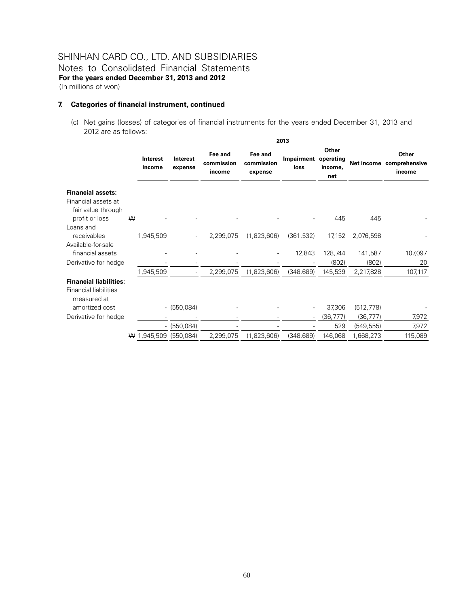#### **7. Categories of financial instrument, continued**

(c) Net gains (losses) of categories of financial instruments for the years ended December 31, 2013 and 2012 are as follows:

|                                                                                         |   |                       |                     |                                 |                                  | 2013                         |                         |            |                                             |
|-----------------------------------------------------------------------------------------|---|-----------------------|---------------------|---------------------------------|----------------------------------|------------------------------|-------------------------|------------|---------------------------------------------|
|                                                                                         |   | Interest<br>income    | Interest<br>expense | Fee and<br>commission<br>income | Fee and<br>commission<br>expense | Impairment operating<br>loss | Other<br>income.<br>net |            | Other<br>Net income comprehensive<br>income |
| <b>Financial assets:</b><br>Financial assets at<br>fair value through<br>profit or loss | W |                       |                     |                                 |                                  |                              | 445                     | 445        |                                             |
| Loans and<br>receivables                                                                |   | 1,945,509             |                     | 2,299,075                       | (1,823,606)                      | (361, 532)                   | 17,152                  | 2,076,598  |                                             |
| Available-for-sale<br>financial assets                                                  |   |                       |                     |                                 |                                  | 12,843                       | 128,744                 | 141,587    | 107,097                                     |
| Derivative for hedge                                                                    |   |                       |                     |                                 |                                  |                              | (802)                   | (802)      | 20                                          |
| <b>Financial liabilities:</b><br><b>Financial liabilities</b><br>measured at            |   | 1,945,509             |                     | 2,299,075                       | (1,823,606)                      | (348, 689)                   | 145,539                 | 2,217,828  | 107,117                                     |
| amortized cost                                                                          |   |                       | $- (550,084)$       |                                 |                                  |                              | 37,306                  | (512, 778) |                                             |
| Derivative for hedge                                                                    |   |                       |                     |                                 |                                  |                              | (36, 777)               | (36, 777)  | 7,972                                       |
|                                                                                         |   |                       | $- (550,084)$       |                                 |                                  |                              | 529                     | (549, 555) | 7,972                                       |
|                                                                                         |   | W 1,945,509 (550,084) |                     | 2,299,075                       | (1,823,606)                      | (348, 689)                   | 146,068                 | 1,668,273  | 115,089                                     |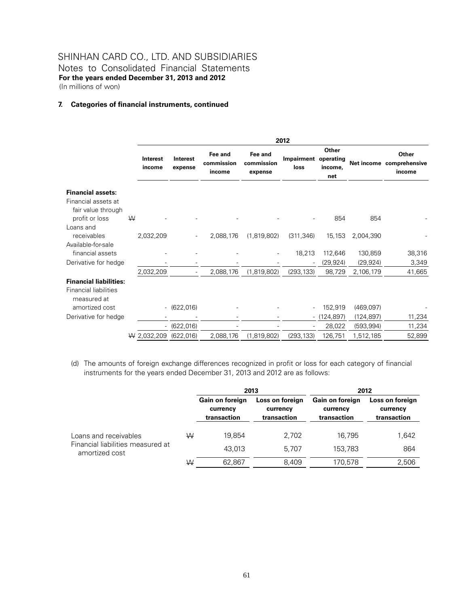### SHINHAN CARD CO., LTD. AND SUBSIDIARIES Notes to Consolidated Financial Statements

**For the years ended December 31, 2013 and 2012**  (In millions of won)

#### **7. Categories of financial instruments, continued**

|                                                                              |   |                           |                          |                                 |                                  | 2012                         |                         |            |                                             |
|------------------------------------------------------------------------------|---|---------------------------|--------------------------|---------------------------------|----------------------------------|------------------------------|-------------------------|------------|---------------------------------------------|
|                                                                              |   | <b>Interest</b><br>income | Interest<br>expense      | Fee and<br>commission<br>income | Fee and<br>commission<br>expense | Impairment operating<br>loss | Other<br>income,<br>net |            | Other<br>Net income comprehensive<br>income |
| <b>Financial assets:</b><br>Financial assets at<br>fair value through        |   |                           |                          |                                 |                                  |                              |                         |            |                                             |
| profit or loss                                                               | W |                           |                          |                                 |                                  |                              | 854                     | 854        |                                             |
| Loans and<br>receivables<br>Available-for-sale                               |   | 2,032,209                 |                          | 2,088,176                       | (1,819,802)                      | (311, 346)                   | 15,153                  | 2,004,390  |                                             |
| financial assets                                                             |   |                           |                          |                                 |                                  | 18,213                       | 112,646                 | 130,859    | 38,316                                      |
| Derivative for hedge                                                         |   |                           |                          |                                 |                                  |                              | (29, 924)               | (29, 924)  | 3,349                                       |
|                                                                              |   | 2,032,209                 | $\overline{\phantom{a}}$ | 2,088,176                       | (1,819,802)                      | (293, 133)                   | 98,729                  | 2,106,179  | 41,665                                      |
| <b>Financial liabilities:</b><br><b>Financial liabilities</b><br>measured at |   |                           |                          |                                 |                                  |                              |                         |            |                                             |
| amortized cost                                                               |   |                           | $-$ (622,016)            |                                 |                                  |                              | 152,919                 | (469,097)  |                                             |
| Derivative for hedge                                                         |   |                           |                          |                                 |                                  | $\overline{\phantom{0}}$     | (124, 897)              | (124, 897) | 11,234                                      |
|                                                                              |   |                           | $-$ (622,016)            |                                 |                                  |                              | 28,022                  | (593, 994) | 11,234                                      |
|                                                                              |   | $W$ 2,032,209             | (622, 016)               | 2,088,176                       | (1,819,802)                      | (293, 133)                   | 126,751                 | 1,512,185  | 52,899                                      |

(d) The amounts of foreign exchange differences recognized in profit or loss for each category of financial instruments for the years ended December 31, 2013 and 2012 are as follows:

|                                                     |   |                                            | 2013                                       | 2012                                              |                                            |  |
|-----------------------------------------------------|---|--------------------------------------------|--------------------------------------------|---------------------------------------------------|--------------------------------------------|--|
|                                                     |   | Gain on foreign<br>currency<br>transaction | Loss on foreign<br>currency<br>transaction | <b>Gain on foreign</b><br>currency<br>transaction | Loss on foreign<br>currency<br>transaction |  |
| Loans and receivables                               | W | 19.854                                     | 2.702                                      | 16.795                                            | 1,642                                      |  |
| Financial liabilities measured at<br>amortized cost |   | 43.013                                     | 5.707                                      | 153.783                                           | 864                                        |  |
|                                                     | W | 62.867                                     | 8.409                                      | 170.578                                           | 2,506                                      |  |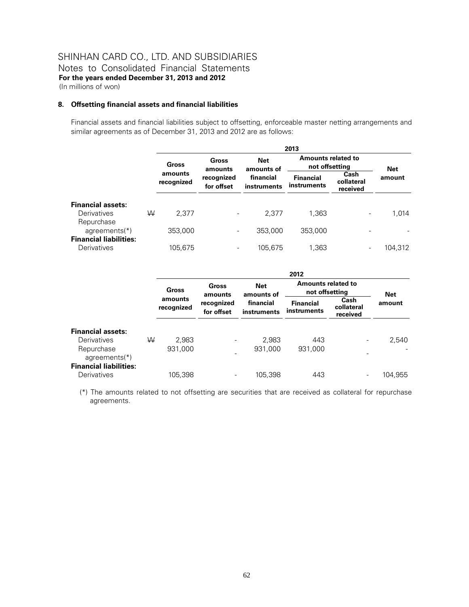#### **8. Offsetting financial assets and financial liabilities**

Financial assets and financial liabilities subject to offsetting, enforceable master netting arrangements and similar agreements as of December 31, 2013 and 2012 are as follows:

|                                                       |   | 2013                  |                          |                          |                                             |                                |         |  |  |
|-------------------------------------------------------|---|-----------------------|--------------------------|--------------------------|---------------------------------------------|--------------------------------|---------|--|--|
|                                                       |   | <b>Gross</b>          | Gross<br>amounts         | <b>Net</b><br>amounts of | <b>Amounts related to</b><br>not offsetting | Net                            |         |  |  |
|                                                       |   | amounts<br>recognized | recognized<br>for offset | financial<br>instruments | <b>Financial</b><br>instruments             | Cash<br>collateral<br>received | amount  |  |  |
| <b>Financial assets:</b><br>Derivatives<br>Repurchase | W | 2.377                 |                          | 2.377                    | 1,363                                       | $\overline{\phantom{a}}$       | 1,014   |  |  |
| agreements $(*)$<br><b>Financial liabilities:</b>     |   | 353,000               | $\overline{\phantom{0}}$ | 353,000                  | 353,000                                     |                                |         |  |  |
| Derivatives                                           |   | 105,675               | ۰                        | 105,675                  | 1,363                                       | $\overline{\phantom{a}}$       | 104,312 |  |  |

|                                |   | 2012                  |                          |                          |                                 |                                             |                      |  |
|--------------------------------|---|-----------------------|--------------------------|--------------------------|---------------------------------|---------------------------------------------|----------------------|--|
|                                |   | Gross                 | Gross<br>amounts         | <b>Net</b><br>amounts of |                                 | <b>Amounts related to</b><br>not offsetting |                      |  |
|                                |   | amounts<br>recognized | recognized<br>for offset | financial<br>instruments | <b>Financial</b><br>instruments | Cash<br>collateral<br>received              | <b>Net</b><br>amount |  |
| <b>Financial assets:</b>       |   |                       |                          |                          |                                 |                                             |                      |  |
| Derivatives                    | W | 2,983                 | $\overline{\phantom{0}}$ | 2,983                    | 443                             | $\overline{\phantom{0}}$                    | 2,540                |  |
| Repurchase<br>agreements $(*)$ |   | 931,000               |                          | 931,000                  | 931,000                         |                                             |                      |  |
| <b>Financial liabilities:</b>  |   |                       |                          |                          |                                 |                                             |                      |  |
| Derivatives                    |   | 105,398               |                          | 105.398                  | 443                             | -                                           | 104,955              |  |

(\*) The amounts related to not offsetting are securities that are received as collateral for repurchase agreements.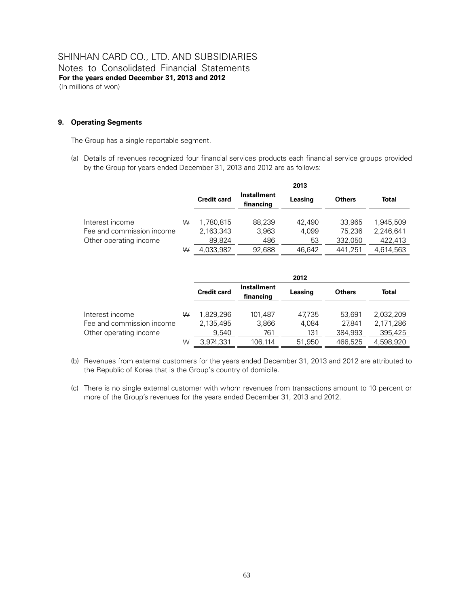### **9. Operating Segments**

The Group has a single reportable segment.

(a) Details of revenues recognized four financial services products each financial service groups provided by the Group for years ended December 31, 2013 and 2012 are as follows:

|                           |   |                    |                                 | 2013    |               |              |
|---------------------------|---|--------------------|---------------------------------|---------|---------------|--------------|
|                           |   | <b>Credit card</b> | <b>Installment</b><br>financing | Leasing | <b>Others</b> | <b>Total</b> |
| Interest income           | ₩ | 1,780,815          | 88,239                          | 42.490  | 33.965        | 1,945,509    |
| Fee and commission income |   | 2,163,343          | 3,963                           | 4.099   | 75.236        | 2,246,641    |
| Other operating income    |   | 89,824             | 486                             | 53      | 332,050       | 422,413      |
|                           | W | 4,033,982          | 92.688                          | 46.642  | 441.251       | 4.614.563    |

|                           |   |                    |                                 | 2012    |               |           |
|---------------------------|---|--------------------|---------------------------------|---------|---------------|-----------|
|                           |   | <b>Credit card</b> | <b>Installment</b><br>financing | Leasing | <b>Others</b> | Total     |
| Interest income           | W | 1.829.296          | 101.487                         | 47.735  | 53.691        | 2.032.209 |
| Fee and commission income |   | 2,135,495          | 3,866                           | 4.084   | 27.841        | 2,171,286 |
| Other operating income    |   | 9.540              | 761                             | 131     | 384.993       | 395.425   |
|                           | W | 3,974,331          | 106.114                         | 51.950  | 466.525       | 4,598,920 |

- (b) Revenues from external customers for the years ended December 31, 2013 and 2012 are attributed to the Republic of Korea that is the Group's country of domicile.
- (c) There is no single external customer with whom revenues from transactions amount to 10 percent or more of the Group's revenues for the years ended December 31, 2013 and 2012.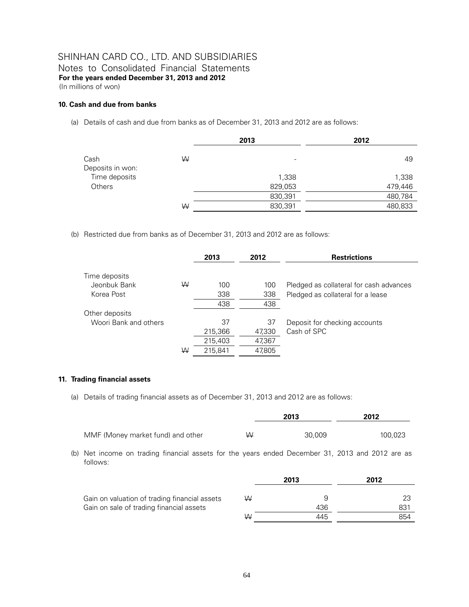Notes to Consolidated Financial Statements **For the years ended December 31, 2013 and 2012**  (In millions of won)

#### **10. Cash and due from banks**

(a) Details of cash and due from banks as of December 31, 2013 and 2012 are as follows:

|                  |   | 2013                     | 2012    |
|------------------|---|--------------------------|---------|
| Cash             | W | $\overline{\phantom{a}}$ | 49      |
| Deposits in won: |   |                          |         |
| Time deposits    |   | 1,338                    | 1,338   |
| <b>Others</b>    |   | 829,053                  | 479,446 |
|                  |   | 830,391                  | 480,784 |
|                  | ₩ | 830,391                  | 480,833 |

(b) Restricted due from banks as of December 31, 2013 and 2012 are as follows:

|                       |   | 2013    | 2012   | <b>Restrictions</b>                     |
|-----------------------|---|---------|--------|-----------------------------------------|
| Time deposits         |   |         |        |                                         |
| Jeonbuk Bank          | W | 100     |        |                                         |
|                       |   |         | 100    | Pledged as collateral for cash advances |
| Korea Post            |   | 338     | 338    | Pledged as collateral for a lease       |
|                       |   | 438     | 438    |                                         |
| Other deposits        |   |         |        |                                         |
| Woori Bank and others |   | 37      | 37     | Deposit for checking accounts           |
|                       |   | 215,366 | 47,330 | Cash of SPC                             |
|                       |   | 215,403 | 47,367 |                                         |
|                       | W | 215.841 | 47.805 |                                         |

#### **11. Trading financial assets**

(a) Details of trading financial assets as of December 31, 2013 and 2012 are as follows:

|                                   |   | 2013   | 2012    |
|-----------------------------------|---|--------|---------|
| MMF (Money market fund) and other | W | 30.009 | 100,023 |

(b) Net income on trading financial assets for the years ended December 31, 2013 and 2012 are as follows:

|                                               |   | 2013 | 2012 |
|-----------------------------------------------|---|------|------|
| Gain on valuation of trading financial assets | W |      | 23   |
| Gain on sale of trading financial assets      |   | 436  | 831  |
|                                               | W | 445  | 854  |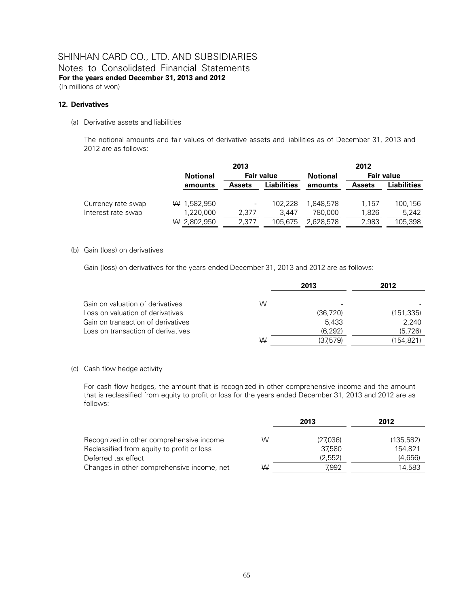#### **12. Derivatives**

(a) Derivative assets and liabilities

The notional amounts and fair values of derivative assets and liabilities as of December 31, 2013 and 2012 are as follows:

|                    |                 | 2013          |                    | 2012            |               |             |  |
|--------------------|-----------------|---------------|--------------------|-----------------|---------------|-------------|--|
|                    | <b>Notional</b> | Fair value    |                    | <b>Notional</b> | Fair value    |             |  |
|                    | amounts         | <b>Assets</b> | <b>Liabilities</b> | amounts         | <b>Assets</b> | Liabilities |  |
|                    |                 |               |                    |                 |               |             |  |
| Currency rate swap | W 1,582,950     |               | 102.228            | 1,848,578       | 1.157         | 100,156     |  |
| Interest rate swap | 1,220,000       | 2.377         | 3.447              | 780.000         | 1,826         | 5.242       |  |
|                    | $W$ 2,802,950   | 2.377         | 105,675            | 2,628,578       | 2,983         | 105,398     |  |

#### (b) Gain (loss) on derivatives

Gain (loss) on derivatives for the years ended December 31, 2013 and 2012 are as follows:

|                                    |   | 2013      | 2012       |
|------------------------------------|---|-----------|------------|
| Gain on valuation of derivatives   | W |           |            |
| Loss on valuation of derivatives   |   | (36, 720) | (151, 335) |
| Gain on transaction of derivatives |   | 5.433     | 2.240      |
| Loss on transaction of derivatives |   | (6.292)   | (5,726)    |
|                                    | W | (37,579)  | (154.821)  |

#### (c) Cash flow hedge activity

For cash flow hedges, the amount that is recognized in other comprehensive income and the amount that is reclassified from equity to profit or loss for the years ended December 31, 2013 and 2012 are as follows:

|                                            |   | 2013     | 2012       |
|--------------------------------------------|---|----------|------------|
| Recognized in other comprehensive income   | W | (27,036) | (135, 582) |
| Reclassified from equity to profit or loss |   | 37.580   | 154.821    |
| Deferred tax effect                        |   | (2, 552) | (4,656)    |
| Changes in other comprehensive income, net | W | 7.992    | 14,583     |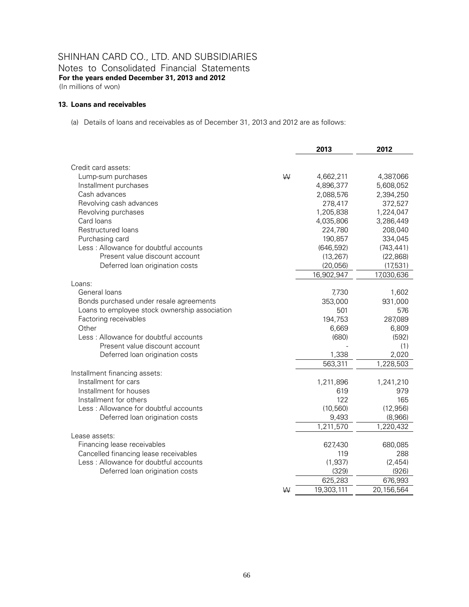### SHINHAN CARD CO., LTD. AND SUBSIDIARIES Notes to Consolidated Financial Statements

**For the years ended December 31, 2013 and 2012** 

(In millions of won)

#### **13. Loans and receivables**

(a) Details of loans and receivables as of December 31, 2013 and 2012 are as follows:

|                                               | 2013       | 2012       |
|-----------------------------------------------|------------|------------|
|                                               |            |            |
| Credit card assets:                           |            |            |
| W<br>Lump-sum purchases                       | 4,662,211  | 4,387,066  |
| Installment purchases                         | 4,896,377  | 5,608,052  |
| Cash advances                                 | 2,088,576  | 2,394,250  |
| Revolving cash advances                       | 278,417    | 372,527    |
| Revolving purchases                           | 1,205,838  | 1,224,047  |
| Card loans                                    | 4,035,806  | 3,286,449  |
| <b>Restructured loans</b>                     | 224,780    | 208,040    |
| Purchasing card                               | 190,857    | 334,045    |
| Less: Allowance for doubtful accounts         | (646, 592) | (743, 441) |
| Present value discount account                | (13, 267)  | (22, 868)  |
| Deferred loan origination costs               | (20, 056)  | (17,531)   |
|                                               | 16,902,947 | 17,030,636 |
| Loans:                                        |            |            |
| General loans                                 | 7,730      | 1,602      |
| Bonds purchased under resale agreements       | 353,000    | 931,000    |
| Loans to employee stock ownership association | 501        | 576        |
| Factoring receivables                         | 194,753    | 287,089    |
| Other                                         | 6,669      | 6,809      |
| Less: Allowance for doubtful accounts         | (680)      | (592)      |
| Present value discount account                |            | (1)        |
| Deferred loan origination costs               | 1,338      | 2,020      |
|                                               | 563,311    | 1,228,503  |
| Installment financing assets:                 |            |            |
| Installment for cars                          | 1,211,896  | 1,241,210  |
| Installment for houses                        | 619        | 979        |
| Installment for others                        | 122        | 165        |
| Less: Allowance for doubtful accounts         | (10, 560)  | (12, 956)  |
| Deferred loan origination costs               | 9,493      | (8,966)    |
|                                               | 1,211,570  | 1,220,432  |
| Lease assets:                                 |            |            |
| Financing lease receivables                   | 627,430    | 680,085    |
| Cancelled financing lease receivables         | 119        | 288        |
| Less: Allowance for doubtful accounts         | (1, 937)   | (2, 454)   |
| Deferred loan origination costs               | (329)      | (926)      |
|                                               | 625,283    | 676,993    |
| W                                             | 19,303,111 | 20,156,564 |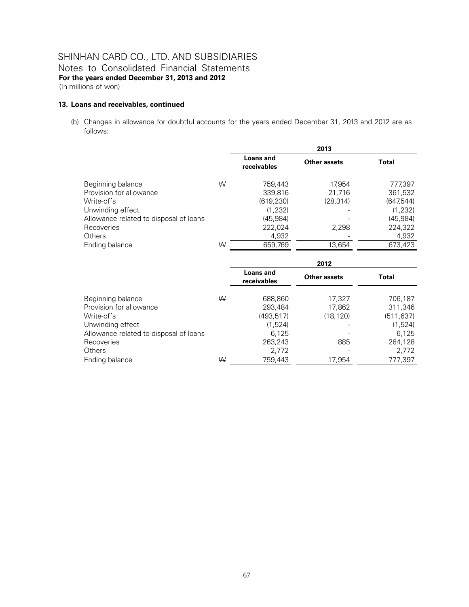#### **13. Loans and receivables, continued**

(b) Changes in allowance for doubtful accounts for the years ended December 31, 2013 and 2012 are as follows:

|                                        |   |                          | 2013         |            |
|----------------------------------------|---|--------------------------|--------------|------------|
|                                        |   | Loans and<br>receivables | Other assets | Total      |
| Beginning balance                      | W | 759,443                  | 17.954       | 777,397    |
| Provision for allowance                |   | 339,816                  | 21,716       | 361,532    |
| Write-offs                             |   | (619, 230)               | (28, 314)    | (647, 544) |
| Unwinding effect                       |   | (1,232)                  |              | (1,232)    |
| Allowance related to disposal of loans |   | (45.984)                 |              | (45.984)   |
| Recoveries                             |   | 222,024                  | 2.298        | 224,322    |
| <b>Others</b>                          |   | 4,932                    |              | 4,932      |
| Ending balance                         | W | 659,769                  | 13,654       | 673,423    |

|                                        |   | 2012                            |              |            |  |  |
|----------------------------------------|---|---------------------------------|--------------|------------|--|--|
|                                        |   | <b>Loans and</b><br>receivables | Other assets | Total      |  |  |
| Beginning balance                      | W | 688,860                         | 17,327       | 706,187    |  |  |
| Provision for allowance                |   | 293.484                         | 17,862       | 311,346    |  |  |
| Write-offs                             |   | (493, 517)                      | (18, 120)    | (511, 637) |  |  |
| Unwinding effect                       |   | (1,524)                         |              | (1,524)    |  |  |
| Allowance related to disposal of loans |   | 6,125                           |              | 6,125      |  |  |
| Recoveries                             |   | 263,243                         | 885          | 264,128    |  |  |
| <b>Others</b>                          |   | 2,772                           |              | 2,772      |  |  |
| Ending balance                         | W | 759.443                         | 17.954       | 777,397    |  |  |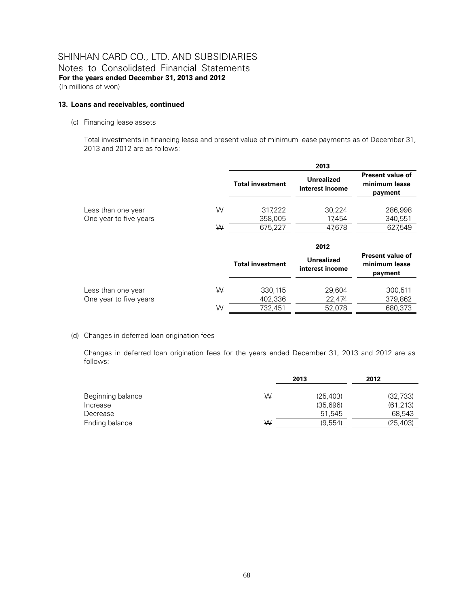#### **13. Loans and receivables, continued**

(c) Financing lease assets

Total investments in financing lease and present value of minimum lease payments as of December 31, 2013 and 2012 are as follows:

|                        |   |                         | 2013                                 |                                                     |
|------------------------|---|-------------------------|--------------------------------------|-----------------------------------------------------|
|                        |   | <b>Total investment</b> | <b>Unrealized</b><br>interest income | <b>Present value of</b><br>minimum lease<br>payment |
| Less than one year     | W | 317,222                 | 30,224                               | 286,998                                             |
| One year to five years |   | 358,005                 | 17,454                               | 340,551                                             |
|                        | W | 675,227                 | 47.678                               | 627,549                                             |
|                        |   |                         | 2012                                 |                                                     |
|                        |   | <b>Total investment</b> | <b>Unrealized</b><br>interest income | <b>Present value of</b><br>minimum lease<br>payment |
| Less than one year     | W | 330,115                 | 29,604                               | 300,511                                             |
| One year to five years |   | 402,336                 | 22,474                               | 379,862                                             |
|                        | W | 732,451                 | 52,078                               | 680,373                                             |

(d) Changes in deferred loan origination fees

Changes in deferred loan origination fees for the years ended December 31, 2013 and 2012 are as follows:

 $\frac{1}{2}$   $\frac{1}{2}$   $\frac{1}{2}$   $\frac{1}{2}$   $\frac{1}{2}$   $\frac{1}{2}$   $\frac{1}{2}$   $\frac{1}{2}$   $\frac{1}{2}$   $\frac{1}{2}$   $\frac{1}{2}$   $\frac{1}{2}$   $\frac{1}{2}$   $\frac{1}{2}$   $\frac{1}{2}$   $\frac{1}{2}$   $\frac{1}{2}$   $\frac{1}{2}$   $\frac{1}{2}$   $\frac{1}{2}$   $\frac{1}{2}$   $\frac{1}{2}$ 

|                   | 2013 |           | 2012      |  |
|-------------------|------|-----------|-----------|--|
|                   |      |           |           |  |
| Beginning balance | ₩    | (25, 403) | (32, 733) |  |
| Increase          |      | (35,696)  | (61, 213) |  |
| Decrease          |      | 51.545    | 68,543    |  |
| Ending balance    | W    | (9.554)   | (25, 403) |  |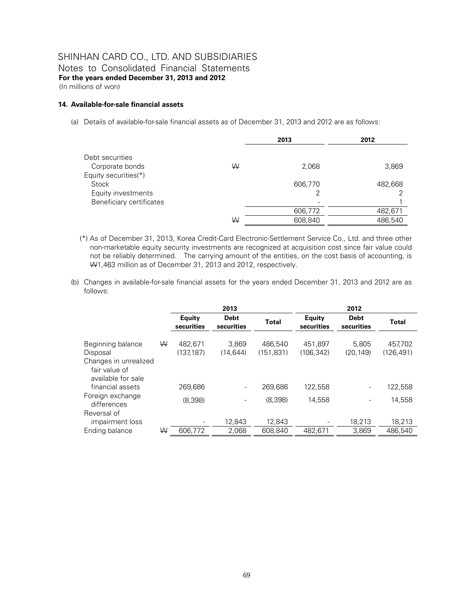Notes to Consolidated Financial Statements **For the years ended December 31, 2013 and 2012**  (In millions of won)

#### **14. Available-for-sale financial assets**

(a) Details of available-for-sale financial assets as of December 31, 2013 and 2012 are as follows:

|                                 |   | 2013    | 2012    |
|---------------------------------|---|---------|---------|
| Debt securities                 |   |         |         |
| Corporate bonds                 | W | 2,068   | 3,869   |
| Equity securities(*)            |   |         |         |
| Stock                           |   | 606,770 | 482,668 |
| Equity investments              |   |         |         |
| <b>Beneficiary certificates</b> |   |         |         |
|                                 |   | 606,772 | 482,671 |
|                                 | ₩ | 608,840 | 486,540 |
|                                 |   |         |         |

- (\*) As of December 31, 2013, Korea Credit-Card Electronic-Settlement Service Co., Ltd. and three other non-marketable equity security investments are recognized at acquisition cost since fair value could not be reliably determined. The carrying amount of the entities, on the cost basis of accounting, is W1,463 million as of December 31, 2013 and 2012, respectively.
- (b) Changes in available-for-sale financial assets for the years ended December 31, 2013 and 2012 are as follows:

|                                                              |   |                             | 2013                      |                       |                             | 2012                      |                       |
|--------------------------------------------------------------|---|-----------------------------|---------------------------|-----------------------|-----------------------------|---------------------------|-----------------------|
|                                                              |   | <b>Equity</b><br>securities | <b>Debt</b><br>securities | <b>Total</b>          | <b>Equity</b><br>securities | <b>Debt</b><br>securities | <b>Total</b>          |
| Beginning balance<br>Disposal                                | ₩ | 482.671<br>(137, 187)       | 3.869<br>(14.644)         | 486.540<br>(151, 831) | 451.897<br>(106, 342)       | 5.805<br>(20.149)         | 457.702<br>(126, 491) |
| Changes in unrealized<br>fair value of<br>available for sale |   |                             |                           |                       |                             |                           |                       |
| financial assets                                             |   | 269,686                     |                           | 269,686               | 122,558                     |                           | 122,558               |
| Foreign exchange<br>differences                              |   | (8.398)                     |                           | (8.398)               | 14.558                      |                           | 14.558                |
| Reversal of<br>impairment loss                               |   |                             | 12,843                    | 12,843                |                             | 18,213                    | 18,213                |
| Ending balance                                               | W | 606,772                     | 2,068                     | 608,840               | 482,671                     | 3,869                     | 486,540               |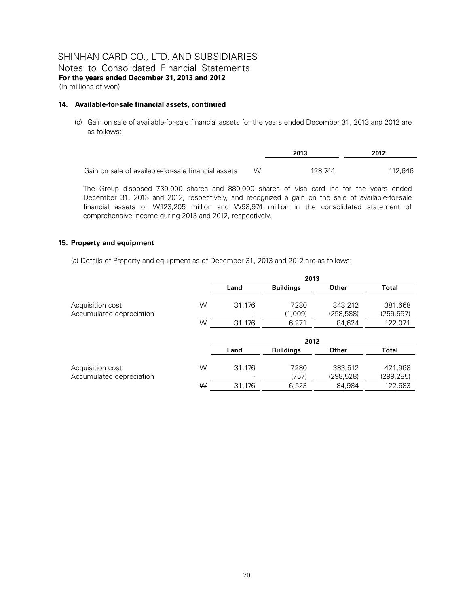Notes to Consolidated Financial Statements **For the years ended December 31, 2013 and 2012**  (In millions of won)

#### **14. Available-for-sale financial assets, continued**

(c) Gain on sale of available-for-sale financial assets for the years ended December 31, 2013 and 2012 are as follows:

|                                                     |   | 2013    | 2012    |
|-----------------------------------------------------|---|---------|---------|
|                                                     |   |         |         |
| Gain on sale of available-for-sale financial assets | W | 128.744 | 112.646 |

The Group disposed 739,000 shares and 880,000 shares of visa card inc for the years ended December 31, 2013 and 2012, respectively, and recognized a gain on the sale of available-for-sale financial assets of W123,205 million and W98,974 million in the consolidated statement of comprehensive income during 2013 and 2012, respectively.

#### **15. Property and equipment**

(a) Details of Property and equipment as of December 31, 2013 and 2012 are as follows:

|                                              |   | 2013   |                  |                       |                       |
|----------------------------------------------|---|--------|------------------|-----------------------|-----------------------|
|                                              |   | Land   | <b>Buildings</b> | <b>Other</b>          | <b>Total</b>          |
| Acquisition cost<br>Accumulated depreciation | ₩ | 31,176 | 7,280<br>(1,009) | 343,212<br>(258, 588) | 381,668<br>(259, 597) |
|                                              | W | 31,176 | 6.271            | 84.624                | 122,071               |
|                                              |   |        | 2012             |                       |                       |

|                          |   | Land   | <b>Buildings</b> | Other      | Total      |
|--------------------------|---|--------|------------------|------------|------------|
| Acquisition cost         | W | 31 176 | 7.280            | 383.512    | 421.968    |
| Accumulated depreciation |   | -      | (757)            | (298, 528) | (299, 285) |
|                          | W | 31.176 | 6.523            | 84.984     | 122,683    |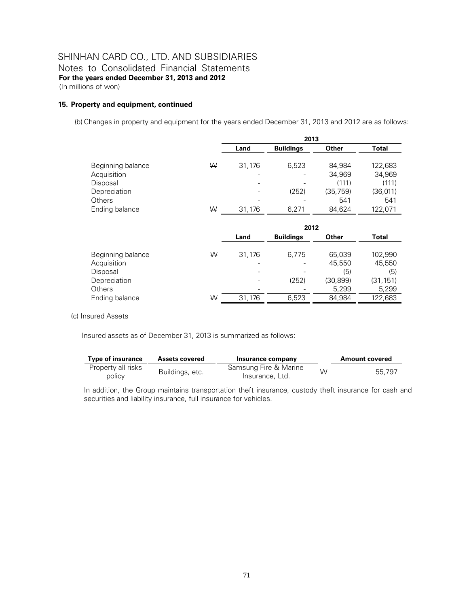Notes to Consolidated Financial Statements **For the years ended December 31, 2013 and 2012**  (In millions of won)

#### **15. Property and equipment, continued**

(b) Changes in property and equipment for the years ended December 31, 2013 and 2012 are as follows:

|                   |   |        | 2013             |           |              |
|-------------------|---|--------|------------------|-----------|--------------|
|                   |   | Land   | <b>Buildings</b> | Other     | <b>Total</b> |
| Beginning balance | W | 31,176 | 6,523            | 84,984    | 122,683      |
| Acquisition       |   | -      |                  | 34,969    | 34,969       |
| Disposal          |   |        |                  | (111)     | (111)        |
| Depreciation      |   |        | (252)            | (35, 759) | (36, 011)    |
| <b>Others</b>     |   |        |                  | 541       | 541          |
| Ending balance    | ₩ | 31,176 | 6,271            | 84,624    | 122,071      |
|                   |   |        |                  |           |              |

|                   |   | 2012   |                  |              |           |  |  |
|-------------------|---|--------|------------------|--------------|-----------|--|--|
|                   |   | Land   | <b>Buildings</b> | <b>Other</b> | Total     |  |  |
| Beginning balance | W | 31,176 | 6.775            | 65,039       | 102,990   |  |  |
| Acquisition       |   |        |                  | 45,550       | 45,550    |  |  |
| Disposal          |   |        |                  | (5)          | (5)       |  |  |
| Depreciation      |   |        | (252)            | (30, 899)    | (31, 151) |  |  |
| <b>Others</b>     |   |        |                  | 5,299        | 5,299     |  |  |
| Ending balance    | W | 31,176 | 6.523            | 84.984       | 122,683   |  |  |

#### (c) Insured Assets

Insured assets as of December 31, 2013 is summarized as follows:

| <b>Type of insurance</b>     | <b>Assets covered</b> | Insurance company                        |   | <b>Amount covered</b> |
|------------------------------|-----------------------|------------------------------------------|---|-----------------------|
| Property all risks<br>policy | Buildings, etc.       | Samsung Fire & Marine<br>Insurance, Ltd. | W | 55.797                |

In addition, the Group maintains transportation theft insurance, custody theft insurance for cash and securities and liability insurance, full insurance for vehicles.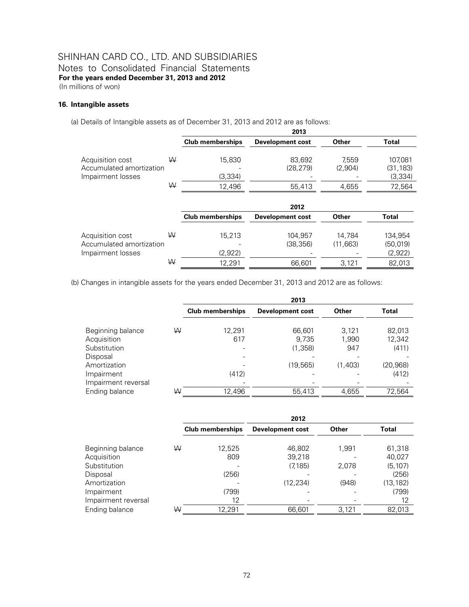Notes to Consolidated Financial Statements **For the years ended December 31, 2013 and 2012** 

(In millions of won)

#### **16. Intangible assets**

(a) Details of Intangible assets as of December 31, 2013 and 2012 are as follows:

|                                                                   |        |                             | 2013                          |                           |                                           |
|-------------------------------------------------------------------|--------|-----------------------------|-------------------------------|---------------------------|-------------------------------------------|
|                                                                   |        | <b>Club memberships</b>     | <b>Development cost</b>       | Other                     | <b>Total</b>                              |
| Acquisition cost<br>Accumulated amortization<br>Impairment losses | W<br>W | 15.830<br>(3,334)<br>12,496 | 83.692<br>(28, 279)<br>55,413 | 7.559<br>(2,904)<br>4,655 | 107,081<br>(31, 183)<br>(3,334)<br>72,564 |
|                                                                   |        |                             | 2012                          |                           |                                           |
|                                                                   |        | <b>Club memberships</b>     | <b>Development cost</b>       | Other                     | <b>Total</b>                              |
| Acquisition cost<br>Accumulated amortization<br>Impairment losses | W      | 15.213<br>(2,922)           | 104.957<br>(38, 356)          | 14.784<br>(11, 663)       | 134.954<br>(50, 019)<br>(2,922)           |
|                                                                   | W      | 12,291                      | 66.601                        | 3,121                     | 82,013                                    |

(b) Changes in intangible assets for the years ended December 31, 2013 and 2012 are as follows:

|                                                                              |   |                         | 2013                                    |                                  |                                       |
|------------------------------------------------------------------------------|---|-------------------------|-----------------------------------------|----------------------------------|---------------------------------------|
|                                                                              |   | <b>Club memberships</b> | <b>Development cost</b>                 | Other                            | Total                                 |
| Beginning balance<br>Acquisition<br>Substitution<br>Disposal<br>Amortization | W | 12.291<br>617           | 66,601<br>9.735<br>(1,358)<br>(19, 565) | 3.121<br>1,990<br>947<br>(1,403) | 82,013<br>12,342<br>(411)<br>(20,968) |
| Impairment<br>Impairment reversal                                            |   | (412)                   |                                         |                                  | (412)                                 |
| Ending balance                                                               | W | 12,496                  | 55,413                                  | 4,655                            | 72,564                                |

|                     | 2012 |                         |                         |       |              |  |  |
|---------------------|------|-------------------------|-------------------------|-------|--------------|--|--|
|                     |      | <b>Club memberships</b> | <b>Development cost</b> | Other | <b>Total</b> |  |  |
| Beginning balance   | W    | 12,525                  | 46,802                  | 1.991 | 61,318       |  |  |
| Acquisition         |      | 809                     | 39,218                  |       | 40,027       |  |  |
| Substitution        |      |                         | (7, 185)                | 2,078 | (5, 107)     |  |  |
| Disposal            |      | (256)                   |                         |       | (256)        |  |  |
| Amortization        |      |                         | (12, 234)               | (948) | (13, 182)    |  |  |
| Impairment          |      | (799)                   |                         |       | (799)        |  |  |
| Impairment reversal |      | 12                      |                         |       | 12           |  |  |
| Ending balance      | W    | 12.291                  | 66,601                  | 3.121 | 82.013       |  |  |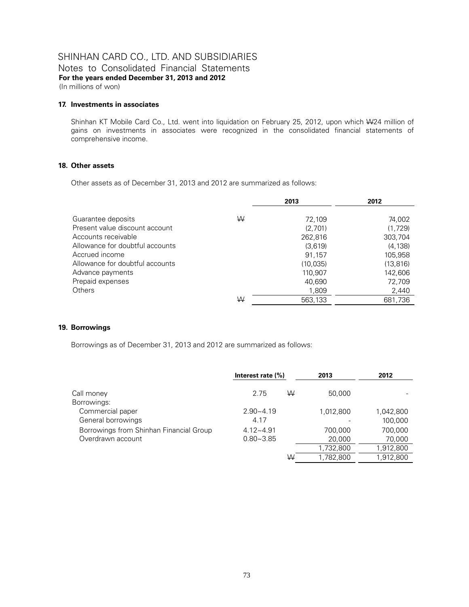Notes to Consolidated Financial Statements **For the years ended December 31, 2013 and 2012**  (In millions of won)

#### **17. Investments in associates**

Shinhan KT Mobile Card Co., Ltd. went into liquidation on February 25, 2012, upon which W24 million of gains on investments in associates were recognized in the consolidated financial statements of comprehensive income.

#### **18. Other assets**

Other assets as of December 31, 2013 and 2012 are summarized as follows:

|                                 |   | 2013     | 2012      |
|---------------------------------|---|----------|-----------|
| Guarantee deposits              | W | 72,109   |           |
|                                 |   |          | 74,002    |
| Present value discount account  |   | (2.701)  | (1,729)   |
| Accounts receivable             |   | 262,816  | 303,704   |
| Allowance for doubtful accounts |   | (3.619)  | (4.138)   |
| Accrued income                  |   | 91,157   | 105.958   |
| Allowance for doubtful accounts |   | (10,035) | (13, 816) |
| Advance payments                |   | 110,907  | 142.606   |
| Prepaid expenses                |   | 40.690   | 72,709    |
| <b>Others</b>                   |   | 1,809    | 2,440     |
|                                 | W | 563,133  | 681,736   |

#### **19. Borrowings**

Borrowings as of December 31, 2013 and 2012 are summarized as follows:

|                                         | Interest rate $(\%)$ | 2013      | 2012      |
|-----------------------------------------|----------------------|-----------|-----------|
| Call money                              | W<br>2.75            | 50,000    |           |
| Borrowings:                             |                      |           |           |
| Commercial paper                        | $2.90 - 4.19$        | 1,012,800 | 1,042,800 |
| General borrowings                      | 4.17                 |           | 100,000   |
| Borrowings from Shinhan Financial Group | $4.12 - 4.91$        | 700.000   | 700.000   |
| Overdrawn account                       | $0.80 - 3.85$        | 20,000    | 70,000    |
|                                         |                      | 1,732,800 | 1,912,800 |
|                                         | W                    | 1,782,800 | 1,912,800 |
|                                         |                      |           |           |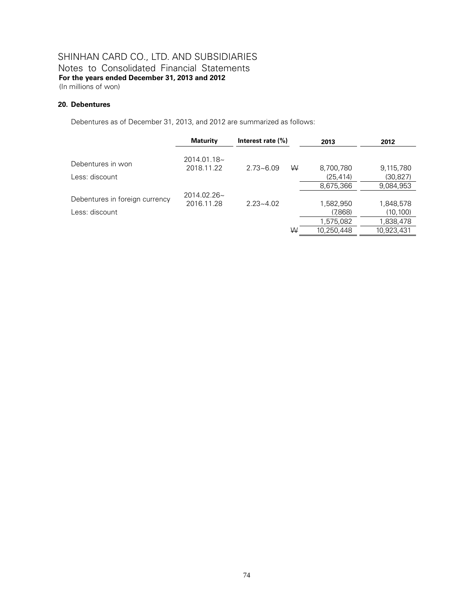Notes to Consolidated Financial Statements **For the years ended December 31, 2013 and 2012** 

(In millions of won)

#### **20. Debentures**

Debentures as of December 31, 2013, and 2012 are summarized as follows:

|                                | <b>Maturity</b>              | Interest rate $(\%)$ |   | 2013       | 2012       |
|--------------------------------|------------------------------|----------------------|---|------------|------------|
| Debentures in won              | $2014.01.18-$<br>2018.11.22  | $2.73 - 6.09$        | W | 8,700,780  | 9,115,780  |
| Less: discount                 |                              |                      |   | (25, 414)  | (30, 827)  |
|                                |                              |                      |   | 8,675,366  | 9,084,953  |
| Debentures in foreign currency | $2014.02.26$ ~<br>2016.11.28 | $2.23 - 4.02$        |   | 1,582,950  | 1,848,578  |
| Less: discount-                |                              |                      |   | (7,868)    | (10,100)   |
|                                |                              |                      |   | 1,575,082  | 1,838,478  |
|                                |                              |                      | W | 10.250.448 | 10.923.431 |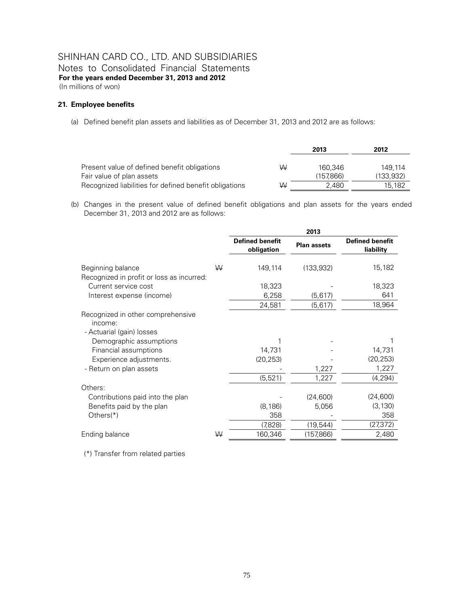Notes to Consolidated Financial Statements **For the years ended December 31, 2013 and 2012**  (In millions of won)

#### **21. Employee benefits**

(a) Defined benefit plan assets and liabilities as of December 31, 2013 and 2012 are as follows:

|                                                        |   | 2013      | 2012       |
|--------------------------------------------------------|---|-----------|------------|
|                                                        |   |           |            |
| Present value of defined benefit obligations           | W | 160.346   | 149.114    |
| Fair value of plan assets                              |   | (157.866) | (133, 932) |
| Recognized liabilities for defined benefit obligations | W | 2.480     | 15.182     |

(b) Changes in the present value of defined benefit obligations and plan assets for the years ended December 31, 2013 and 2012 are as follows:

|                                                                           |   | 2013                                 |                    |                                     |
|---------------------------------------------------------------------------|---|--------------------------------------|--------------------|-------------------------------------|
|                                                                           |   | <b>Defined benefit</b><br>obligation | <b>Plan assets</b> | <b>Defined benefit</b><br>liability |
| Beginning balance<br>Recognized in profit or loss as incurred:            | W | 149,114                              | (133, 932)         | 15,182                              |
| Current service cost                                                      |   | 18,323                               |                    | 18,323                              |
| Interest expense (income)                                                 |   | 6,258                                | (5,617)            | 641                                 |
|                                                                           |   | 24,581                               | (5,617)            | 18,964                              |
| Recognized in other comprehensive<br>income:<br>- Actuarial (gain) losses |   |                                      |                    |                                     |
| Demographic assumptions                                                   |   |                                      |                    |                                     |
| Financial assumptions                                                     |   | 14,731                               |                    | 14,731                              |
| Experience adjustments.                                                   |   | (20, 253)                            |                    | (20, 253)                           |
| - Return on plan assets                                                   |   |                                      | 1,227              | 1,227                               |
|                                                                           |   | (5, 521)                             | 1,227              | (4,294)                             |
| Others:                                                                   |   |                                      |                    |                                     |
| Contributions paid into the plan                                          |   |                                      | (24,600)           | (24, 600)                           |
| Benefits paid by the plan                                                 |   | (8, 186)                             | 5,056              | (3, 130)                            |
| Others $(*)$                                                              |   | 358                                  |                    | 358                                 |
|                                                                           |   | (7,828)                              | (19, 544)          | (27,372)                            |
| Ending balance                                                            | W | 160,346                              | (157,866)          | 2,480                               |

(\*) Transfer from related parties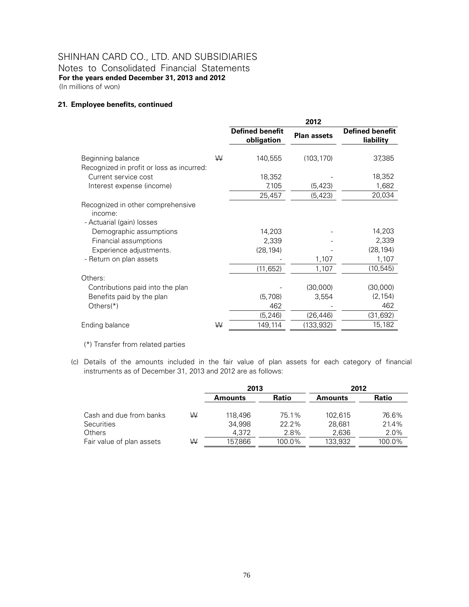Notes to Consolidated Financial Statements **For the years ended December 31, 2013 and 2012**  (In millions of won)

#### **21. Employee benefits, continued**

|                                                                           |   | 2012                                 |                    |                                     |
|---------------------------------------------------------------------------|---|--------------------------------------|--------------------|-------------------------------------|
|                                                                           |   | <b>Defined benefit</b><br>obligation | <b>Plan assets</b> | <b>Defined benefit</b><br>liability |
| Beginning balance<br>Recognized in profit or loss as incurred:            | W | 140,555                              | (103, 170)         | 37,385                              |
| Current service cost                                                      |   | 18,352                               |                    | 18,352                              |
| Interest expense (income)                                                 |   | 7,105                                | (5, 423)           | 1,682                               |
|                                                                           |   | 25,457                               | (5, 423)           | 20,034                              |
| Recognized in other comprehensive<br>income:<br>- Actuarial (gain) losses |   |                                      |                    |                                     |
| Demographic assumptions                                                   |   | 14,203                               |                    | 14,203                              |
| Financial assumptions                                                     |   | 2,339                                |                    | 2,339                               |
| Experience adjustments.                                                   |   | (28, 194)                            |                    | (28, 194)                           |
| - Return on plan assets                                                   |   |                                      | 1,107              | 1,107                               |
|                                                                           |   | (11, 652)                            | 1,107              | (10, 545)                           |
| Others:                                                                   |   |                                      |                    |                                     |
| Contributions paid into the plan                                          |   |                                      | (30,000)           | (30,000)                            |
| Benefits paid by the plan                                                 |   | (5,708)                              | 3,554              | (2, 154)                            |
| Others $(*)$                                                              |   | 462                                  |                    | 462                                 |
|                                                                           |   | (5, 246)                             | (26, 446)          | (31,692)                            |
| Ending balance                                                            | W | 149,114                              | (133,932)          | 15,182                              |
|                                                                           |   |                                      |                    |                                     |

(\*) Transfer from related parties

(c) Details of the amounts included in the fair value of plan assets for each category of financial instruments as of December 31, 2013 and 2012 are as follows:

|                           |   | 2013             |        | 2012    |        |  |
|---------------------------|---|------------------|--------|---------|--------|--|
|                           |   | Ratio<br>Amounts |        | Amounts | Ratio  |  |
| Cash and due from banks   | W | 118.496          | 75.1%  | 102.615 | 76.6%  |  |
| Securities                |   | 34,998           | 22.2%  | 28.681  | 21.4%  |  |
| Others                    |   | 4.372            | 2.8%   | 2,636   | 2.0%   |  |
| Fair value of plan assets | W | 157,866          | 100.0% | 133,932 | 100.0% |  |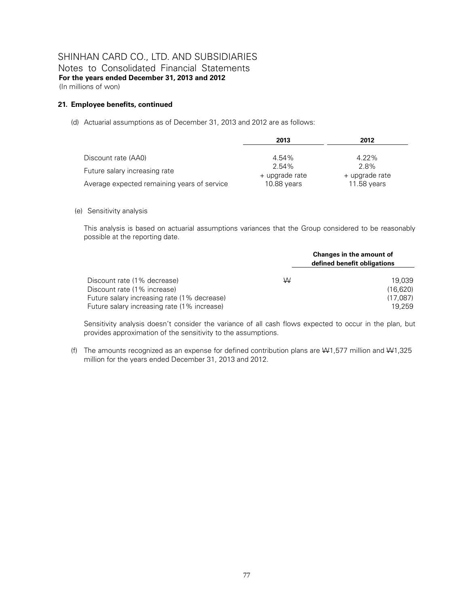Notes to Consolidated Financial Statements **For the years ended December 31, 2013 and 2012**  (In millions of won)

#### **21. Employee benefits, continued**

(d) Actuarial assumptions as of December 31, 2013 and 2012 are as follows:

|                                             | 2013           | 2012           |
|---------------------------------------------|----------------|----------------|
|                                             |                |                |
| Discount rate (AA0)                         | 4.54%          | $4.22\%$       |
|                                             | 2.54%          | 2.8%           |
| Future salary increasing rate               | + upgrade rate | + upgrade rate |
| Average expected remaining years of service | 10.88 years    | 11.58 years    |

#### (e) Sensitivity analysis

This analysis is based on actuarial assumptions variances that the Group considered to be reasonably possible at the reporting date.

|                                             |   | Changes in the amount of<br>defined benefit obligations |
|---------------------------------------------|---|---------------------------------------------------------|
| Discount rate (1% decrease)                 | ₩ | 19.039                                                  |
| Discount rate (1% increase)                 |   | (16.620)                                                |
| Future salary increasing rate (1% decrease) |   | (17.087)                                                |
| Future salary increasing rate (1% increase) |   | 19.259                                                  |

Sensitivity analysis doesn't consider the variance of all cash flows expected to occur in the plan, but provides approximation of the sensitivity to the assumptions.

(f) The amounts recognized as an expense for defined contribution plans are W1,577 million and W1,325 million for the years ended December 31, 2013 and 2012.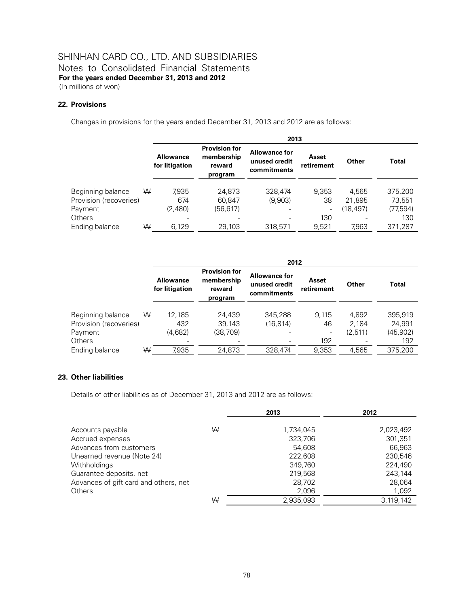## SHINHAN CARD CO., LTD. AND SUBSIDIARIES Notes to Consolidated Financial Statements **For the years ended December 31, 2013 and 2012**

(In millions of won)

#### **22. Provisions**

Changes in provisions for the years ended December 31, 2013 and 2012 are as follows:

|                        |   | 2013                               |                                                         |                                                      |                     |          |              |
|------------------------|---|------------------------------------|---------------------------------------------------------|------------------------------------------------------|---------------------|----------|--------------|
|                        |   | <b>Allowance</b><br>for litigation | <b>Provision for</b><br>membership<br>reward<br>program | <b>Allowance for</b><br>unused credit<br>commitments | Asset<br>retirement | Other    | <b>Total</b> |
| Beginning balance      | W | 7.935                              | 24,873                                                  | 328,474                                              | 9.353               | 4.565    | 375,200      |
| Provision (recoveries) |   | 674                                | 60.847                                                  | (9.903)                                              | 38                  | 21,895   | 73.551       |
| Payment                |   | (2,480)                            | (56, 617)                                               |                                                      | -                   | (18,497) | (77,594)     |
| <b>Others</b>          |   |                                    |                                                         |                                                      | 130                 |          | 130          |
| Ending balance         | W | 6,129                              | 29,103                                                  | 318,571                                              | 9,521               | 7,963    | 371,287      |

|                        |   | 2012                               |                                                         |                                                      |                     |         |              |  |
|------------------------|---|------------------------------------|---------------------------------------------------------|------------------------------------------------------|---------------------|---------|--------------|--|
|                        |   | <b>Allowance</b><br>for litigation | <b>Provision for</b><br>membership<br>reward<br>program | <b>Allowance for</b><br>unused credit<br>commitments | Asset<br>retirement | Other   | <b>Total</b> |  |
| Beginning balance      | W | 12.185                             | 24.439                                                  | 345,288                                              | 9.115               | 4.892   | 395,919      |  |
| Provision (recoveries) |   | 432                                | 39,143                                                  | (16.814)                                             | 46                  | 2.184   | 24.991       |  |
| Payment                |   | (4,682)                            | (38.709)                                                |                                                      |                     | (2.511) | (45,902)     |  |
| Others                 |   |                                    |                                                         |                                                      | 192                 |         | 192          |  |
| Ending balance         | W | 7.935                              | 24.873                                                  | 328.474                                              | 9.353               | 4.565   | 375.200      |  |

#### **23. Other liabilities**

Details of other liabilities as of December 31, 2013 and 2012 are as follows:

|                                       |   | 2013      | 2012      |
|---------------------------------------|---|-----------|-----------|
|                                       |   |           |           |
| Accounts payable                      | W | 1,734,045 | 2,023,492 |
| Accrued expenses                      |   | 323,706   | 301.351   |
| Advances from customers               |   | 54,608    | 66,963    |
| Unearned revenue (Note 24)            |   | 222,608   | 230,546   |
| Withholdings                          |   | 349.760   | 224.490   |
| Guarantee deposits, net               |   | 219,568   | 243.144   |
| Advances of gift card and others, net |   | 28,702    | 28,064    |
| <b>Others</b>                         |   | 2,096     | 1,092     |
|                                       | W | 2.935.093 | 3.119.142 |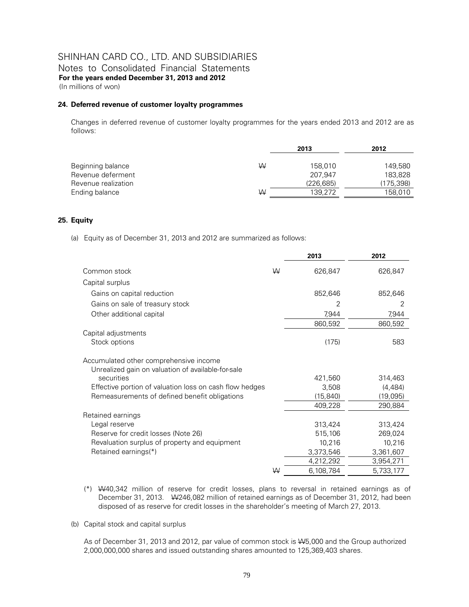Notes to Consolidated Financial Statements **For the years ended December 31, 2013 and 2012**  (In millions of won)

#### **24. Deferred revenue of customer loyalty programmes**

Changes in deferred revenue of customer loyalty programmes for the years ended 2013 and 2012 are as follows:

|                     |   | 2013       | 2012      |  |
|---------------------|---|------------|-----------|--|
| Beginning balance   | ₩ | 158.010    | 149,580   |  |
| Revenue deferment   |   | 207.947    | 183.828   |  |
| Revenue realization |   | (226, 685) | (175,398) |  |
| Ending balance      | W | 139.272    | 158,010   |  |

#### **25. Equity**

(a) Equity as of December 31, 2013 and 2012 are summarized as follows:

|                                                                                              |   | 2013      | 2012      |
|----------------------------------------------------------------------------------------------|---|-----------|-----------|
| Common stock                                                                                 | W | 626,847   | 626,847   |
| Capital surplus                                                                              |   |           |           |
| Gains on capital reduction                                                                   |   | 852,646   | 852,646   |
| Gains on sale of treasury stock                                                              |   | 2         | 2         |
| Other additional capital                                                                     |   | 7,944     | 7,944     |
|                                                                                              |   | 860,592   | 860,592   |
| Capital adjustments                                                                          |   |           |           |
| Stock options                                                                                |   | (175)     | 583       |
| Accumulated other comprehensive income<br>Unrealized gain on valuation of available-for-sale |   |           |           |
| securities                                                                                   |   | 421,560   | 314,463   |
| Effective portion of valuation loss on cash flow hedges                                      |   | 3,508     | (4,484)   |
| Remeasurements of defined benefit obligations                                                |   | (15, 840) | (19,095)  |
|                                                                                              |   | 409,228   | 290,884   |
| Retained earnings                                                                            |   |           |           |
| Legal reserve                                                                                |   | 313,424   | 313,424   |
| Reserve for credit losses (Note 26)                                                          |   | 515,106   | 269,024   |
| Revaluation surplus of property and equipment                                                |   | 10,216    | 10,216    |
| Retained earnings(*)                                                                         |   | 3,373,546 | 3,361,607 |
|                                                                                              |   | 4,212,292 | 3,954,271 |
|                                                                                              | W | 6,108,784 | 5,733,177 |

- (\*) W40,342 million of reserve for credit losses, plans to reversal in retained earnings as of December 31, 2013. W246,082 million of retained earnings as of December 31, 2012, had been disposed of as reserve for credit losses in the shareholder's meeting of March 27, 2013.
- (b) Capital stock and capital surplus

As of December 31, 2013 and 2012, par value of common stock is W5,000 and the Group authorized 2,000,000,000 shares and issued outstanding shares amounted to 125,369,403 shares.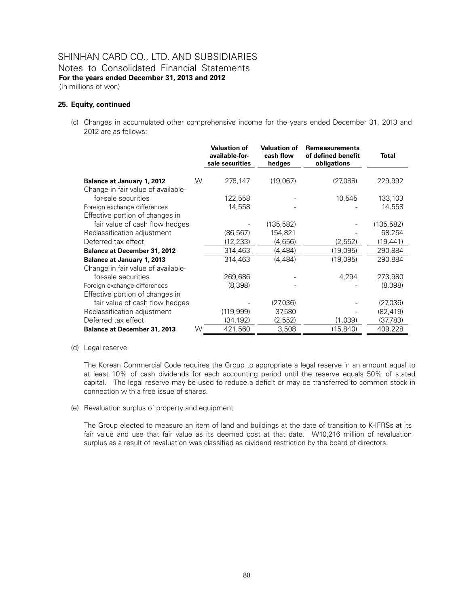### SHINHAN CARD CO., LTD. AND SUBSIDIARIES Notes to Consolidated Financial Statements **For the years ended December 31, 2013 and 2012**  (In millions of won)

#### **25. Equity, continued**

(c) Changes in accumulated other comprehensive income for the years ended December 31, 2013 and 2012 are as follows:

|                                                           |   | <b>Valuation of</b><br>available-for-<br>sale securities | <b>Valuation of</b><br>cash flow<br>hedges | <b>Remeasurements</b><br>of defined benefit<br>obligations | <b>Total</b> |
|-----------------------------------------------------------|---|----------------------------------------------------------|--------------------------------------------|------------------------------------------------------------|--------------|
| <b>Balance at January 1, 2012</b>                         | W | 276,147                                                  | (19,067)                                   | (27,088)                                                   | 229,992      |
| Change in fair value of available-<br>for-sale securities |   | 122,558                                                  |                                            | 10,545                                                     | 133,103      |
| Foreign exchange differences                              |   | 14,558                                                   |                                            |                                                            | 14,558       |
| Effective portion of changes in                           |   |                                                          |                                            |                                                            |              |
| fair value of cash flow hedges                            |   |                                                          | (135, 582)                                 |                                                            | (135, 582)   |
| Reclassification adjustment                               |   | (86, 567)                                                | 154,821                                    |                                                            | 68,254       |
| Deferred tax effect                                       |   | (12, 233)                                                | (4,656)                                    | (2, 552)                                                   | (19, 441)    |
| <b>Balance at December 31, 2012</b>                       |   | 314,463                                                  | (4, 484)                                   | (19,095)                                                   | 290,884      |
| <b>Balance at January 1, 2013</b>                         |   | 314,463                                                  | (4, 484)                                   | (19,095)                                                   | 290,884      |
| Change in fair value of available-                        |   |                                                          |                                            |                                                            |              |
| for-sale securities                                       |   | 269,686                                                  |                                            | 4,294                                                      | 273,980      |
| Foreign exchange differences                              |   | (8,398)                                                  |                                            |                                                            | (8,398)      |
| Effective portion of changes in                           |   |                                                          |                                            |                                                            |              |
| fair value of cash flow hedges                            |   |                                                          | (27,036)                                   |                                                            | (27,036)     |
| Reclassification adjustment                               |   | (119, 999)                                               | 37,580                                     |                                                            | (82,419)     |
| Deferred tax effect                                       |   | (34,192)                                                 | (2, 552)                                   | (1,039)                                                    | (37,783)     |
| <b>Balance at December 31, 2013</b>                       | ₩ | 421,560                                                  | 3,508                                      | (15, 840)                                                  | 409,228      |

#### (d) Legal reserve

The Korean Commercial Code requires the Group to appropriate a legal reserve in an amount equal to at least 10% of cash dividends for each accounting period until the reserve equals 50% of stated capital. The legal reserve may be used to reduce a deficit or may be transferred to common stock in connection with a free issue of shares.

#### (e) Revaluation surplus of property and equipment

The Group elected to measure an item of land and buildings at the date of transition to K-IFRSs at its fair value and use that fair value as its deemed cost at that date. W+10,216 million of revaluation surplus as a result of revaluation was classified as dividend restriction by the board of directors.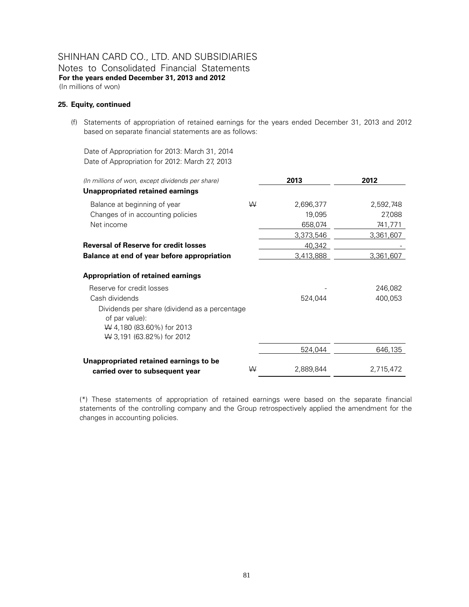Notes to Consolidated Financial Statements **For the years ended December 31, 2013 and 2012**  (In millions of won)

#### **25. Equity, continued**

(f) Statements of appropriation of retained earnings for the years ended December 31, 2013 and 2012 based on separate financial statements are as follows:

Date of Appropriation for 2013: March 31, 2014 Date of Appropriation for 2012: March 27, 2013

| (In millions of won, except dividends per share)                                                                                  |   | 2013      | 2012      |
|-----------------------------------------------------------------------------------------------------------------------------------|---|-----------|-----------|
| Unappropriated retained earnings                                                                                                  |   |           |           |
| Balance at beginning of year                                                                                                      | W | 2,696,377 | 2,592,748 |
| Changes of in accounting policies                                                                                                 |   | 19,095    | 27,088    |
| Net income                                                                                                                        |   | 658,074   | 741,771   |
|                                                                                                                                   |   | 3,373,546 | 3,361,607 |
| <b>Reversal of Reserve for credit losses</b>                                                                                      |   | 40,342    |           |
| Balance at end of year before appropriation                                                                                       |   | 3,413,888 | 3,361,607 |
| <b>Appropriation of retained earnings</b>                                                                                         |   |           |           |
| Reserve for credit losses                                                                                                         |   |           | 246,082   |
| Cash dividends                                                                                                                    |   | 524,044   | 400,053   |
| Dividends per share (dividend as a percentage<br>of par value):<br>$\forall$ 4,180 (83.60%) for 2013<br>W 3,191 (63.82%) for 2012 |   |           |           |
|                                                                                                                                   |   | 524,044   | 646,135   |
| Unappropriated retained earnings to be                                                                                            | ₩ | 2,889,844 | 2,715,472 |
| carried over to subsequent year                                                                                                   |   |           |           |

(\*) These statements of appropriation of retained earnings were based on the separate financial statements of the controlling company and the Group retrospectively applied the amendment for the changes in accounting policies.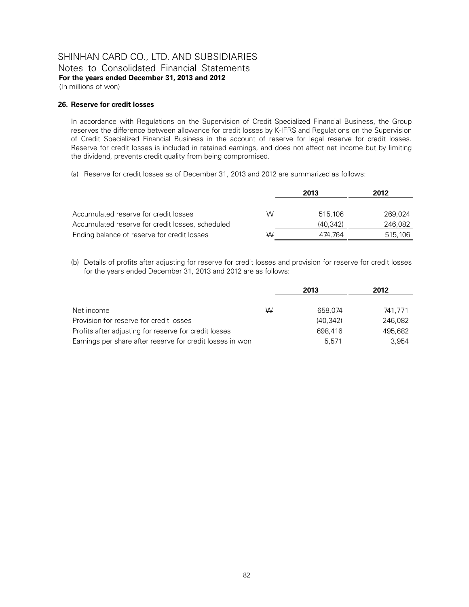Notes to Consolidated Financial Statements **For the years ended December 31, 2013 and 2012** 

(In millions of won)

#### **26. Reserve for credit losses**

In accordance with Regulations on the Supervision of Credit Specialized Financial Business, the Group reserves the difference between allowance for credit losses by K-IFRS and Regulations on the Supervision of Credit Specialized Financial Business in the account of reserve for legal reserve for credit losses. Reserve for credit losses is included in retained earnings, and does not affect net income but by limiting the dividend, prevents credit quality from being compromised.

(a) Reserve for credit losses as of December 31, 2013 and 2012 are summarized as follows:

|                                                  |   | 2013     | 2012    |
|--------------------------------------------------|---|----------|---------|
| Accumulated reserve for credit losses            | ₩ | 515.106  | 269.024 |
| Accumulated reserve for credit losses, scheduled |   | (40.342) | 246,082 |
| Ending balance of reserve for credit losses      | W | 474.764  | 515,106 |

(b) Details of profits after adjusting for reserve for credit losses and provision for reserve for credit losses for the years ended December 31, 2013 and 2012 are as follows:

|                                                           |   | 2013     | 2012    |
|-----------------------------------------------------------|---|----------|---------|
|                                                           |   |          |         |
| Net income                                                | ₩ | 658.074  | 741.771 |
| Provision for reserve for credit losses                   |   | (40.342) | 246.082 |
| Profits after adjusting for reserve for credit losses     |   | 698.416  | 495.682 |
| Earnings per share after reserve for credit losses in won |   | 5.571    | 3.954   |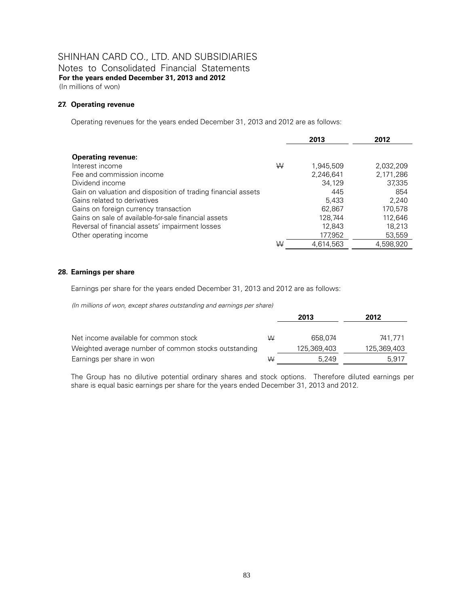Notes to Consolidated Financial Statements **For the years ended December 31, 2013 and 2012**  (In millions of won)

#### **27. Operating revenue**

Operating revenues for the years ended December 31, 2013 and 2012 are as follows:

|                                                               |   | 2013      | 2012      |
|---------------------------------------------------------------|---|-----------|-----------|
| <b>Operating revenue:</b>                                     |   |           |           |
| Interest income                                               | W | 1,945,509 | 2,032,209 |
| Fee and commission income                                     |   | 2,246,641 | 2,171,286 |
| Dividend income                                               |   | 34,129    | 37,335    |
| Gain on valuation and disposition of trading financial assets |   | 445       | 854       |
| Gains related to derivatives                                  |   | 5,433     | 2,240     |
| Gains on foreign currency transaction                         |   | 62,867    | 170.578   |
| Gains on sale of available-for-sale financial assets          |   | 128,744   | 112.646   |
| Reversal of financial assets' impairment losses               |   | 12,843    | 18,213    |
| Other operating income                                        |   | 177,952   | 53,559    |
|                                                               | W | 4,614,563 | 4.598.920 |

#### **28. Earnings per share**

Earnings per share for the years ended December 31, 2013 and 2012 are as follows:

*(In millions of won, except shares outstanding and earnings per share)*

|                                                      |   | 2013        | 2012        |
|------------------------------------------------------|---|-------------|-------------|
| Net income available for common stock                | W | 658.074     | 741.771     |
| Weighted average number of common stocks outstanding |   | 125,369,403 | 125,369,403 |
| Earnings per share in won                            | W | 5.249       | 5.917       |

The Group has no dilutive potential ordinary shares and stock options. Therefore diluted earnings per share is equal basic earnings per share for the years ended December 31, 2013 and 2012.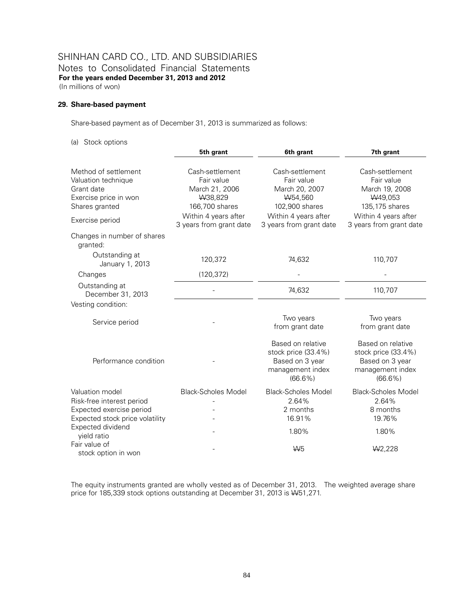### SHINHAN CARD CO., LTD. AND SUBSIDIARIES Notes to Consolidated Financial Statements **For the years ended December 31, 2013 and 2012**  (In millions of won)

#### **29. Share-based payment**

Share-based payment as of December 31, 2013 is summarized as follows:

(a) Stock options

|                                                                                                      | 5th grant                                                                    | 6th grant                                                                                     | 7th grant                                                                                     |
|------------------------------------------------------------------------------------------------------|------------------------------------------------------------------------------|-----------------------------------------------------------------------------------------------|-----------------------------------------------------------------------------------------------|
| Method of settlement<br>Valuation technique<br>Grant date<br>Exercise price in won<br>Shares granted | Cash-settlement<br>Fair value<br>March 21, 2006<br>W38,829<br>166,700 shares | Cash-settlement<br>Fair value<br>March 20, 2007<br>W54,560<br>102,900 shares                  | Cash-settlement<br>Fair value<br>March 19, 2008<br>W49,053<br>135,175 shares                  |
| Exercise period                                                                                      | Within 4 years after<br>3 years from grant date                              | Within 4 years after<br>3 years from grant date                                               | Within 4 years after<br>3 years from grant date                                               |
| Changes in number of shares<br>granted:<br>Outstanding at                                            |                                                                              |                                                                                               |                                                                                               |
| January 1, 2013                                                                                      | 120,372                                                                      | 74,632                                                                                        | 110,707                                                                                       |
| Changes                                                                                              | (120, 372)                                                                   |                                                                                               |                                                                                               |
| Outstanding at<br>December 31, 2013                                                                  |                                                                              | 74,632                                                                                        | 110,707                                                                                       |
| Vesting condition:                                                                                   |                                                                              |                                                                                               |                                                                                               |
| Service period                                                                                       |                                                                              | Two years<br>from grant date                                                                  | Two years<br>from grant date                                                                  |
| Performance condition                                                                                |                                                                              | Based on relative<br>stock price (33.4%)<br>Based on 3 year<br>management index<br>$(66.6\%)$ | Based on relative<br>stock price (33.4%)<br>Based on 3 year<br>management index<br>$(66.6\%)$ |
| Valuation model                                                                                      | <b>Black-Scholes Model</b>                                                   | <b>Black-Scholes Model</b>                                                                    | <b>Black-Scholes Model</b>                                                                    |
| Risk-free interest period                                                                            |                                                                              | 2.64%                                                                                         | 2.64%                                                                                         |
| Expected exercise period<br>Expected stock price volatility                                          |                                                                              | 2 months<br>16.91%                                                                            | 8 months<br>19.76%                                                                            |
| Expected dividend<br>yield ratio                                                                     |                                                                              | 1.80%                                                                                         | 1.80%                                                                                         |
| Fair value of<br>stock option in won                                                                 |                                                                              | W <sub>5</sub>                                                                                | W <sub>2</sub> ,228                                                                           |

The equity instruments granted are wholly vested as of December 31, 2013. The weighted average share price for 185,339 stock options outstanding at December 31, 2013 is W51,271.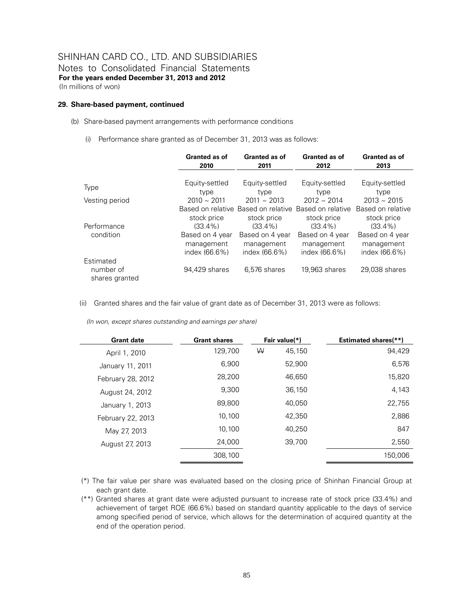### SHINHAN CARD CO., LTD. AND SUBSIDIARIES Notes to Consolidated Financial Statements

**For the years ended December 31, 2013 and 2012** 

(In millions of won)

#### **29. Share-based payment, continued**

- (b) Share-based payment arrangements with performance conditions
	- (i) Performance share granted as of December 31, 2013 was as follows:

|                                          | Granted as of    | Granted as of                                      | Granted as of                    | <b>Granted as of</b>             |
|------------------------------------------|------------------|----------------------------------------------------|----------------------------------|----------------------------------|
|                                          | 2010             | 2011                                               | 2012                             | 2013                             |
| <b>Type</b>                              | Equity-settled   | Equity-settled                                     | Equity-settled                   | Equity-settled                   |
| Vesting period                           | type             | type                                               | type                             | type                             |
|                                          | $2010 \sim 2011$ | $2011 \sim 2013$                                   | $2012 \sim 2014$                 | $2013 \sim 2015$                 |
|                                          | stock price      | Based on relative Based on relative<br>stock price | Based on relative<br>stock price | Based on relative<br>stock price |
| Performance                              | $(33.4\%)$       | $(33.4\%)$                                         | $(33.4\%)$                       | $(33.4\%)$                       |
| condition                                | Based on 4 year  | Based on 4 year                                    | Based on 4 year                  | Based on 4 year                  |
|                                          | management       | management                                         | management                       | management                       |
|                                          | index (66.6%)    | index (66.6%)                                      | index (66.6%)                    | index (66.6%)                    |
| Estimated<br>number of<br>shares granted | 94,429 shares    | 6,576 shares                                       | 19,963 shares                    | 29,038 shares                    |

(ii) Granted shares and the fair value of grant date as of December 31, 2013 were as follows:

| <b>Grant date</b> | <b>Grant shares</b> |   | Fair value(*) | <b>Estimated shares</b> (**) |
|-------------------|---------------------|---|---------------|------------------------------|
| April 1, 2010     | 129,700             | W | 45,150        | 94.429                       |
| January 11, 2011  | 6.900               |   | 52.900        | 6,576                        |
| February 28, 2012 | 28,200              |   | 46.650        | 15,820                       |
| August 24, 2012   | 9.300               |   | 36,150        | 4,143                        |
| January 1, 2013   | 89,800              |   | 40.050        | 22,755                       |
| February 22, 2013 | 10.100              |   | 42.350        | 2,886                        |
| May 27, 2013      | 10.100              |   | 40.250        | 847                          |
| August 27, 2013   | 24,000              |   | 39.700        | 2,550                        |
|                   | 308,100             |   |               | 150.006                      |

(\*) The fair value per share was evaluated based on the closing price of Shinhan Financial Group at each grant date.

(\*\*) Granted shares at grant date were adjusted pursuant to increase rate of stock price (33.4%) and achievement of target ROE (66.6%) based on standard quantity applicable to the days of service among specified period of service, which allows for the determination of acquired quantity at the end of the operation period.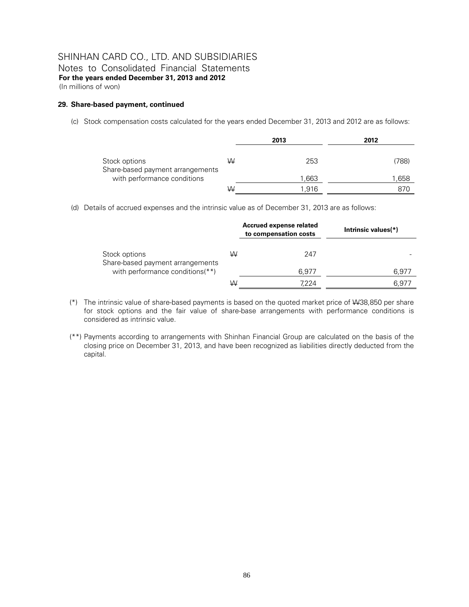Notes to Consolidated Financial Statements **For the years ended December 31, 2013 and 2012**  (In millions of won)

#### **29. Share-based payment, continued**

(c) Stock compensation costs calculated for the years ended December 31, 2013 and 2012 are as follows:

|                                                   |   | 2013  | 2012  |
|---------------------------------------------------|---|-------|-------|
| Stock options<br>Share-based payment arrangements | W | 253   | (788) |
| with performance conditions                       |   | 1,663 | .658  |
|                                                   | W | 1.916 | 870   |

(d) Details of accrued expenses and the intrinsic value as of December 31, 2013 are as follows:

|                                                   |   | Accrued expense related<br>to compensation costs | Intrinsic values(*) |
|---------------------------------------------------|---|--------------------------------------------------|---------------------|
| Stock options<br>Share-based payment arrangements | W | 247                                              |                     |
| with performance conditions(**)                   |   | 6.977                                            | 6,977               |
|                                                   | W | 7.224                                            | 6.977               |

- (\*) The intrinsic value of share-based payments is based on the quoted market price of W38,850 per share for stock options and the fair value of share-base arrangements with performance conditions is considered as intrinsic value.
- (\*\*) Payments according to arrangements with Shinhan Financial Group are calculated on the basis of the closing price on December 31, 2013, and have been recognized as liabilities directly deducted from the capital.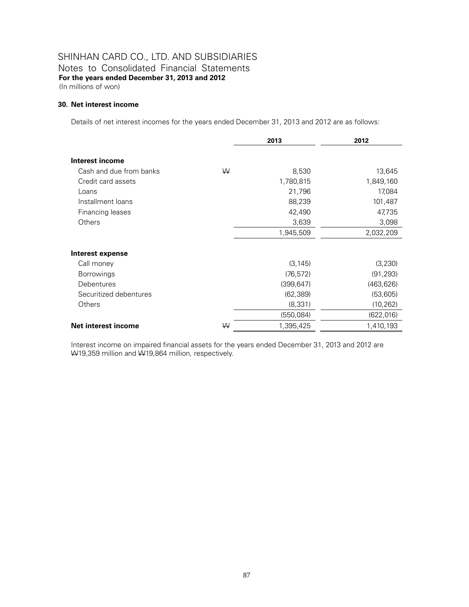Notes to Consolidated Financial Statements **For the years ended December 31, 2013 and 2012**  (In millions of won)

#### **30. Net interest income**

Details of net interest incomes for the years ended December 31, 2013 and 2012 are as follows:

|                         |   | 2013       | 2012       |
|-------------------------|---|------------|------------|
| Interest income         |   |            |            |
| Cash and due from banks | W | 8,530      | 13,645     |
| Credit card assets      |   | 1,780,815  | 1,849,160  |
| Loans                   |   | 21,796     | 17,084     |
| Installment loans       |   | 88,239     | 101,487    |
| Financing leases        |   | 42,490     | 47,735     |
| Others                  |   | 3,639      | 3,098      |
|                         |   | 1,945,509  | 2,032,209  |
| <b>Interest expense</b> |   |            |            |
| Call money              |   | (3, 145)   | (3,230)    |
| <b>Borrowings</b>       |   | (76, 572)  | (91, 293)  |
| Debentures              |   | (399, 647) | (463, 626) |
| Securitized debentures  |   | (62, 389)  | (53,605)   |
| Others                  |   | (8, 331)   | (10, 262)  |
|                         |   | (550,084)  | (622, 016) |
| Net interest income     | ₩ | 1,395,425  | 1,410,193  |

Interest income on impaired financial assets for the years ended December 31, 2013 and 2012 are W19,359 million and W19,864 million, respectively.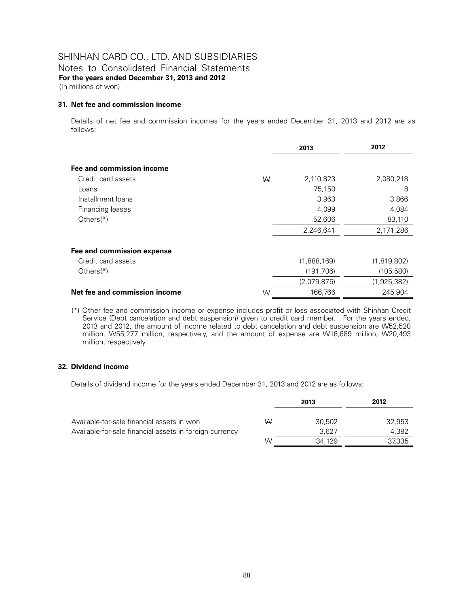Notes to Consolidated Financial Statements **For the years ended December 31, 2013 and 2012**  (In millions of won)

#### **31. Net fee and commission income**

Details of net fee and commission incomes for the years ended December 31, 2013 and 2012 are as follows:

|                               |   | 2013        | 2012        |
|-------------------------------|---|-------------|-------------|
| Fee and commission income     |   |             |             |
| Credit card assets            | W | 2,110,823   | 2,080,218   |
| Loans                         |   | 75,150      | 8           |
| Installment loans             |   | 3,963       | 3,866       |
| Financing leases              |   | 4,099       | 4,084       |
| Others $(*)$                  |   | 52,606      | 83,110      |
|                               |   | 2,246,641   | 2,171,286   |
| Fee and commission expense    |   |             |             |
| Credit card assets            |   | (1,888,169) | (1,819,802) |
| Others $(*)$                  |   | (191, 706)  | (105, 580)  |
|                               |   | (2,079,875) | (1,925,382) |
| Net fee and commission income | W | 166,766     | 245.904     |

(\*) Other fee and commission income or expense includes profit or loss associated with Shinhan Credit Service (Debt cancelation and debt suspension) given to credit card member. For the years ended, 2013 and 2012, the amount of income related to debt cancelation and debt suspension are W52,520 million, W55,277 million, respectively, and the amount of expense are W16,689 million, W20,493 million, respectively.

#### **32. Dividend income**

Details of dividend income for the years ended December 31, 2013 and 2012 are as follows:

|                                                         |   | 2013   | 2012   |
|---------------------------------------------------------|---|--------|--------|
| Available-for-sale financial assets in won              | ₩ | 30.502 | 32,953 |
| Available-for-sale financial assets in foreign currency |   | 3.627  | 4.382  |
|                                                         | W | 34.129 | 37,335 |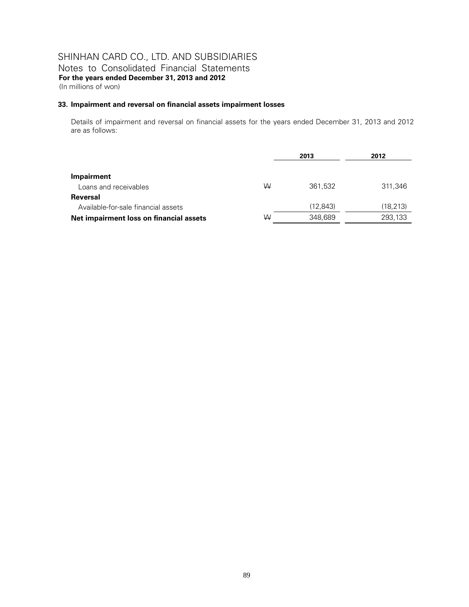Notes to Consolidated Financial Statements **For the years ended December 31, 2013 and 2012**  (In millions of won)

#### **33. Impairment and reversal on financial assets impairment losses**

Details of impairment and reversal on financial assets for the years ended December 31, 2013 and 2012 are as follows:

|                                         |   | 2013      | 2012      |
|-----------------------------------------|---|-----------|-----------|
|                                         |   |           |           |
| Impairment                              |   |           |           |
| Loans and receivables                   | W | 361.532   | 311,346   |
| Reversal                                |   |           |           |
| Available-for-sale financial assets     |   | (12, 843) | (18, 213) |
| Net impairment loss on financial assets | W | 348.689   | 293,133   |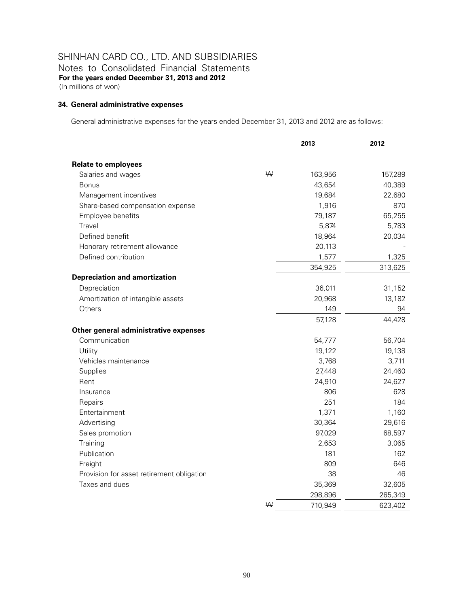Notes to Consolidated Financial Statements **For the years ended December 31, 2013 and 2012**  (In millions of won)

#### **34. General administrative expenses**

General administrative expenses for the years ended December 31, 2013 and 2012 are as follows:

|                                           |   | 2013    |         |
|-------------------------------------------|---|---------|---------|
|                                           |   |         |         |
| <b>Relate to employees</b>                |   |         |         |
| Salaries and wages                        | W | 163,956 | 157,289 |
| <b>Bonus</b>                              |   | 43,654  | 40,389  |
| Management incentives                     |   | 19,684  | 22,680  |
| Share-based compensation expense          |   | 1,916   | 870     |
| Employee benefits                         |   | 79,187  | 65,255  |
| Travel                                    |   | 5,874   | 5,783   |
| Defined benefit                           |   | 18,964  | 20,034  |
| Honorary retirement allowance             |   | 20,113  |         |
| Defined contribution                      |   | 1,577   | 1,325   |
|                                           |   | 354,925 | 313,625 |
| <b>Depreciation and amortization</b>      |   |         |         |
| Depreciation                              |   | 36,011  | 31,152  |
| Amortization of intangible assets         |   | 20,968  | 13,182  |
| Others                                    |   | 149     | 94      |
|                                           |   | 57,128  | 44,428  |
| Other general administrative expenses     |   |         |         |
| Communication                             |   | 54,777  | 56,704  |
| Utility                                   |   | 19,122  | 19,138  |
| Vehicles maintenance                      |   | 3,768   | 3,711   |
| Supplies                                  |   | 27,448  | 24,460  |
| Rent                                      |   | 24,910  | 24,627  |
| Insurance                                 |   | 806     | 628     |
| Repairs                                   |   | 251     | 184     |
| Entertainment                             |   | 1,371   | 1,160   |
| Advertising                               |   | 30,364  | 29,616  |
| Sales promotion                           |   | 97,029  | 68,597  |
| Training                                  |   | 2,653   | 3,065   |
| Publication                               |   | 181     | 162     |
| Freight                                   |   | 809     | 646     |
| Provision for asset retirement obligation |   | 38      | 46      |
| Taxes and dues                            |   | 35,369  | 32,605  |
|                                           |   | 298,896 | 265,349 |
|                                           | W | 710,949 | 623,402 |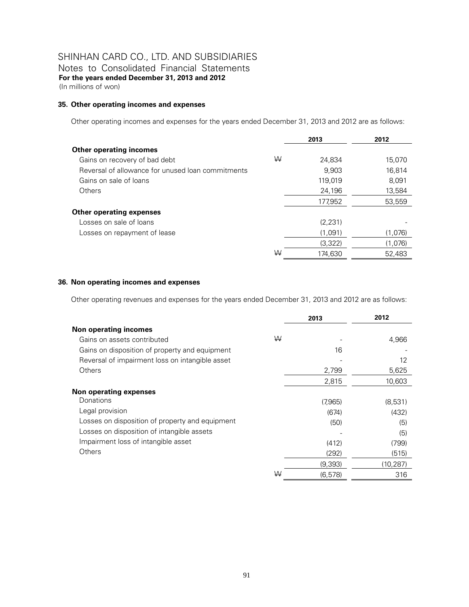Notes to Consolidated Financial Statements **For the years ended December 31, 2013 and 2012**  (In millions of won)

#### **35. Other operating incomes and expenses**

Other operating incomes and expenses for the years ended December 31, 2013 and 2012 are as follows:

|                                                   |   | 2013    | 2012    |
|---------------------------------------------------|---|---------|---------|
| <b>Other operating incomes</b>                    |   |         |         |
| Gains on recovery of bad debt                     | W | 24,834  | 15,070  |
| Reversal of allowance for unused loan commitments |   | 9.903   | 16.814  |
| Gains on sale of loans                            |   | 119,019 | 8.091   |
| Others                                            |   | 24,196  | 13,584  |
|                                                   |   | 177.952 | 53,559  |
| <b>Other operating expenses</b>                   |   |         |         |
| Losses on sale of loans                           |   | (2.231) |         |
| Losses on repayment of lease                      |   | (1.091) | (1,076) |
|                                                   |   | (3,322) | (1,076) |
|                                                   | W | 174.630 | 52,483  |

#### **36. Non operating incomes and expenses**

Other operating revenues and expenses for the years ended December 31, 2013 and 2012 are as follows:

|                                                 |   | 2013     | 2012      |
|-------------------------------------------------|---|----------|-----------|
| <b>Non operating incomes</b>                    |   |          |           |
| Gains on assets contributed                     | W |          | 4,966     |
| Gains on disposition of property and equipment  |   | 16       |           |
| Reversal of impairment loss on intangible asset |   |          | 12        |
| Others                                          |   | 2,799    | 5,625     |
|                                                 |   | 2,815    | 10,603    |
| Non operating expenses                          |   |          |           |
| Donations                                       |   | (7,965)  | (8,531)   |
| Legal provision                                 |   | (674)    | (432)     |
| Losses on disposition of property and equipment |   | (50)     | (5)       |
| Losses on disposition of intangible assets      |   |          | (5)       |
| Impairment loss of intangible asset             |   | (412)    | (799)     |
| Others                                          |   | (292)    | (515)     |
|                                                 |   | (9,393)  | (10, 287) |
|                                                 | W | (6, 578) | 316       |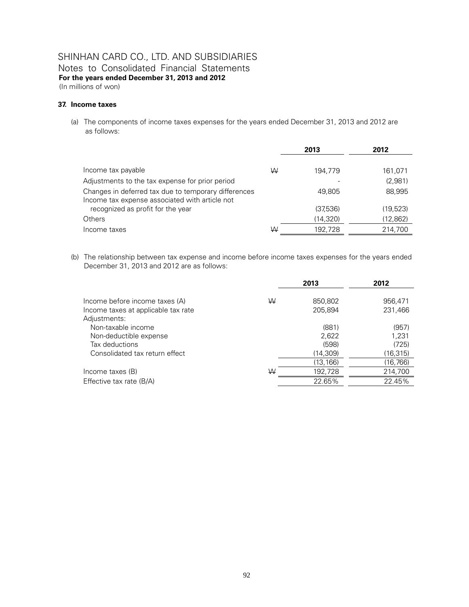Notes to Consolidated Financial Statements **For the years ended December 31, 2013 and 2012** 

(In millions of won)

#### **37. Income taxes**

(a) The components of income taxes expenses for the years ended December 31, 2013 and 2012 are as follows:

|                                                                                                        |   | 2013      | 2012      |  |
|--------------------------------------------------------------------------------------------------------|---|-----------|-----------|--|
|                                                                                                        |   |           |           |  |
| Income tax payable                                                                                     | W | 194.779   | 161,071   |  |
| Adjustments to the tax expense for prior period                                                        |   |           | (2,981)   |  |
| Changes in deferred tax due to temporary differences<br>Income tax expense associated with article not |   | 49.805    | 88.995    |  |
| recognized as profit for the year                                                                      |   | (37,536)  | (19,523)  |  |
| Others                                                                                                 |   | (14, 320) | (12, 862) |  |
| Income taxes                                                                                           | W | 192.728   | 214.700   |  |

(b) The relationship between tax expense and income before income taxes expenses for the years ended December 31, 2013 and 2012 are as follows:

|                                                                                                                  |   | 2013                                 | 2012                                 |
|------------------------------------------------------------------------------------------------------------------|---|--------------------------------------|--------------------------------------|
| Income before income taxes (A)<br>Income taxes at applicable tax rate                                            | W | 850,802<br>205.894                   | 956,471<br>231,466                   |
| Adjustments:<br>Non-taxable income<br>Non-deductible expense<br>Tax deductions<br>Consolidated tax return effect |   | (881)<br>2,622<br>(598)<br>(14, 309) | (957)<br>1,231<br>(725)<br>(16, 315) |
| Income taxes (B)                                                                                                 | W | (13, 166)<br>192,728                 | (16, 766)<br>214,700                 |
| Effective tax rate (B/A)                                                                                         |   | 22.65%                               | 22.45%                               |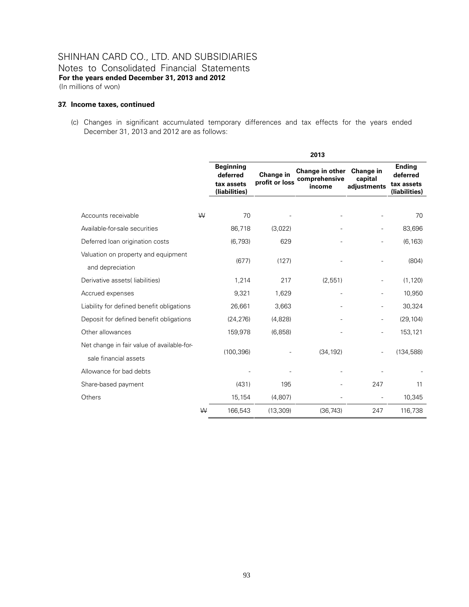### SHINHAN CARD CO., LTD. AND SUBSIDIARIES Notes to Consolidated Financial Statements **For the years ended December 31, 2013 and 2012**  (In millions of won)

#### **37. Income taxes, continued**

(c) Changes in significant accumulated temporary differences and tax effects for the years ended December 31, 2013 and 2012 are as follows:

|                                            |   | 2013                                                        |                             |                                            |                                     |                                                          |
|--------------------------------------------|---|-------------------------------------------------------------|-----------------------------|--------------------------------------------|-------------------------------------|----------------------------------------------------------|
|                                            |   | <b>Beginning</b><br>deferred<br>tax assets<br>(liabilities) | Change in<br>profit or loss | Change in other<br>comprehensive<br>income | Change in<br>capital<br>adjustments | <b>Ending</b><br>deferred<br>tax assets<br>(liabilities) |
|                                            |   |                                                             |                             |                                            |                                     |                                                          |
| Accounts receivable                        | W | 70                                                          |                             |                                            |                                     | 70                                                       |
| Available-for-sale securities              |   | 86,718                                                      | (3,022)                     |                                            |                                     | 83,696                                                   |
| Deferred loan origination costs            |   | (6, 793)                                                    | 629                         |                                            |                                     | (6, 163)                                                 |
| Valuation on property and equipment        |   | (677)                                                       | (127)                       |                                            |                                     | (804)                                                    |
| and depreciation                           |   |                                                             |                             |                                            |                                     |                                                          |
| Derivative assets (liabilities)            |   | 1,214                                                       | 217                         | (2,551)                                    |                                     | (1, 120)                                                 |
| Accrued expenses                           |   | 9,321                                                       | 1,629                       | ÷,                                         | $\overline{\phantom{a}}$            | 10,950                                                   |
| Liability for defined benefit obligations  |   | 26,661                                                      | 3,663                       |                                            |                                     | 30,324                                                   |
| Deposit for defined benefit obligations    |   | (24, 276)                                                   | (4,828)                     |                                            |                                     | (29, 104)                                                |
| Other allowances                           |   | 159,978                                                     | (6, 858)                    |                                            |                                     | 153,121                                                  |
| Net change in fair value of available-for- |   |                                                             |                             |                                            |                                     | (134, 588)                                               |
| sale financial assets                      |   | (100, 396)                                                  |                             | (34, 192)                                  |                                     |                                                          |
| Allowance for bad debts                    |   |                                                             |                             |                                            |                                     |                                                          |
| Share-based payment                        |   | (431)                                                       | 195                         |                                            | 247                                 | 11                                                       |
| Others                                     |   | 15,154                                                      | (4,807)                     |                                            |                                     | 10,345                                                   |
|                                            | W | 166,543                                                     | (13, 309)                   | (36, 743)                                  | 247                                 | 116,738                                                  |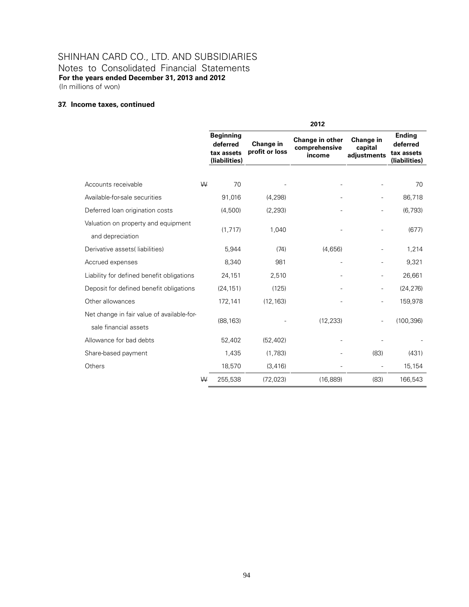Notes to Consolidated Financial Statements **For the years ended December 31, 2013 and 2012**  (In millions of won)

### **37. Income taxes, continued**

|                                                         |   | 2012                                                        |                             |                                            |                                     |                                                          |
|---------------------------------------------------------|---|-------------------------------------------------------------|-----------------------------|--------------------------------------------|-------------------------------------|----------------------------------------------------------|
|                                                         |   | <b>Beginning</b><br>deferred<br>tax assets<br>(liabilities) | Change in<br>profit or loss | Change in other<br>comprehensive<br>income | Change in<br>capital<br>adjustments | <b>Ending</b><br>deferred<br>tax assets<br>(liabilities) |
|                                                         |   |                                                             |                             |                                            |                                     |                                                          |
| Accounts receivable                                     | W | 70                                                          |                             |                                            |                                     | 70                                                       |
| Available-for-sale securities                           |   | 91,016                                                      | (4, 298)                    |                                            |                                     | 86,718                                                   |
| Deferred loan origination costs                         |   | (4,500)                                                     | (2, 293)                    |                                            |                                     | (6, 793)                                                 |
| Valuation on property and equipment<br>and depreciation |   | (1, 717)                                                    | 1,040                       |                                            |                                     | (677)                                                    |
| Derivative assets(liabilities)                          |   | 5,944                                                       | (74)                        | (4,656)                                    |                                     | 1,214                                                    |
| Accrued expenses                                        |   | 8,340                                                       | 981                         |                                            |                                     | 9,321                                                    |
| Liability for defined benefit obligations               |   | 24,151                                                      | 2,510                       |                                            |                                     | 26,661                                                   |
| Deposit for defined benefit obligations                 |   | (24, 151)                                                   | (125)                       |                                            |                                     | (24, 276)                                                |
| Other allowances                                        |   | 172,141                                                     | (12, 163)                   |                                            |                                     | 159,978                                                  |
| Net change in fair value of available-for-              |   |                                                             |                             |                                            |                                     |                                                          |
| sale financial assets                                   |   | (88, 163)                                                   |                             | (12, 233)                                  |                                     | (100, 396)                                               |
| Allowance for bad debts                                 |   | 52,402                                                      | (52, 402)                   |                                            |                                     |                                                          |
| Share-based payment                                     |   | 1,435                                                       | (1,783)                     |                                            | (83)                                | (431)                                                    |
| Others                                                  |   | 18,570                                                      | (3, 416)                    |                                            |                                     | 15,154                                                   |
|                                                         | W | 255,538                                                     | (72, 023)                   | (16, 889)                                  | (83)                                | 166,543                                                  |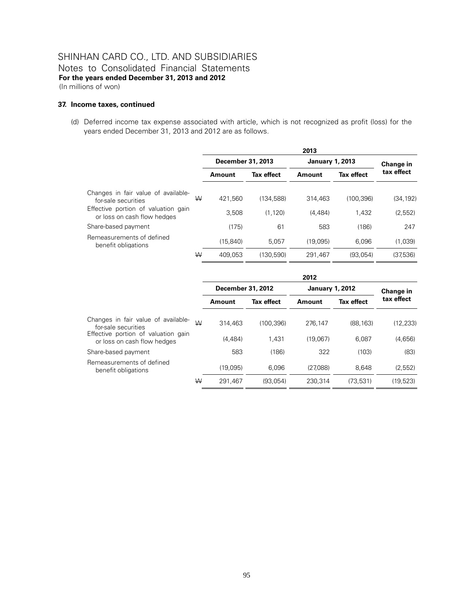### SHINHAN CARD CO., LTD. AND SUBSIDIARIES Notes to Consolidated Financial Statements **For the years ended December 31, 2013 and 2012**  (In millions of won)

#### **37. Income taxes, continued**

(d) Deferred income tax expense associated with article, which is not recognized as profit (loss) for the years ended December 31, 2013 and 2012 are as follows.

|                                                                    |   | 2013              |                   |                        |            |            |
|--------------------------------------------------------------------|---|-------------------|-------------------|------------------------|------------|------------|
|                                                                    |   | December 31, 2013 |                   | <b>January 1, 2013</b> |            | Change in  |
|                                                                    |   | Amount            | <b>Tax effect</b> | Amount                 | Tax effect | tax effect |
| Changes in fair value of available-<br>for-sale securities         | W | 421.560           | (134.588)         | 314,463                | (100.396)  | (34, 192)  |
| Effective portion of valuation gain<br>or loss on cash flow hedges |   | 3.508             | (1.120)           | (4.484)                | 1.432      | (2,552)    |
| Share-based payment                                                |   | (175)             | 61                | 583                    | (186)      | 247        |
| Remeasurements of defined<br>benefit obligations                   |   | (15.840)          | 5.057             | (19.095)               | 6.096      | (1,039)    |
|                                                                    | W | 409.053           | (130.590)         | 291.467                | (93.054)   | (37.536)   |

|                                                                    |   | 2012              |                   |                        |                   |            |
|--------------------------------------------------------------------|---|-------------------|-------------------|------------------------|-------------------|------------|
|                                                                    |   | December 31, 2012 |                   | <b>January 1, 2012</b> | Change in         |            |
|                                                                    |   | Amount            | <b>Tax effect</b> | Amount                 | <b>Tax effect</b> | tax effect |
| Changes in fair value of available-<br>for-sale securities         | W | 314,463           | (100.396)         | 276.147                | (88.163)          | (12, 233)  |
| Effective portion of valuation gain<br>or loss on cash flow hedges |   | (4.484)           | 1.431             | (19.067)               | 6.087             | (4,656)    |
| Share-based payment                                                |   | 583               | (186)             | 322                    | (103)             | (83)       |
| Remeasurements of defined<br>benefit obligations                   |   | (19,095)          | 6.096             | (27.088)               | 8.648             | (2,552)    |
|                                                                    | W | 291.467           | (93.054)          | 230.314                | (73.531)          | (19.523)   |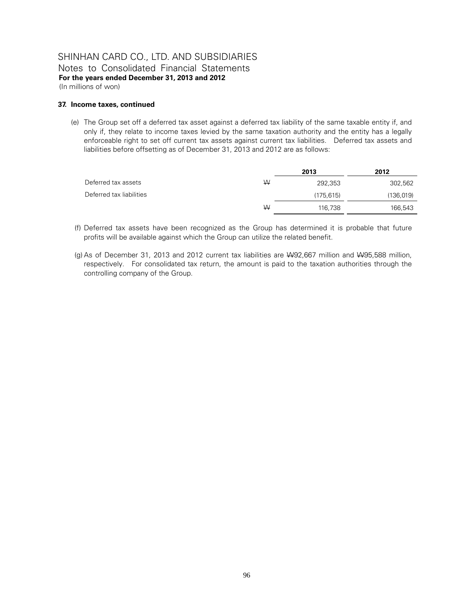Notes to Consolidated Financial Statements **For the years ended December 31, 2013 and 2012**  (In millions of won)

#### **37. Income taxes, continued**

(e) The Group set off a deferred tax asset against a deferred tax liability of the same taxable entity if, and only if, they relate to income taxes levied by the same taxation authority and the entity has a legally enforceable right to set off current tax assets against current tax liabilities. Deferred tax assets and liabilities before offsetting as of December 31, 2013 and 2012 are as follows:

|                          |   | 2013      | 2012      |
|--------------------------|---|-----------|-----------|
| Deferred tax assets      | W | 292.353   | 302,562   |
| Deferred tax liabilities |   | (175.615) | (136,019) |
|                          | W | 116,738   | 166,543   |

- (f) Deferred tax assets have been recognized as the Group has determined it is probable that future profits will be available against which the Group can utilize the related benefit.
- (g) As of December 31, 2013 and 2012 current tax liabilities are W92,667 million and W95,588 million, respectively. For consolidated tax return, the amount is paid to the taxation authorities through the controlling company of the Group.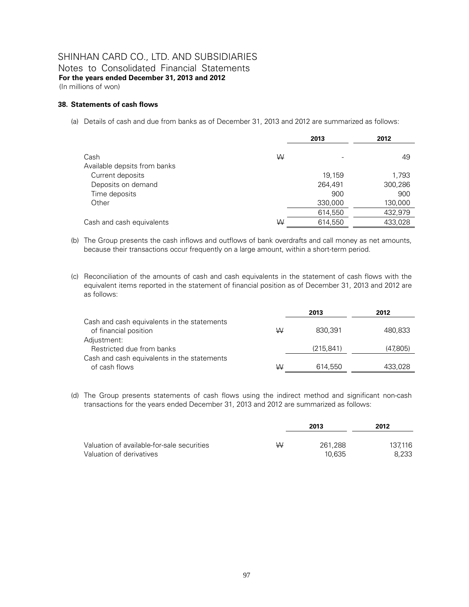Notes to Consolidated Financial Statements **For the years ended December 31, 2013 and 2012**  (In millions of won)

#### **38. Statements of cash flows**

(a) Details of cash and due from banks as of December 31, 2013 and 2012 are summarized as follows:

|                                        |   | 2013               | 2012               |
|----------------------------------------|---|--------------------|--------------------|
| Cash<br>Available depsits from banks   | W |                    | 49                 |
| Current deposits<br>Deposits on demand |   | 19,159<br>264,491  | 1,793<br>300,286   |
| Time deposits                          |   | 900                | 900                |
| Other                                  |   | 330,000<br>614,550 | 130,000<br>432,979 |
| Cash and cash equivalents              | W | 614,550            | 433,028            |

- (b) The Group presents the cash inflows and outflows of bank overdrafts and call money as net amounts, because their transactions occur frequently on a large amount, within a short-term period.
- (c) Reconciliation of the amounts of cash and cash equivalents in the statement of cash flows with the equivalent items reported in the statement of financial position as of December 31, 2013 and 2012 are as follows:

|                                             |   | 2013       | 2012     |
|---------------------------------------------|---|------------|----------|
| Cash and cash equivalents in the statements |   |            |          |
| of financial position                       | W | 830.391    | 480,833  |
| Adjustment:                                 |   |            |          |
| Restricted due from banks                   |   | (215, 841) | (47,805) |
| Cash and cash equivalents in the statements |   |            |          |
| of cash flows                               | W | 614,550    | 433,028  |

(d) The Group presents statements of cash flows using the indirect method and significant non-cash transactions for the years ended December 31, 2013 and 2012 are summarized as follows:

|                                            |   | 2013    | 2012    |
|--------------------------------------------|---|---------|---------|
| Valuation of available-for-sale securities | W | 261.288 | 137.116 |
| Valuation of derivatives                   |   | 10.635  | 8.233   |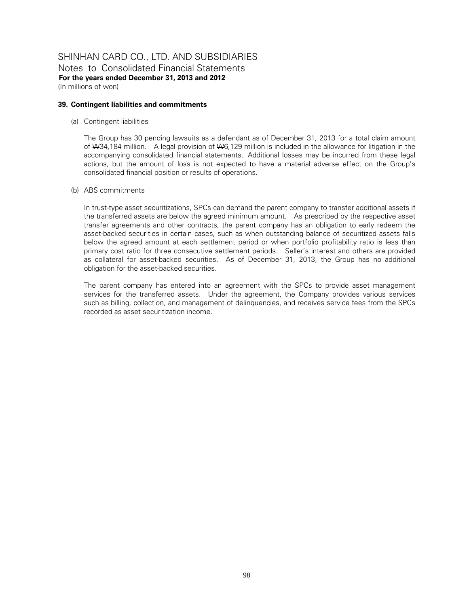### SHINHAN CARD CO., LTD. AND SUBSIDIARIES Notes to Consolidated Financial Statements **For the years ended December 31, 2013 and 2012**  (In millions of won)

#### **39. Contingent liabilities and commitments**

(a) Contingent liabilities

The Group has 30 pending lawsuits as a defendant as of December 31, 2013 for a total claim amount of W34,184 million. A legal provision of W6,129 million is included in the allowance for litigation in the accompanying consolidated financial statements. Additional losses may be incurred from these legal actions, but the amount of loss is not expected to have a material adverse effect on the Group's consolidated financial position or results of operations.

(b) ABS commitments

In trust-type asset securitizations, SPCs can demand the parent company to transfer additional assets if the transferred assets are below the agreed minimum amount. As prescribed by the respective asset transfer agreements and other contracts, the parent company has an obligation to early redeem the asset-backed securities in certain cases, such as when outstanding balance of securitized assets falls below the agreed amount at each settlement period or when portfolio profitability ratio is less than primary cost ratio for three consecutive settlement periods. Seller's interest and others are provided as collateral for asset-backed securities. As of December 31, 2013, the Group has no additional obligation for the asset-backed securities.

The parent company has entered into an agreement with the SPCs to provide asset management services for the transferred assets. Under the agreement, the Company provides various services such as billing, collection, and management of delinquencies, and receives service fees from the SPCs recorded as asset securitization income.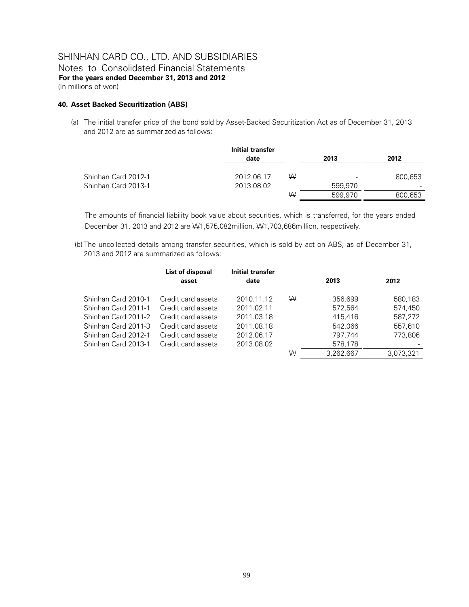Notes to Consolidated Financial Statements **For the years ended December 31, 2013 and 2012**  (In millions of won)

#### **40. Asset Backed Securitization (ABS)**

(a) The initial transfer price of the bond sold by Asset-Backed Securitization Act as of December 31, 2013 and 2012 are as summarized as follows:

|                     | Initial transfer |   |         |         |
|---------------------|------------------|---|---------|---------|
|                     | date             |   | 2013    | 2012    |
| Shinhan Card 2012-1 | 2012.06.17       | W |         | 800,653 |
| Shinhan Card 2013-1 | 2013.08.02       |   | 599,970 |         |
|                     |                  | ₩ | 599.970 | 800,653 |

The amounts of financial liability book value about securities, which is transferred, for the years ended December 31, 2013 and 2012 are W1,575,082million, W1,703,686million, respectively.

 (b) The uncollected details among transfer securities, which is sold by act on ABS, as of December 31, 2013 and 2012 are summarized as follows:

|                     | List of disposal   | <b>Initial transfer</b> |   |           |           |
|---------------------|--------------------|-------------------------|---|-----------|-----------|
|                     | asset              | date                    |   | 2013      | 2012      |
| Shinhan Card 2010-1 | Credit card assets | 2010.11.12              | ₩ | 356.699   | 580,183   |
| Shinhan Card 2011-1 | Credit card assets | 2011.02.11              |   | 572.564   | 574,450   |
| Shinhan Card 2011-2 | Credit card assets | 2011.03.18              |   | 415.416   | 587,272   |
| Shinhan Card 2011-3 | Credit card assets | 2011.08.18              |   | 542.066   | 557.610   |
| Shinhan Card 2012-1 | Credit card assets | 2012.06.17              |   | 797.744   | 773.806   |
| Shinhan Card 2013-1 | Credit card assets | 2013.08.02              |   | 578,178   |           |
|                     |                    |                         | W | 3,262,667 | 3,073,321 |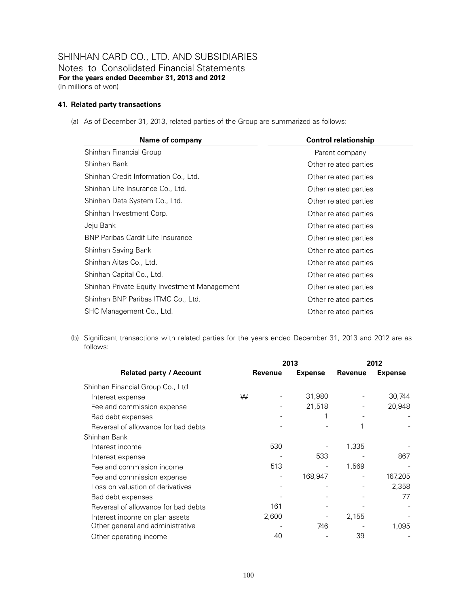Notes to Consolidated Financial Statements **For the years ended December 31, 2013 and 2012**  (In millions of won)

#### **41. Related party transactions**

(a) As of December 31, 2013, related parties of the Group are summarized as follows:

| <b>Name of company</b>                       | <b>Control relationship</b> |
|----------------------------------------------|-----------------------------|
| Shinhan Financial Group                      | Parent company              |
| Shinhan Bank                                 | Other related parties       |
| Shinhan Credit Information Co., Ltd.         | Other related parties       |
| Shinhan Life Insurance Co., Ltd.             | Other related parties       |
| Shinhan Data System Co., Ltd.                | Other related parties       |
| Shinhan Investment Corp.                     | Other related parties       |
| Jeju Bank                                    | Other related parties       |
| <b>BNP Paribas Cardif Life Insurance</b>     | Other related parties       |
| Shinhan Saving Bank                          | Other related parties       |
| Shinhan Aitas Co., Ltd.                      | Other related parties       |
| Shinhan Capital Co., Ltd.                    | Other related parties       |
| Shinhan Private Equity Investment Management | Other related parties       |
| Shinhan BNP Paribas ITMC Co., Ltd.           | Other related parties       |
| SHC Management Co., Ltd.                     | Other related parties       |

(b) Significant transactions with related parties for the years ended December 31, 2013 and 2012 are as follows:

|                                     |   |         | 2013           | 2012    |                |
|-------------------------------------|---|---------|----------------|---------|----------------|
| <b>Related party / Account</b>      |   | Revenue | <b>Expense</b> | Revenue | <b>Expense</b> |
| Shinhan Financial Group Co., Ltd    |   |         |                |         |                |
| Interest expense                    | W |         | 31,980         |         | 30,744         |
| Fee and commission expense          |   |         | 21,518         |         | 20,948         |
| Bad debt expenses                   |   |         |                |         |                |
| Reversal of allowance for bad debts |   |         |                |         |                |
| Shinhan Bank                        |   |         |                |         |                |
| Interest income                     |   | 530     |                | 1,335   |                |
| Interest expense                    |   |         | 533            |         | 867            |
| Fee and commission income           |   | 513     |                | 1,569   |                |
| Fee and commission expense          |   |         | 168,947        |         | 167,205        |
| Loss on valuation of derivatives    |   |         |                |         | 2,358          |
| Bad debt expenses                   |   |         |                |         | 77             |
| Reversal of allowance for bad debts |   | 161     |                |         |                |
| Interest income on plan assets      |   | 2,600   |                | 2,155   |                |
| Other general and administrative    |   |         | 746            |         | 1,095          |
| Other operating income              |   | 40      |                | 39      |                |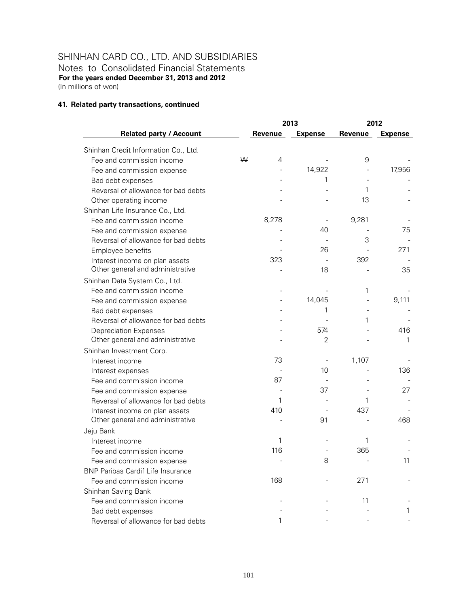Notes to Consolidated Financial Statements **For the years ended December 31, 2013 and 2012**  (In millions of won)

#### **41. Related party transactions, continued**

|                                          |   |         | 2013           |         | 2012           |
|------------------------------------------|---|---------|----------------|---------|----------------|
| <b>Related party / Account</b>           |   | Revenue | <b>Expense</b> | Revenue | <b>Expense</b> |
| Shinhan Credit Information Co., Ltd.     |   |         |                |         |                |
| Fee and commission income                | W | 4       |                | 9       |                |
| Fee and commission expense               |   |         | 14,922         |         | 17,956         |
| Bad debt expenses                        |   |         | 1              |         |                |
| Reversal of allowance for bad debts      |   |         |                | 1       |                |
| Other operating income                   |   |         |                | 13      |                |
| Shinhan Life Insurance Co., Ltd.         |   |         |                |         |                |
| Fee and commission income                |   | 8,278   |                | 9,281   |                |
| Fee and commission expense               |   |         | 40             |         | 75             |
| Reversal of allowance for bad debts      |   |         |                | 3       |                |
| Employee benefits                        |   |         | 26             |         | 271            |
| Interest income on plan assets           |   | 323     |                | 392     |                |
| Other general and administrative         |   |         | 18             |         | 35             |
| Shinhan Data System Co., Ltd.            |   |         |                |         |                |
| Fee and commission income                |   |         |                | 1       |                |
| Fee and commission expense               |   |         | 14,045         |         | 9,111          |
| Bad debt expenses                        |   |         | 1              |         |                |
| Reversal of allowance for bad debts      |   |         |                | 1       |                |
| <b>Depreciation Expenses</b>             |   |         | 574            |         | 416            |
| Other general and administrative         |   |         | $\overline{2}$ |         | 1              |
| Shinhan Investment Corp.                 |   |         |                |         |                |
| Interest income                          |   | 73      |                | 1,107   |                |
| Interest expenses                        |   |         | 10             |         | 136            |
| Fee and commission income                |   | 87      |                |         |                |
| Fee and commission expense               |   |         | 37             |         | 27             |
| Reversal of allowance for bad debts      |   | 1       |                | 1       |                |
| Interest income on plan assets           |   | 410     |                | 437     |                |
| Other general and administrative         |   |         | 91             |         | 468            |
| Jeju Bank                                |   |         |                |         |                |
| Interest income                          |   | 1       |                | 1       |                |
| Fee and commission income                |   | 116     |                | 365     |                |
| Fee and commission expense               |   |         | 8              |         | 11             |
| <b>BNP Paribas Cardif Life Insurance</b> |   |         |                |         |                |
| Fee and commission income                |   | 168     |                | 271     |                |
| Shinhan Saving Bank                      |   |         |                |         |                |
| Fee and commission income                |   |         |                | 11      |                |
| Bad debt expenses                        |   |         |                |         | 1              |
| Reversal of allowance for bad debts      |   | 1       |                |         |                |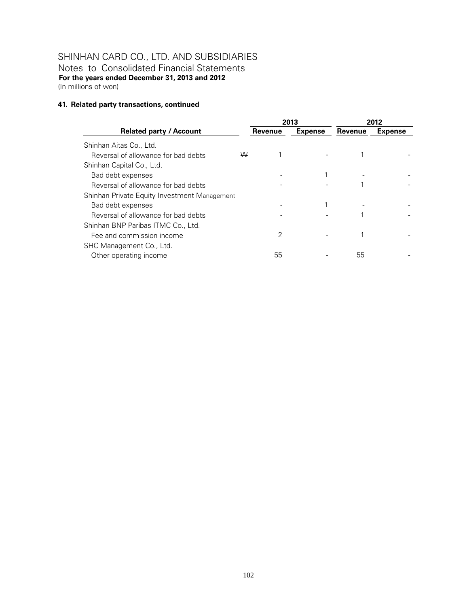Notes to Consolidated Financial Statements **For the years ended December 31, 2013 and 2012**  (In millions of won)

#### **41. Related party transactions, continued**

|                                              |   |         | 2013           | 2012    |                |
|----------------------------------------------|---|---------|----------------|---------|----------------|
| <b>Related party / Account</b>               |   | Revenue | <b>Expense</b> | Revenue | <b>Expense</b> |
| Shinhan Aitas Co., Ltd.                      |   |         |                |         |                |
| Reversal of allowance for bad debts          | W |         |                |         |                |
| Shinhan Capital Co., Ltd.                    |   |         |                |         |                |
| Bad debt expenses                            |   |         |                |         |                |
| Reversal of allowance for bad debts          |   |         |                |         |                |
| Shinhan Private Equity Investment Management |   |         |                |         |                |
| Bad debt expenses                            |   |         |                |         |                |
| Reversal of allowance for bad debts          |   |         |                |         |                |
| Shinhan BNP Paribas ITMC Co., Ltd.           |   |         |                |         |                |
| Fee and commission income                    |   | 2       |                |         |                |
| SHC Management Co., Ltd.                     |   |         |                |         |                |
| Other operating income                       |   | 55      |                | 55      |                |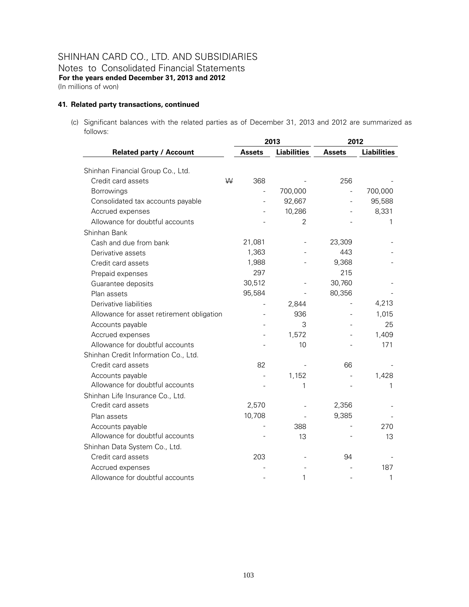Notes to Consolidated Financial Statements **For the years ended December 31, 2013 and 2012**  (In millions of won)

#### **41. Related party transactions, continued**

(c) Significant balances with the related parties as of December 31, 2013 and 2012 are summarized as follows:

|                                           |   | 2013                     |                    |                          | 2012               |  |
|-------------------------------------------|---|--------------------------|--------------------|--------------------------|--------------------|--|
| <b>Related party / Account</b>            |   | <b>Assets</b>            | <b>Liabilities</b> | <b>Assets</b>            | <b>Liabilities</b> |  |
| Shinhan Financial Group Co., Ltd.         |   |                          |                    |                          |                    |  |
| Credit card assets                        | W | 368                      |                    | 256                      |                    |  |
| Borrowings                                |   | $\overline{\phantom{0}}$ | 700,000            | $\frac{1}{2}$            | 700,000            |  |
| Consolidated tax accounts payable         |   | L,                       | 92,667             | $\overline{\phantom{0}}$ | 95,588             |  |
| Accrued expenses                          |   |                          | 10,286             |                          | 8,331              |  |
| Allowance for doubtful accounts           |   |                          | $\overline{2}$     |                          | 1                  |  |
| Shinhan Bank                              |   |                          |                    |                          |                    |  |
| Cash and due from bank                    |   | 21,081                   |                    | 23,309                   |                    |  |
| Derivative assets                         |   | 1,363                    |                    | 443                      |                    |  |
| Credit card assets                        |   | 1,988                    |                    | 9,368                    |                    |  |
| Prepaid expenses                          |   | 297                      |                    | 215                      |                    |  |
| Guarantee deposits                        |   | 30,512                   |                    | 30,760                   |                    |  |
| Plan assets                               |   | 95,584                   |                    | 80,356                   |                    |  |
| Derivative liabilities                    |   |                          | 2,844              |                          | 4,213              |  |
| Allowance for asset retirement obligation |   |                          | 936                |                          | 1,015              |  |
| Accounts payable                          |   |                          | 3                  |                          | 25                 |  |
| Accrued expenses                          |   |                          | 1,572              |                          | 1,409              |  |
| Allowance for doubtful accounts           |   |                          | 10                 |                          | 171                |  |
| Shinhan Credit Information Co., Ltd.      |   |                          |                    |                          |                    |  |
| Credit card assets                        |   | 82                       |                    | 66                       |                    |  |
| Accounts payable                          |   |                          | 1,152              |                          | 1,428              |  |
| Allowance for doubtful accounts           |   |                          | 1                  |                          | 1                  |  |
| Shinhan Life Insurance Co., Ltd.          |   |                          |                    |                          |                    |  |
| Credit card assets                        |   | 2,570                    |                    | 2,356                    |                    |  |
| Plan assets                               |   | 10,708                   |                    | 9,385                    |                    |  |
| Accounts payable                          |   |                          | 388                |                          | 270                |  |
| Allowance for doubtful accounts           |   |                          | 13                 |                          | 13                 |  |
| Shinhan Data System Co., Ltd.             |   |                          |                    |                          |                    |  |
| Credit card assets                        |   | 203                      |                    | 94                       |                    |  |
| Accrued expenses                          |   |                          |                    |                          | 187                |  |
| Allowance for doubtful accounts           |   |                          | 1                  |                          | 1                  |  |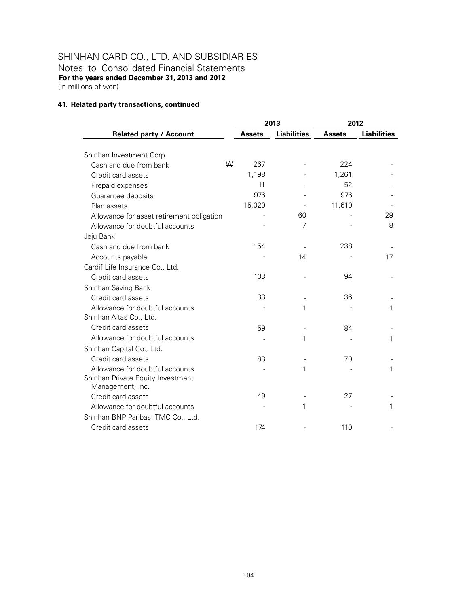Notes to Consolidated Financial Statements **For the years ended December 31, 2013 and 2012**  (In millions of won)

#### **41. Related party transactions, continued**

|                                           |               | 2013               | 2012          |                    |
|-------------------------------------------|---------------|--------------------|---------------|--------------------|
| <b>Related party / Account</b>            | <b>Assets</b> | <b>Liabilities</b> | <b>Assets</b> | <b>Liabilities</b> |
| Shinhan Investment Corp.                  |               |                    |               |                    |
| W<br>Cash and due from bank               | 267           |                    | 224           |                    |
| Credit card assets                        | 1,198         |                    | 1,261         |                    |
| Prepaid expenses                          | 11            |                    | 52            |                    |
| Guarantee deposits                        | 976           |                    | 976           |                    |
| Plan assets                               | 15,020        |                    | 11,610        |                    |
| Allowance for asset retirement obligation |               | 60                 |               | 29                 |
| Allowance for doubtful accounts           |               | 7                  |               | 8                  |
| Jeju Bank                                 |               |                    |               |                    |
| Cash and due from bank                    | 154           |                    | 238           |                    |
| Accounts payable                          |               | 14                 |               | 17                 |
| Cardif Life Insurance Co., Ltd.           |               |                    |               |                    |
| Credit card assets                        | 103           |                    | 94            |                    |
| Shinhan Saving Bank                       |               |                    |               |                    |
| Credit card assets                        | 33            |                    | 36            |                    |
| Allowance for doubtful accounts           |               | 1                  |               | 1                  |
| Shinhan Aitas Co., Ltd.                   |               |                    |               |                    |
| Credit card assets                        | 59            |                    | 84            |                    |
| Allowance for doubtful accounts           |               | 1                  |               | 1                  |
| Shinhan Capital Co., Ltd.                 |               |                    |               |                    |
| Credit card assets                        | 83            |                    | 70            |                    |
| Allowance for doubtful accounts           |               | 1                  |               | 1                  |
| Shinhan Private Equity Investment         |               |                    |               |                    |
| Management, Inc.                          |               |                    |               |                    |
| Credit card assets                        | 49            |                    | 27            |                    |
| Allowance for doubtful accounts           |               | 1                  |               | 1                  |
| Shinhan BNP Paribas ITMC Co., Ltd.        |               |                    |               |                    |
| Credit card assets                        | 174           |                    | 110           |                    |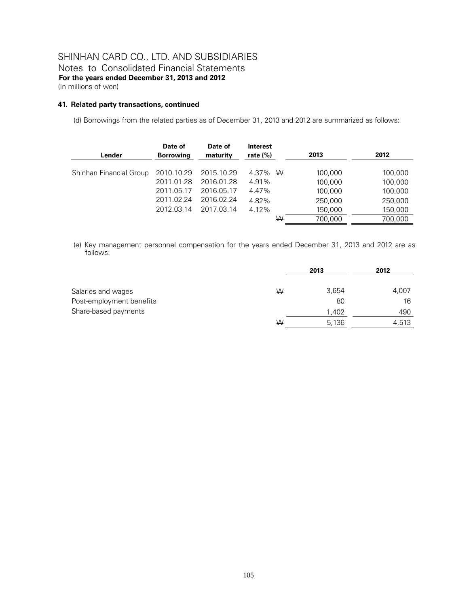Notes to Consolidated Financial Statements **For the years ended December 31, 2013 and 2012**  (In millions of won)

#### **41. Related party transactions, continued**

(d) Borrowings from the related parties as of December 31, 2013 and 2012 are summarized as follows:

| Lender                  | Date of<br><b>Borrowing</b> | Date of<br>maturity | <b>Interest</b><br>rate $(\%)$ | 2013    | 2012    |
|-------------------------|-----------------------------|---------------------|--------------------------------|---------|---------|
| Shinhan Financial Group | 2010.10.29                  | 2015.10.29          | 4.37% W                        | 100,000 | 100,000 |
|                         | 2011.01.28                  | 2016.01.28          | 4.91%                          | 100,000 | 100,000 |
|                         | 2011.05.17                  | 2016.05.17          | 4.47%                          | 100,000 | 100,000 |
|                         | 2011.02.24                  | 2016.02.24          | 4.82%                          | 250,000 | 250,000 |
|                         | 2012.03.14                  | 2017.03.14          | 4.12%                          | 150,000 | 150,000 |
|                         |                             |                     | W                              | 700.000 | 700.000 |

(e) Key management personnel compensation for the years ended December 31, 2013 and 2012 are as follows:

|                          |   | 2013  | 2012  |
|--------------------------|---|-------|-------|
| Salaries and wages       | W | 3,654 | 4,007 |
| Post-employment benefits |   | 80    | 16    |
| Share-based payments     |   | 1,402 | 490   |
|                          | W | 5,136 | 4,513 |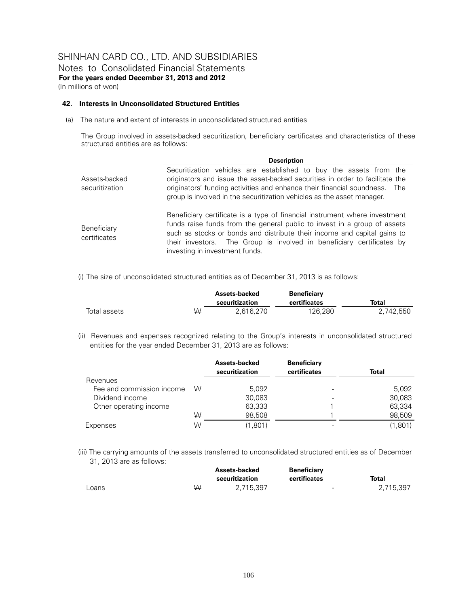### SHINHAN CARD CO., LTD. AND SUBSIDIARIES Notes to Consolidated Financial Statements **For the years ended December 31, 2013 and 2012**

(In millions of won)

#### **42. Interests in Unconsolidated Structured Entities**

(a) The nature and extent of interests in unconsolidated structured entities

The Group involved in assets-backed securitization, beneficiary certificates and characteristics of these structured entities are as follows:

|                                 | <b>Description</b>                                                                                                                                                                                                                                                                                                                            |
|---------------------------------|-----------------------------------------------------------------------------------------------------------------------------------------------------------------------------------------------------------------------------------------------------------------------------------------------------------------------------------------------|
| Assets-backed<br>securitization | Securitization vehicles are established to buy the assets from the<br>originators and issue the asset-backed securities in order to facilitate the<br>originators' funding activities and enhance their financial soundness. The<br>group is involved in the securitization vehicles as the asset manager.                                    |
| Beneficiary<br>certificates     | Beneficiary certificate is a type of financial instrument where investment<br>funds raise funds from the general public to invest in a group of assets<br>such as stocks or bonds and distribute their income and capital gains to<br>their investors. The Group is involved in beneficiary certificates by<br>investing in investment funds. |

(i) The size of unconsolidated structured entities as of December 31, 2013 is as follows:

|              |   | Assets-backed<br>securitization | <b>Beneficiary</b><br>certificates | Total     |
|--------------|---|---------------------------------|------------------------------------|-----------|
| Total assets | W | 2.616.270                       | 126.280                            | 2,742,550 |

(ii) Revenues and expenses recognized relating to the Group's interests in unconsolidated structured entities for the year ended December 31, 2013 are as follows:

|                           |   | Assets-backed<br>securitization | <b>Beneficiary</b><br>certificates | <b>Total</b> |
|---------------------------|---|---------------------------------|------------------------------------|--------------|
| Revenues                  |   |                                 |                                    |              |
| Fee and commission income | ₩ | 5,092                           |                                    | 5,092        |
| Dividend income           |   | 30.083                          |                                    | 30,083       |
| Other operating income    |   | 63,333                          |                                    | 63,334       |
|                           | W | 98.508                          |                                    | 98.509       |
| Expenses                  | W | (1.801)                         |                                    | (1.801)      |

(iii) The carrying amounts of the assets transferred to unconsolidated structured entities as of December 31, 2013 are as follows:

|       |   | Assets-backed<br>securitization | <b>Beneficiary</b><br>certificates | Total     |
|-------|---|---------------------------------|------------------------------------|-----------|
|       |   |                                 |                                    |           |
| Loans | W | 2.715.397                       | $\sim$                             | 2.715.397 |